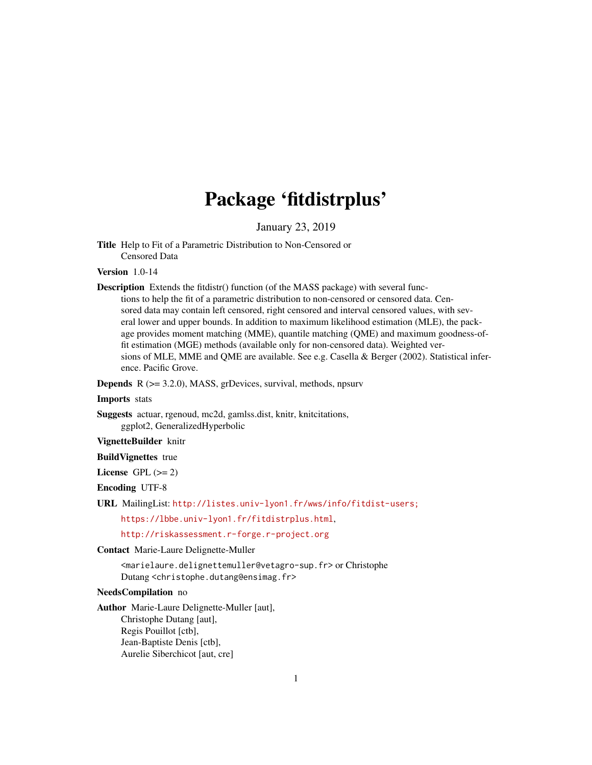# Package 'fitdistrplus'

January 23, 2019

<span id="page-0-0"></span>Title Help to Fit of a Parametric Distribution to Non-Censored or Censored Data

Version 1.0-14

Description Extends the fitdistr() function (of the MASS package) with several func-

tions to help the fit of a parametric distribution to non-censored or censored data. Censored data may contain left censored, right censored and interval censored values, with several lower and upper bounds. In addition to maximum likelihood estimation (MLE), the package provides moment matching (MME), quantile matching (QME) and maximum goodness-offit estimation (MGE) methods (available only for non-censored data). Weighted versions of MLE, MME and QME are available. See e.g. Casella & Berger (2002). Statistical inference. Pacific Grove.

Depends R (>= 3.2.0), MASS, grDevices, survival, methods, npsurv

# Imports stats

Suggests actuar, rgenoud, mc2d, gamlss.dist, knitr, knitcitations, ggplot2, GeneralizedHyperbolic

# VignetteBuilder knitr

# BuildVignettes true

License GPL  $(>= 2)$ 

Encoding UTF-8

URL MailingList: <http://listes.univ-lyon1.fr/wws/info/fitdist-users;>

<https://lbbe.univ-lyon1.fr/fitdistrplus.html>,

<http://riskassessment.r-forge.r-project.org>

Contact Marie-Laure Delignette-Muller

<marielaure.delignettemuller@vetagro-sup.fr> or Christophe Dutang <christophe.dutang@ensimag.fr>

#### NeedsCompilation no

Author Marie-Laure Delignette-Muller [aut], Christophe Dutang [aut], Regis Pouillot [ctb], Jean-Baptiste Denis [ctb], Aurelie Siberchicot [aut, cre]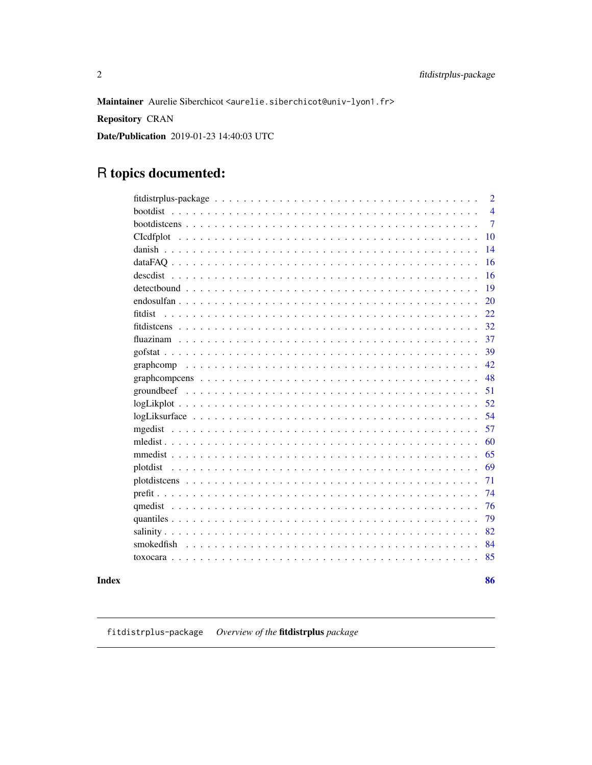86

<span id="page-1-0"></span>Maintainer Aurelie Siberchicot <aurelie.siberchicot@univ-lyon1.fr>

Repository CRAN

Date/Publication 2019-01-23 14:40:03 UTC

# R topics documented:

| $\overline{2}$                                                                                                |
|---------------------------------------------------------------------------------------------------------------|
| <b>bootdist</b><br>$\overline{4}$                                                                             |
| $\overline{7}$                                                                                                |
| 10                                                                                                            |
| danish<br>14                                                                                                  |
| 16                                                                                                            |
| 16<br>descdist                                                                                                |
| 19                                                                                                            |
| 20                                                                                                            |
| 22<br>fitdist                                                                                                 |
| 32                                                                                                            |
| 37                                                                                                            |
| 39                                                                                                            |
| 42                                                                                                            |
| 48                                                                                                            |
| 51                                                                                                            |
| $logLikplot \ldots \ldots \ldots \ldots \ldots \ldots \ldots \ldots \ldots \ldots \ldots \ldots \ldots$<br>52 |
| 54                                                                                                            |
| 57<br>mgedist                                                                                                 |
| 60                                                                                                            |
| 65                                                                                                            |
| 69<br>plotdist                                                                                                |
| 71                                                                                                            |
| 74                                                                                                            |
| 76                                                                                                            |
| 79                                                                                                            |
| 82                                                                                                            |
| smokedfish<br>84                                                                                              |
| 85                                                                                                            |
|                                                                                                               |

# **Index**

<span id="page-1-1"></span>fitdistrplus-package Overview of the fitdistrplus package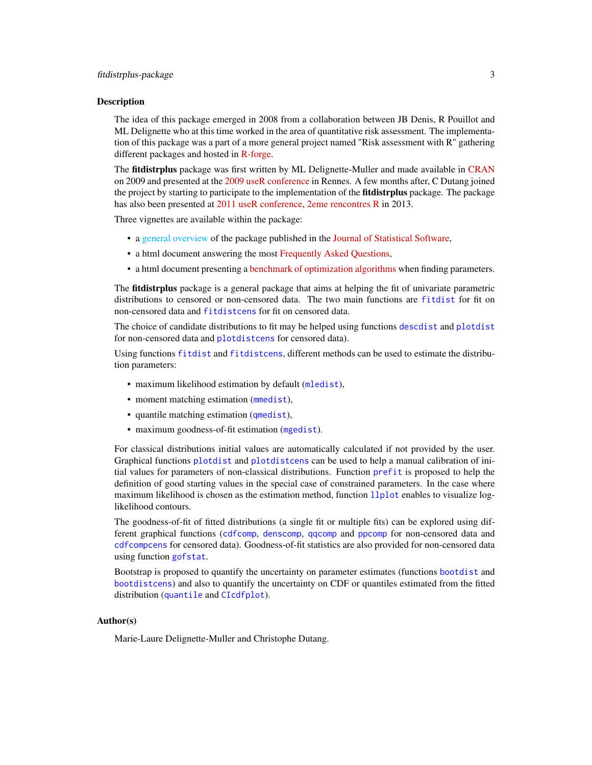#### Description

The idea of this package emerged in 2008 from a collaboration between JB Denis, R Pouillot and ML Delignette who at this time worked in the area of quantitative risk assessment. The implementation of this package was a part of a more general project named "Risk assessment with R" gathering different packages and hosted in [R-forge.](http://r-forge.r-project.org/projects/riskassessment/)

The fitdistrplus package was first written by ML Delignette-Muller and made available in [CRAN](https://cran.r-project.org/package=fitdistrplus) on 2009 and presented at the [2009 useR conference](https://www.r-project.org/conferences/useR-2009/) in Rennes. A few months after, C Dutang joined the project by starting to participate to the implementation of the **fitdistrplus** package. The package has also been presented at [2011 useR conference,](https://www.r-project.org/conferences/useR-2011/) [2eme rencontres R](http://r2013-lyon.sciencesconf.org/) in 2013.

Three vignettes are available within the package:

- a [general overview](#page-0-0) of the package published in the [Journal of Statistical Software,](https://www.jstatsoft.org/article/view/v064i04)
- a html document answering the most [Frequently Asked Questions,](../doc/FAQ.html)
- a html document presenting a [benchmark of optimization algorithms](../doc/Optimalgo.html) when finding parameters.

The **fitdistrplus** package is a general package that aims at helping the fit of univariate parametric distributions to censored or non-censored data. The two main functions are [fitdist](#page-21-1) for fit on non-censored data and [fitdistcens](#page-31-1) for fit on censored data.

The choice of candidate distributions to fit may be helped using functions [descdist](#page-15-1) and [plotdist](#page-68-1) for non-censored data and [plotdistcens](#page-70-1) for censored data).

Using functions [fitdist](#page-21-1) and [fitdistcens](#page-31-1), different methods can be used to estimate the distribution parameters:

- maximum likelihood estimation by default ([mledist](#page-59-1)),
- moment matching estimation (medist),
- quantile matching estimation ([qmedist](#page-75-1)),
- maximum goodness-of-fit estimation ([mgedist](#page-56-1)).

For classical distributions initial values are automatically calculated if not provided by the user. Graphical functions [plotdist](#page-68-1) and [plotdistcens](#page-70-1) can be used to help a manual calibration of initial values for parameters of non-classical distributions. Function [prefit](#page-73-1) is proposed to help the definition of good starting values in the special case of constrained parameters. In the case where maximum likelihood is chosen as the estimation method, function [llplot](#page-51-1) enables to visualize loglikelihood contours.

The goodness-of-fit of fitted distributions (a single fit or multiple fits) can be explored using different graphical functions ([cdfcomp](#page-42-0), [denscomp](#page-42-0), [qqcomp](#page-42-0) and [ppcomp](#page-42-0) for non-censored data and [cdfcompcens](#page-47-1) for censored data). Goodness-of-fit statistics are also provided for non-censored data using function [gofstat](#page-38-1).

Bootstrap is proposed to quantify the uncertainty on parameter estimates (functions [bootdist](#page-3-1) and [bootdistcens](#page-6-1)) and also to quantify the uncertainty on CDF or quantiles estimated from the fitted distribution ([quantile](#page-0-0) and [CIcdfplot](#page-9-1)).

# Author(s)

Marie-Laure Delignette-Muller and Christophe Dutang.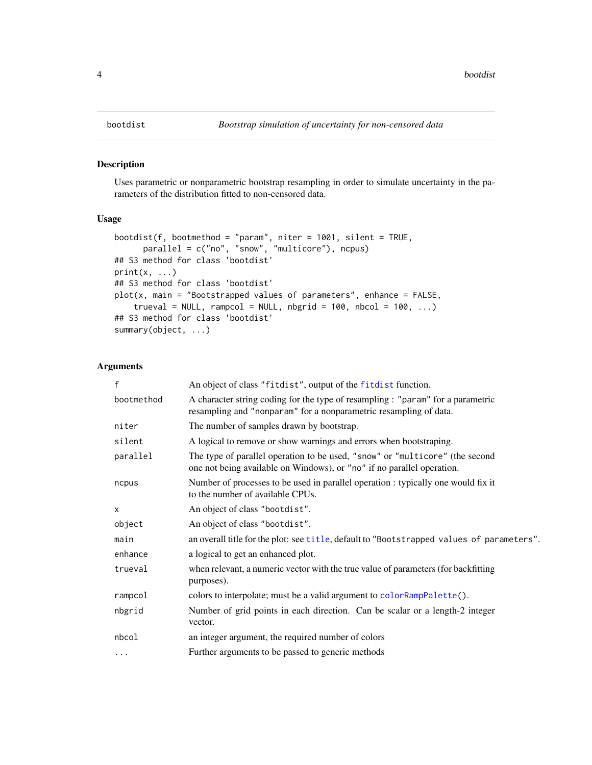# <span id="page-3-1"></span><span id="page-3-0"></span>Description

Uses parametric or nonparametric bootstrap resampling in order to simulate uncertainty in the parameters of the distribution fitted to non-censored data.

#### Usage

```
bootdist(f, bootmethod = "param", niter = 1001, silent = TRUE,
     parallel = c("no", "snow", "multicore"), ncpus)
## S3 method for class 'bootdist'
print(x, \ldots)## S3 method for class 'bootdist'
plot(x, main = "Bootstrapped values of parameters", enhance = FALSE,
    trueval = NULL, rampcol = NULL, nbgrid = 100, nbcol = 100, ...## S3 method for class 'bootdist'
summary(object, ...)
```
# Arguments

| $\mathsf{f}$ | An object of class "fitdist", output of the fitdist function.                                                                                          |
|--------------|--------------------------------------------------------------------------------------------------------------------------------------------------------|
| bootmethod   | A character string coding for the type of resampling : "param" for a parametric<br>resampling and "nonparam" for a nonparametric resampling of data.   |
| niter        | The number of samples drawn by bootstrap.                                                                                                              |
| silent       | A logical to remove or show warnings and errors when bootstraping.                                                                                     |
| parallel     | The type of parallel operation to be used, "snow" or "multicore" (the second<br>one not being available on Windows), or "no" if no parallel operation. |
| ncpus        | Number of processes to be used in parallel operation : typically one would fix it<br>to the number of available CPUs.                                  |
| X            | An object of class "bootdist".                                                                                                                         |
| object       | An object of class "bootdist".                                                                                                                         |
| main         | an overall title for the plot: see title, default to "Bootstrapped values of parameters".                                                              |
| enhance      | a logical to get an enhanced plot.                                                                                                                     |
| trueval      | when relevant, a numeric vector with the true value of parameters (for backfitting<br>purposes).                                                       |
| rampcol      | colors to interpolate; must be a valid argument to colorRampPalette().                                                                                 |
| nbgrid       | Number of grid points in each direction. Can be scalar or a length-2 integer<br>vector.                                                                |
| nbcol        | an integer argument, the required number of colors                                                                                                     |
| $\cdots$     | Further arguments to be passed to generic methods                                                                                                      |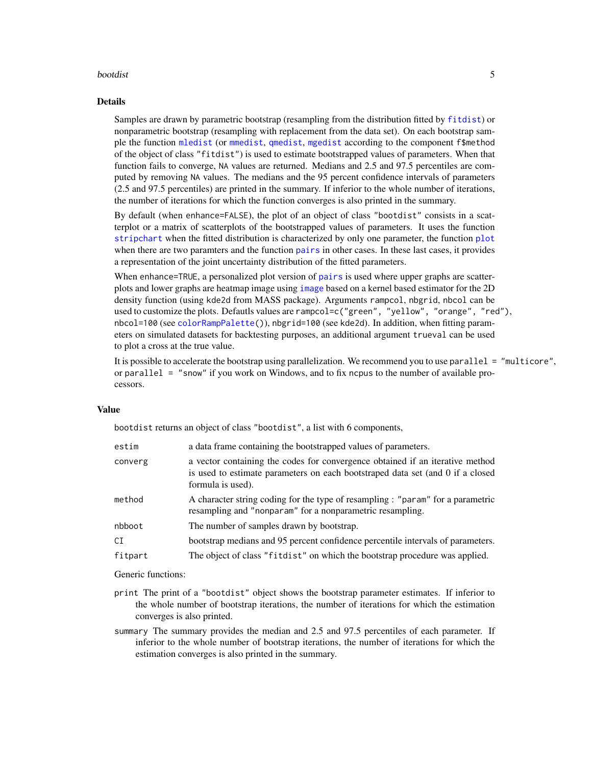#### bootdist 5

#### Details

Samples are drawn by parametric bootstrap (resampling from the distribution fitted by [fitdist](#page-21-1)) or nonparametric bootstrap (resampling with replacement from the data set). On each bootstrap sample the function [mledist](#page-59-1) (or [mmedist](#page-64-1), [qmedist](#page-75-1), [mgedist](#page-56-1) according to the component f\$method of the object of class "fitdist") is used to estimate bootstrapped values of parameters. When that function fails to converge, NA values are returned. Medians and 2.5 and 97.5 percentiles are computed by removing NA values. The medians and the 95 percent confidence intervals of parameters (2.5 and 97.5 percentiles) are printed in the summary. If inferior to the whole number of iterations, the number of iterations for which the function converges is also printed in the summary.

By default (when enhance=FALSE), the plot of an object of class "bootdist" consists in a scatterplot or a matrix of scatterplots of the bootstrapped values of parameters. It uses the function [stripchart](#page-0-0) when the fitted distribution is characterized by only one parameter, the function [plot](#page-0-0) when there are two paramters and the function [pairs](#page-0-0) in other cases. In these last cases, it provides a representation of the joint uncertainty distribution of the fitted parameters.

When enhance=TRUE, a personalized plot version of [pairs](#page-0-0) is used where upper graphs are scatterplots and lower graphs are heatmap image using [image](#page-0-0) based on a kernel based estimator for the 2D density function (using kde2d from MASS package). Arguments rampcol, nbgrid, nbcol can be used to customize the plots. Defautls values are rampcol=c("green", "yellow", "orange", "red"), nbcol=100 (see [colorRampPalette\(](#page-0-0))), nbgrid=100 (see kde2d). In addition, when fitting parameters on simulated datasets for backtesting purposes, an additional argument trueval can be used to plot a cross at the true value.

It is possible to accelerate the bootstrap using parallelization. We recommend you to use parallel = "multicore", or parallel = "snow" if you work on Windows, and to fix ncpus to the number of available processors.

#### Value

bootdist returns an object of class "bootdist", a list with 6 components,

| estim   | a data frame containing the bootstrapped values of parameters.                                                                                                                       |
|---------|--------------------------------------------------------------------------------------------------------------------------------------------------------------------------------------|
| converg | a vector containing the codes for convergence obtained if an iterative method<br>is used to estimate parameters on each bootstraped data set (and 0 if a closed<br>formula is used). |
| method  | A character string coding for the type of resampling : "param" for a parametric<br>resampling and "nonparam" for a nonparametric resampling.                                         |
| nbboot  | The number of samples drawn by bootstrap.                                                                                                                                            |
| СI      | bootstrap medians and 95 percent confidence percentile intervals of parameters.                                                                                                      |
| fitpart | The object of class "fitdist" on which the bootstrap procedure was applied.                                                                                                          |

Generic functions:

- print The print of a "bootdist" object shows the bootstrap parameter estimates. If inferior to the whole number of bootstrap iterations, the number of iterations for which the estimation converges is also printed.
- summary The summary provides the median and 2.5 and 97.5 percentiles of each parameter. If inferior to the whole number of bootstrap iterations, the number of iterations for which the estimation converges is also printed in the summary.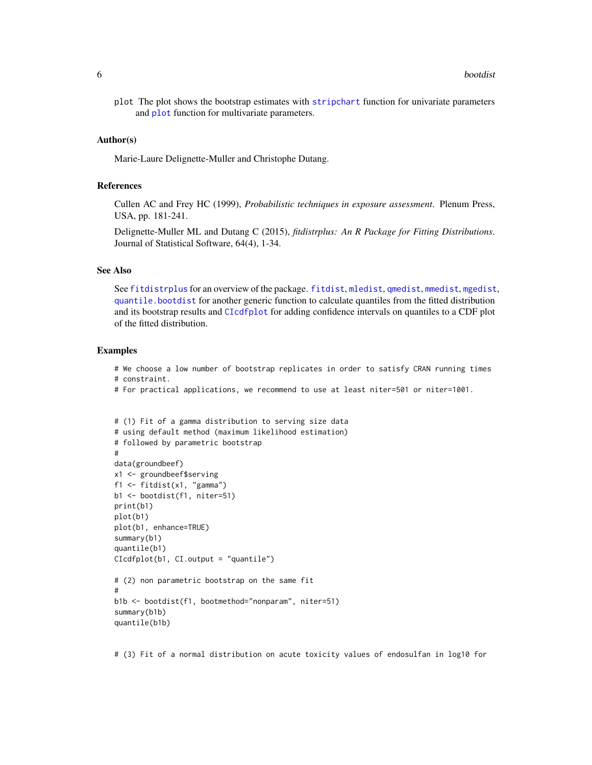plot The plot shows the bootstrap estimates with [stripchart](#page-0-0) function for univariate parameters and **[plot](#page-0-0)** function for multivariate parameters.

#### Author(s)

Marie-Laure Delignette-Muller and Christophe Dutang.

#### References

Cullen AC and Frey HC (1999), *Probabilistic techniques in exposure assessment*. Plenum Press, USA, pp. 181-241.

Delignette-Muller ML and Dutang C (2015), *fitdistrplus: An R Package for Fitting Distributions*. Journal of Statistical Software, 64(4), 1-34.

# See Also

See [fitdistrplus](#page-1-1) for an overview of the package. [fitdist](#page-21-1), [mledist](#page-59-1), [qmedist](#page-75-1), [mmedist](#page-64-1), [mgedist](#page-56-1), [quantile.bootdist](#page-78-1) for another generic function to calculate quantiles from the fitted distribution and its bootstrap results and [CIcdfplot](#page-9-1) for adding confidence intervals on quantiles to a CDF plot of the fitted distribution.

# Examples

# We choose a low number of bootstrap replicates in order to satisfy CRAN running times # constraint.

# For practical applications, we recommend to use at least niter=501 or niter=1001.

```
# (1) Fit of a gamma distribution to serving size data
# using default method (maximum likelihood estimation)
# followed by parametric bootstrap
#
data(groundbeef)
x1 <- groundbeef$serving
f1 <- fitdist(x1, "gamma")
b1 <- bootdist(f1, niter=51)
print(b1)
plot(b1)
plot(b1, enhance=TRUE)
summary(b1)
quantile(b1)
CIcdfplot(b1, CI.output = "quantile")
# (2) non parametric bootstrap on the same fit
#
b1b <- bootdist(f1, bootmethod="nonparam", niter=51)
summary(b1b)
quantile(b1b)
```
# (3) Fit of a normal distribution on acute toxicity values of endosulfan in log10 for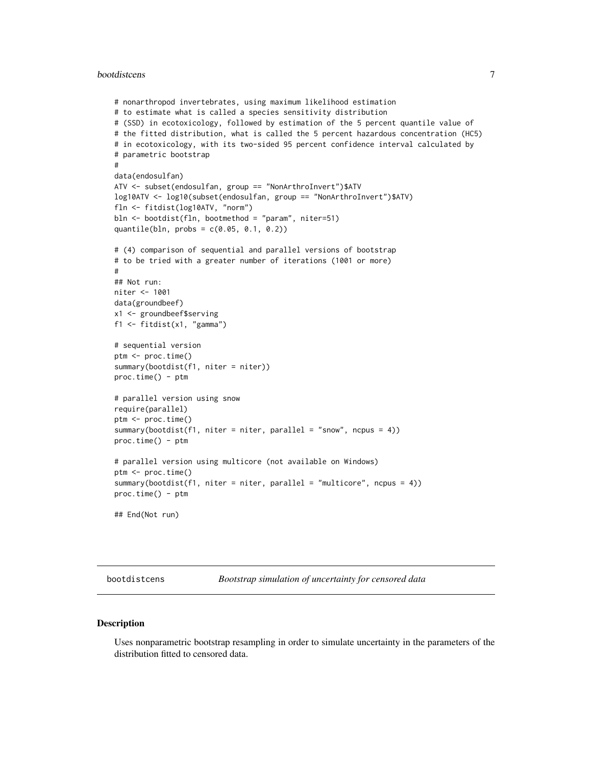#### <span id="page-6-0"></span>bootdistcens 7

```
# nonarthropod invertebrates, using maximum likelihood estimation
# to estimate what is called a species sensitivity distribution
# (SSD) in ecotoxicology, followed by estimation of the 5 percent quantile value of
# the fitted distribution, what is called the 5 percent hazardous concentration (HC5)
# in ecotoxicology, with its two-sided 95 percent confidence interval calculated by
# parametric bootstrap
#
data(endosulfan)
ATV <- subset(endosulfan, group == "NonArthroInvert")$ATV
log10ATV <- log10(subset(endosulfan, group == "NonArthroInvert")$ATV)
fln <- fitdist(log10ATV, "norm")
bln <- bootdist(fln, bootmethod = "param", niter=51)
quantile(bln, probs = c(0.05, 0.1, 0.2))
# (4) comparison of sequential and parallel versions of bootstrap
# to be tried with a greater number of iterations (1001 or more)
#
## Not run:
niter <- 1001
data(groundbeef)
x1 <- groundbeef$serving
f1 <- fitdist(x1, "gamma")
# sequential version
ptm <- proc.time()
summary(bootdist(f1, niter = niter))
proc.time() - ptm
# parallel version using snow
require(parallel)
ptm <- proc.time()
summary(bootdist(f1, niter = niter, parallel = "snow", ncpus = 4))
proc.time() - ptm
# parallel version using multicore (not available on Windows)
ptm <- proc.time()
summary(bootdist(f1, niter = niter, parallel = "multicore", ncpus = 4))
proc.time() - ptm
## End(Not run)
```
<span id="page-6-1"></span>bootdistcens *Bootstrap simulation of uncertainty for censored data*

#### Description

Uses nonparametric bootstrap resampling in order to simulate uncertainty in the parameters of the distribution fitted to censored data.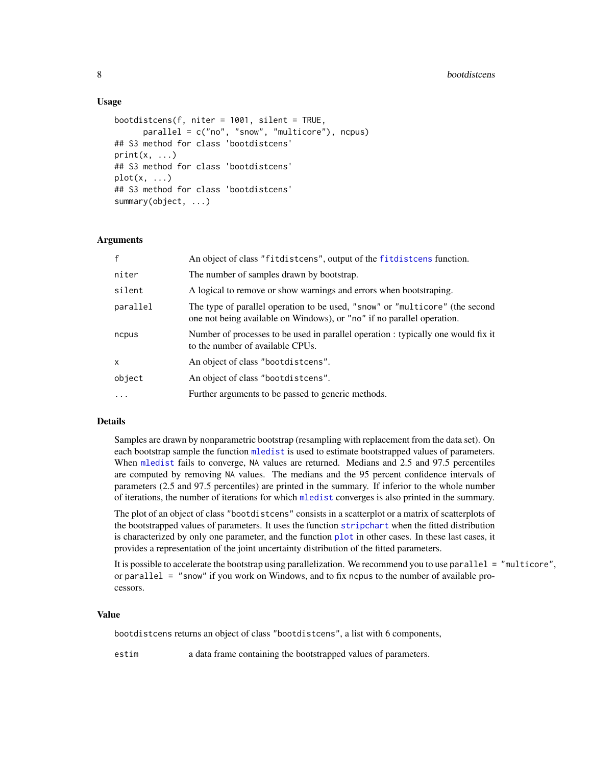# Usage

```
bootdistcens(f, niter = 1001, silent = TRUE,
      parallel = c("no", "snow", "multicore"), ncpus)
## S3 method for class 'bootdistcens'
print(x, \ldots)## S3 method for class 'bootdistcens'
plot(x, \ldots)## S3 method for class 'bootdistcens'
summary(object, ...)
```
# Arguments

| $\mathbf{f}$ | An object of class "fitdistcens", output of the fitdistcens function.                                                                                  |
|--------------|--------------------------------------------------------------------------------------------------------------------------------------------------------|
| niter        | The number of samples drawn by bootstrap.                                                                                                              |
| silent       | A logical to remove or show warnings and errors when bootstraping.                                                                                     |
| parallel     | The type of parallel operation to be used, "snow" or "multicore" (the second<br>one not being available on Windows), or "no" if no parallel operation. |
| ncpus        | Number of processes to be used in parallel operation : typically one would fix it<br>to the number of available CPUs.                                  |
| x            | An object of class "bootdistcens".                                                                                                                     |
| object       | An object of class "bootdistcens".                                                                                                                     |
| $\cdot$      | Further arguments to be passed to generic methods.                                                                                                     |

#### Details

Samples are drawn by nonparametric bootstrap (resampling with replacement from the data set). On each bootstrap sample the function [mledist](#page-59-1) is used to estimate bootstrapped values of parameters. When [mledist](#page-59-1) fails to converge, NA values are returned. Medians and 2.5 and 97.5 percentiles are computed by removing NA values. The medians and the 95 percent confidence intervals of parameters (2.5 and 97.5 percentiles) are printed in the summary. If inferior to the whole number of iterations, the number of iterations for which [mledist](#page-59-1) converges is also printed in the summary.

The plot of an object of class "bootdistcens" consists in a scatterplot or a matrix of scatterplots of the bootstrapped values of parameters. It uses the function [stripchart](#page-0-0) when the fitted distribution is characterized by only one parameter, and the function [plot](#page-0-0) in other cases. In these last cases, it provides a representation of the joint uncertainty distribution of the fitted parameters.

It is possible to accelerate the bootstrap using parallelization. We recommend you to use parallel = "multicore", or parallel  $=$  "snow" if you work on Windows, and to fix nepus to the number of available processors.

#### Value

bootdistcens returns an object of class "bootdistcens", a list with 6 components,

estim a data frame containing the bootstrapped values of parameters.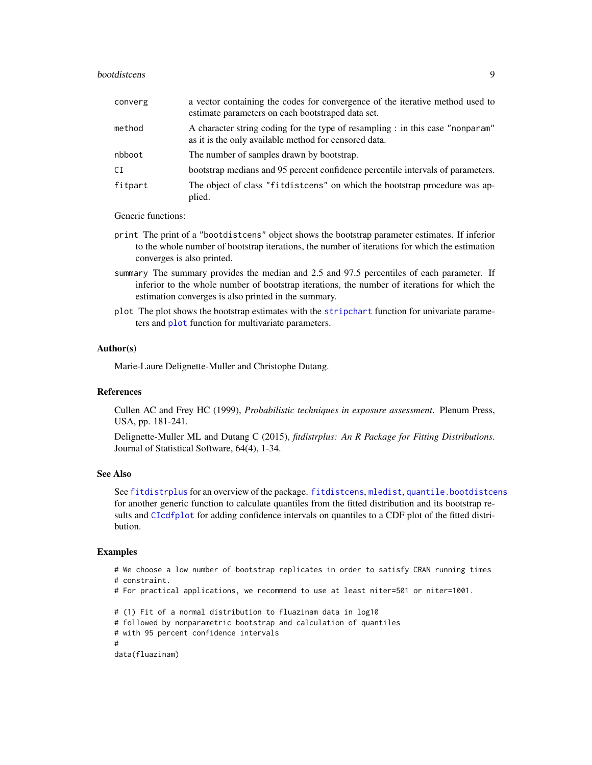#### bootdistcens 9

| converg | a vector containing the codes for convergence of the iterative method used to<br>estimate parameters on each bootstraped data set.      |
|---------|-----------------------------------------------------------------------------------------------------------------------------------------|
| method  | A character string coding for the type of resampling : in this case "nonparam"<br>as it is the only available method for censored data. |
| nbboot  | The number of samples drawn by bootstrap.                                                                                               |
| СI      | bootstrap medians and 95 percent confidence percentile intervals of parameters.                                                         |
| fitpart | The object of class "fitdistcens" on which the bootstrap procedure was ap-<br>plied.                                                    |

Generic functions:

- print The print of a "bootdistcens" object shows the bootstrap parameter estimates. If inferior to the whole number of bootstrap iterations, the number of iterations for which the estimation converges is also printed.
- summary The summary provides the median and 2.5 and 97.5 percentiles of each parameter. If inferior to the whole number of bootstrap iterations, the number of iterations for which the estimation converges is also printed in the summary.
- plot The plot shows the bootstrap estimates with the [stripchart](#page-0-0) function for univariate parameters and [plot](#page-0-0) function for multivariate parameters.

#### Author(s)

Marie-Laure Delignette-Muller and Christophe Dutang.

#### References

Cullen AC and Frey HC (1999), *Probabilistic techniques in exposure assessment*. Plenum Press, USA, pp. 181-241.

Delignette-Muller ML and Dutang C (2015), *fitdistrplus: An R Package for Fitting Distributions*. Journal of Statistical Software, 64(4), 1-34.

#### See Also

See [fitdistrplus](#page-1-1) for an overview of the package. [fitdistcens](#page-31-1), [mledist](#page-59-1), [quantile.bootdistcens](#page-78-1) for another generic function to calculate quantiles from the fitted distribution and its bootstrap results and [CIcdfplot](#page-9-1) for adding confidence intervals on quantiles to a CDF plot of the fitted distribution.

#### Examples

```
# We choose a low number of bootstrap replicates in order to satisfy CRAN running times
# constraint.
```
# For practical applications, we recommend to use at least niter=501 or niter=1001.

```
# (1) Fit of a normal distribution to fluazinam data in log10
# followed by nonparametric bootstrap and calculation of quantiles
```
# with 95 percent confidence intervals

```
#
```

```
data(fluazinam)
```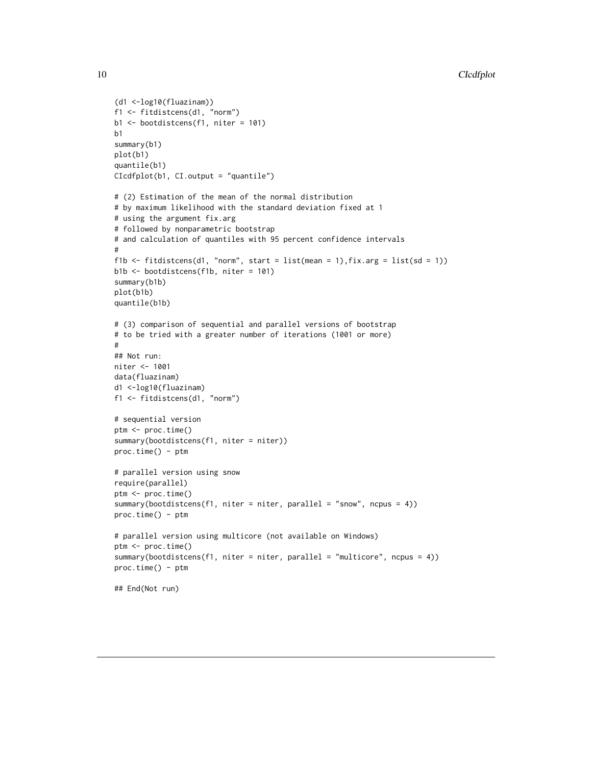```
(d1 <-log10(fluazinam))
f1 <- fitdistcens(d1, "norm")
b1 <- bootdistcens(f1, niter = 101)
h1summary(b1)
plot(b1)
quantile(b1)
CIcdfplot(b1, CI.output = "quantile")
# (2) Estimation of the mean of the normal distribution
# by maximum likelihood with the standard deviation fixed at 1
# using the argument fix.arg
# followed by nonparametric bootstrap
# and calculation of quantiles with 95 percent confidence intervals
#
f1b <- fitdistcens(d1, "norm", start = list(mean = 1),fix.arg = list(sd = 1))
b1b <- bootdistcens(f1b, niter = 101)
summary(b1b)
plot(b1b)
quantile(b1b)
# (3) comparison of sequential and parallel versions of bootstrap
# to be tried with a greater number of iterations (1001 or more)
#
## Not run:
niter <- 1001
data(fluazinam)
d1 <-log10(fluazinam)
f1 <- fitdistcens(d1, "norm")
# sequential version
ptm <- proc.time()
summary(bootdistcens(f1, niter = niter))
proc.time() - ptm
# parallel version using snow
require(parallel)
ptm <- proc.time()
summary(bootdistcens(f1, niter = niter, parallel = "snow", ncpus = 4))
proc.time() - ptm
# parallel version using multicore (not available on Windows)
ptm <- proc.time()
summary(bootdistcens(f1, niter = niter, parallel = "multicore", ncpus = 4))
proc.time() - ptm
## End(Not run)
```
<span id="page-9-0"></span>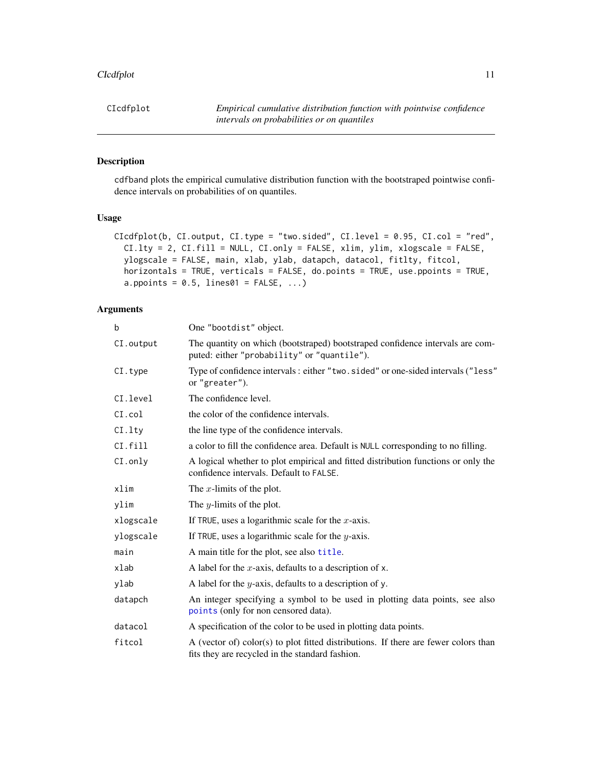#### CIcdfplot 11

# Description

cdfband plots the empirical cumulative distribution function with the bootstraped pointwise confidence intervals on probabilities of on quantiles.

# Usage

```
CIcdfplot(b, CI.output, CI.type = "two.sided", CI.level = 0.95, CI.col = "red",
 CI.lty = 2, CI.fill = NULL, CI.only = FALSE, xlim, ylim, xlogscale = FALSE,
 ylogscale = FALSE, main, xlab, ylab, datapch, datacol, fitlty, fitcol,
  horizontals = TRUE, verticals = FALSE, do.points = TRUE, use.ppoints = TRUE,
  a.ppoints = 0.5, lines01 = FALSE, \ldots)
```
# Arguments

| b         | One "bootdist" object.                                                                                                                 |
|-----------|----------------------------------------------------------------------------------------------------------------------------------------|
| CI.output | The quantity on which (bootstraped) bootstraped confidence intervals are com-<br>puted: either "probability" or "quantile").           |
| CI.type   | Type of confidence intervals: either "two.sided" or one-sided intervals ("less"<br>or "greater").                                      |
| CI.level  | The confidence level.                                                                                                                  |
| CI.co1    | the color of the confidence intervals.                                                                                                 |
| CI.lty    | the line type of the confidence intervals.                                                                                             |
| CI. fill  | a color to fill the confidence area. Default is NULL corresponding to no filling.                                                      |
| $CI-only$ | A logical whether to plot empirical and fitted distribution functions or only the<br>confidence intervals. Default to FALSE.           |
| xlim      | The $x$ -limits of the plot.                                                                                                           |
| ylim      | The <i>y</i> -limits of the plot.                                                                                                      |
| xlogscale | If TRUE, uses a logarithmic scale for the $x$ -axis.                                                                                   |
| ylogscale | If TRUE, uses a logarithmic scale for the $y$ -axis.                                                                                   |
| main      | A main title for the plot, see also title.                                                                                             |
| xlab      | A label for the x-axis, defaults to a description of $x$ .                                                                             |
| ylab      | A label for the $y$ -axis, defaults to a description of y.                                                                             |
| datapch   | An integer specifying a symbol to be used in plotting data points, see also<br>points (only for non censored data).                    |
| datacol   | A specification of the color to be used in plotting data points.                                                                       |
| fitcol    | A (vector of) color(s) to plot fitted distributions. If there are fewer colors than<br>fits they are recycled in the standard fashion. |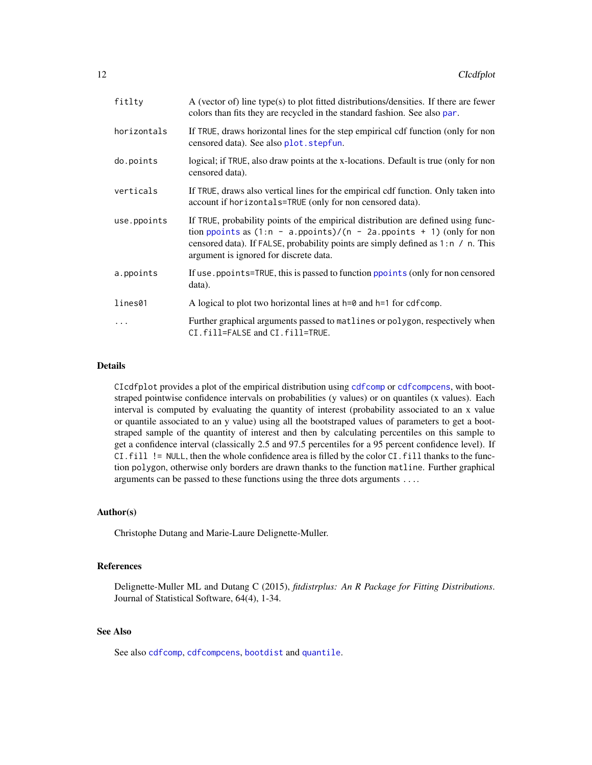| fitlty      | A (vector of) line type(s) to plot fitted distributions/densities. If there are fewer<br>colors than fits they are recycled in the standard fashion. See also par.                                                                                                                        |
|-------------|-------------------------------------------------------------------------------------------------------------------------------------------------------------------------------------------------------------------------------------------------------------------------------------------|
| horizontals | If TRUE, draws horizontal lines for the step empirical cdf function (only for non<br>censored data). See also plot. stepfun.                                                                                                                                                              |
| do.points   | logical; if TRUE, also draw points at the x-locations. Default is true (only for non<br>censored data).                                                                                                                                                                                   |
| verticals   | If TRUE, draws also vertical lines for the empirical cdf function. Only taken into<br>account if horizontals=TRUE (only for non censored data).                                                                                                                                           |
| use.ppoints | If TRUE, probability points of the empirical distribution are defined using func-<br>tion ppoints as $(1:n - a.ppoints)/(n - 2a.ppoints + 1)$ (only for non<br>censored data). If FALSE, probability points are simply defined as 1:n / n. This<br>argument is ignored for discrete data. |
| a.ppoints   | If use, ppoints=TRUE, this is passed to function ppoints (only for non censored<br>data).                                                                                                                                                                                                 |
| lines01     | A logical to plot two horizontal lines at $h=0$ and $h=1$ for cdfcomp.                                                                                                                                                                                                                    |
|             | Further graphical arguments passed to matlines or polygon, respectively when<br>CI.fill=FALSE and CI.fill=TRUE.                                                                                                                                                                           |

# Details

CIcdfplot provides a plot of the empirical distribution using [cdfcomp](#page-42-0) or [cdfcompcens](#page-47-1), with bootstraped pointwise confidence intervals on probabilities (y values) or on quantiles (x values). Each interval is computed by evaluating the quantity of interest (probability associated to an x value or quantile associated to an y value) using all the bootstraped values of parameters to get a bootstraped sample of the quantity of interest and then by calculating percentiles on this sample to get a confidence interval (classically 2.5 and 97.5 percentiles for a 95 percent confidence level). If CI.fill != NULL, then the whole confidence area is filled by the color CI.fill thanks to the function polygon, otherwise only borders are drawn thanks to the function matline. Further graphical arguments can be passed to these functions using the three dots arguments ....

#### Author(s)

Christophe Dutang and Marie-Laure Delignette-Muller.

#### References

Delignette-Muller ML and Dutang C (2015), *fitdistrplus: An R Package for Fitting Distributions*. Journal of Statistical Software, 64(4), 1-34.

# See Also

See also [cdfcomp](#page-42-0), [cdfcompcens](#page-47-1), [bootdist](#page-3-1) and [quantile](#page-0-0).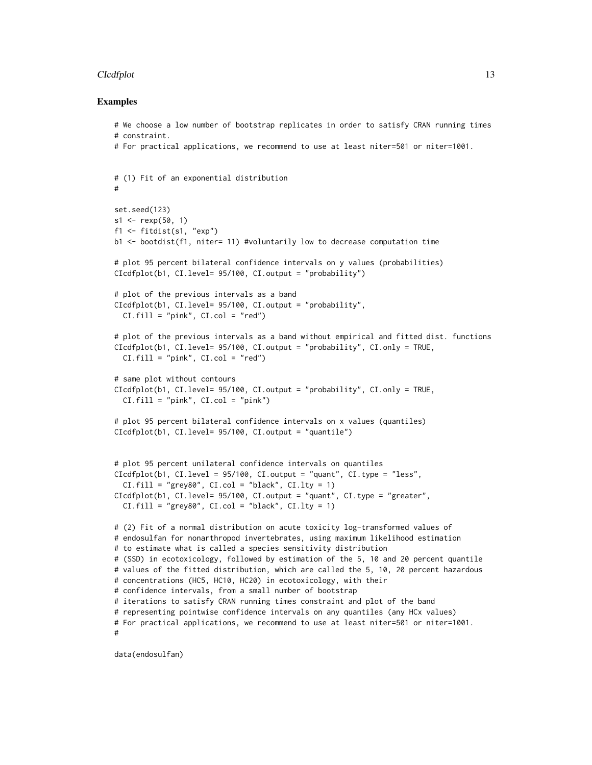#### CIcdfplot 13

#### Examples

```
# We choose a low number of bootstrap replicates in order to satisfy CRAN running times
# constraint.
# For practical applications, we recommend to use at least niter=501 or niter=1001.
# (1) Fit of an exponential distribution
#
set.seed(123)
s1 \leq - rexp(50, 1)
f1 <- fitdist(s1, "exp")
b1 <- bootdist(f1, niter= 11) #voluntarily low to decrease computation time
# plot 95 percent bilateral confidence intervals on y values (probabilities)
CIcdfplot(b1, CI.level= 95/100, CI.output = "probability")
# plot of the previous intervals as a band
CIcdfplot(b1, CI.level= 95/100, CI.output = "probability",
  CI.fill = "pink", CI,col = "red")# plot of the previous intervals as a band without empirical and fitted dist. functions
CIcdfplot(b1, CI.level= 95/100, CI.output = "probability", CI.only = TRUE,
  CI.fill = "pink", CI,col = "red")# same plot without contours
CIcdfplot(b1, CI.level= 95/100, CI.output = "probability", CI.only = TRUE,
  CI.fill = "pink", CI,col = "pink"# plot 95 percent bilateral confidence intervals on x values (quantiles)
CIcdfplot(b1, CI.level= 95/100, CI.output = "quantile")
# plot 95 percent unilateral confidence intervals on quantiles
CIcdfplot(b1, CI.level = 95/100, CI.output = "quant", CI.type = "less",
  CI.fill = "grey80", CI,col = "black", CI.lty = 1)CIcdfplot(b1, CI.level= 95/100, CI.output = "quant", CI.type = "greater",
  CI.fill = "grey80", CI,col = "black", CI.lty = 1)# (2) Fit of a normal distribution on acute toxicity log-transformed values of
# endosulfan for nonarthropod invertebrates, using maximum likelihood estimation
# to estimate what is called a species sensitivity distribution
# (SSD) in ecotoxicology, followed by estimation of the 5, 10 and 20 percent quantile
# values of the fitted distribution, which are called the 5, 10, 20 percent hazardous
# concentrations (HC5, HC10, HC20) in ecotoxicology, with their
# confidence intervals, from a small number of bootstrap
# iterations to satisfy CRAN running times constraint and plot of the band
# representing pointwise confidence intervals on any quantiles (any HCx values)
# For practical applications, we recommend to use at least niter=501 or niter=1001.
#
```
data(endosulfan)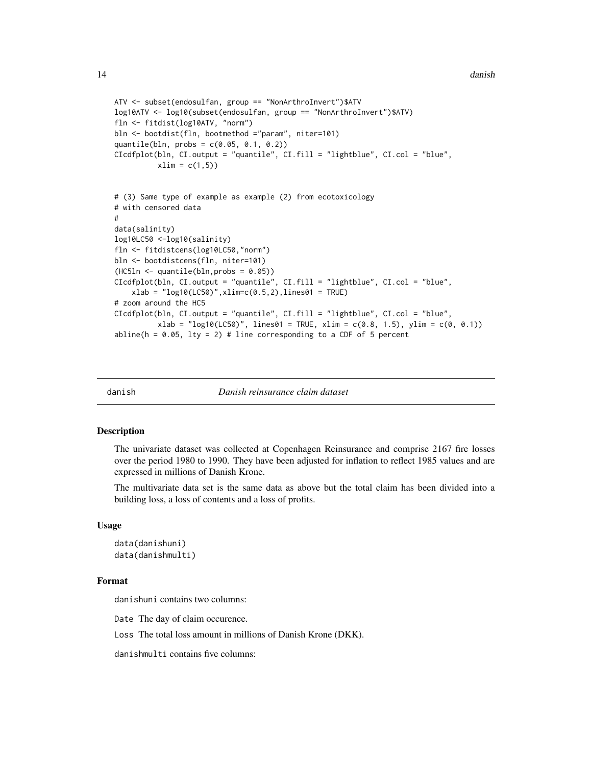```
ATV <- subset(endosulfan, group == "NonArthroInvert")$ATV
log10ATV <- log10(subset(endosulfan, group == "NonArthroInvert")$ATV)
fln <- fitdist(log10ATV, "norm")
bln <- bootdist(fln, bootmethod ="param", niter=101)
quantile(bln, probs = c(0.05, 0.1, 0.2))
CIcdfplot(bln, CI.output = "quantile", CI.fill = "lightblue", CI.col = "blue",
          xlim = c(1,5)# (3) Same type of example as example (2) from ecotoxicology
# with censored data
#
data(salinity)
log10LC50 <-log10(salinity)
fln <- fitdistcens(log10LC50,"norm")
bln <- bootdistcens(fln, niter=101)
(HC5ln <- quantile(bln,probs = 0.05))
CIcdfplot(bln, CI.output = "quantile", CI.fill = "lightblue", CI.col = "blue",
    xlab = "log10(LC50)", xlim=c(0.5, 2), lines01 = TRUE)# zoom around the HC5
CIcdfplot(bln, CI.output = "quantile", CI.fill = "lightblue", CI.col = "blue",
          xlab = "log10(LC50)", lines01 = TRUE, xlim = c(0.8, 1.5), ylim = c(0, 0.1))
abline(h = 0.05, lty = 2) # line corresponding to a CDF of 5 percent
```
danish *Danish reinsurance claim dataset*

# **Description**

The univariate dataset was collected at Copenhagen Reinsurance and comprise 2167 fire losses over the period 1980 to 1990. They have been adjusted for inflation to reflect 1985 values and are expressed in millions of Danish Krone.

The multivariate data set is the same data as above but the total claim has been divided into a building loss, a loss of contents and a loss of profits.

#### Usage

```
data(danishuni)
data(danishmulti)
```
#### Format

danishuni contains two columns:

Date The day of claim occurence.

Loss The total loss amount in millions of Danish Krone (DKK).

danishmulti contains five columns:

<span id="page-13-0"></span>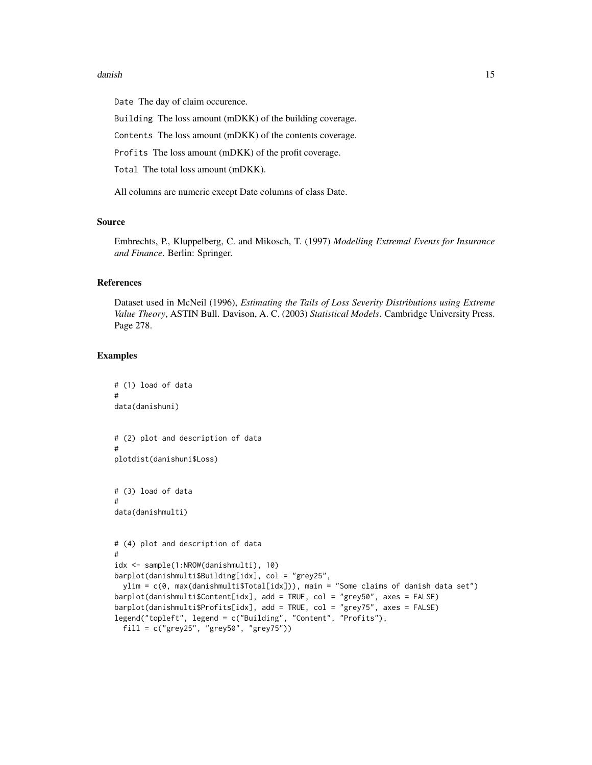#### danish the contract of the contract of the contract of the contract of the contract of the contract of the contract of the contract of the contract of the contract of the contract of the contract of the contract of the con

Date The day of claim occurence.

Building The loss amount (mDKK) of the building coverage.

Contents The loss amount (mDKK) of the contents coverage.

Profits The loss amount (mDKK) of the profit coverage.

Total The total loss amount (mDKK).

All columns are numeric except Date columns of class Date.

# Source

Embrechts, P., Kluppelberg, C. and Mikosch, T. (1997) *Modelling Extremal Events for Insurance and Finance*. Berlin: Springer.

#### References

Dataset used in McNeil (1996), *Estimating the Tails of Loss Severity Distributions using Extreme Value Theory*, ASTIN Bull. Davison, A. C. (2003) *Statistical Models*. Cambridge University Press. Page 278.

# Examples

```
# (1) load of data
#
data(danishuni)
# (2) plot and description of data
#
plotdist(danishuni$Loss)
# (3) load of data
#
data(danishmulti)
# (4) plot and description of data
#
idx <- sample(1:NROW(danishmulti), 10)
barplot(danishmulti$Building[idx], col = "grey25",
  ylim = c(0, max(danishmulti$Total[idx])), main = "Some claims of danish data set")
barplot(danishmulti$Content[idx], add = TRUE, col = "grey50", axes = FALSE)
barplot(danishmulti$Profits[idx], add = TRUE, col = "grey75", axes = FALSE)
legend("topleft", legend = c("Building", "Content", "Profits"),
  fill = c("grey25", "grey50", "grey75"))
```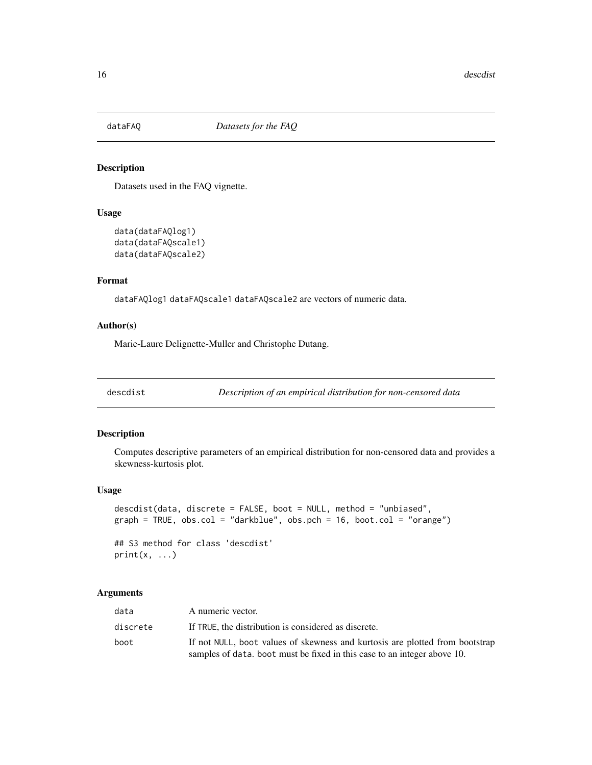<span id="page-15-0"></span>

#### Description

Datasets used in the FAQ vignette.

# Usage

```
data(dataFAQlog1)
data(dataFAQscale1)
data(dataFAQscale2)
```
# Format

dataFAQlog1 dataFAQscale1 dataFAQscale2 are vectors of numeric data.

#### Author(s)

Marie-Laure Delignette-Muller and Christophe Dutang.

<span id="page-15-1"></span>descdist *Description of an empirical distribution for non-censored data*

#### Description

Computes descriptive parameters of an empirical distribution for non-censored data and provides a skewness-kurtosis plot.

# Usage

```
descdist(data, discrete = FALSE, boot = NULL, method = "unbiased",
graph = TRUE, obs.col = "darkblue", obs.pch = 16, boot.col = "orange")
```
## S3 method for class 'descdist'  $print(x, \ldots)$ 

# Arguments

| data     | A numeric vector.                                                            |
|----------|------------------------------------------------------------------------------|
| discrete | If TRUE, the distribution is considered as discrete.                         |
| boot     | If not NULL, boot values of skewness and kurtosis are plotted from bootstrap |
|          | samples of data, boot must be fixed in this case to an integer above 10.     |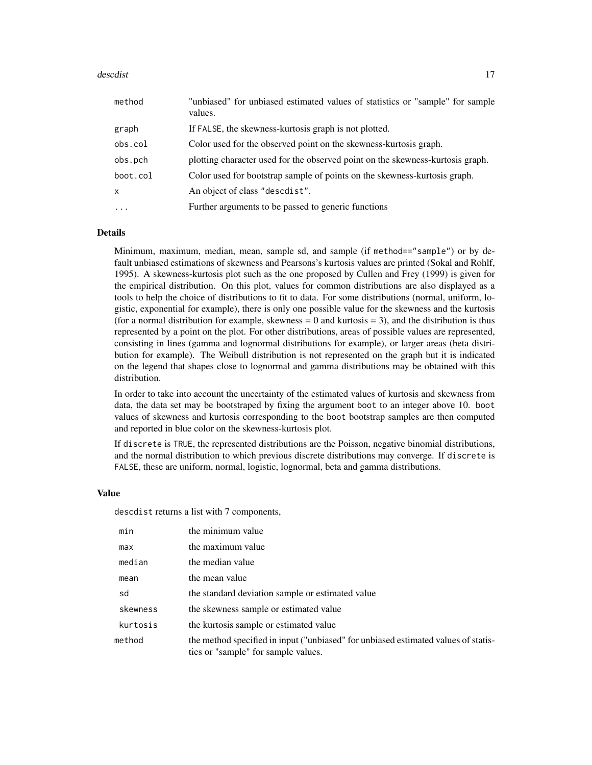#### descdist two descriptions of the contract of the contract of the contract of the contract of the contract of the contract of the contract of the contract of the contract of the contract of the contract of the contract of t

| method       | "unbiased" for unbiased estimated values of statistics or "sample" for sample<br>values. |
|--------------|------------------------------------------------------------------------------------------|
| graph        | If FALSE, the skewness-kurtosis graph is not plotted.                                    |
| obs.col      | Color used for the observed point on the skewness-kurtosis graph.                        |
| obs.pch      | plotting character used for the observed point on the skewness-kurtosis graph.           |
| boot.col     | Color used for bootstrap sample of points on the skewness-kurtosis graph.                |
| $\mathsf{x}$ | An object of class "descdist".                                                           |
| $\cdots$     | Further arguments to be passed to generic functions                                      |

# **Details**

Minimum, maximum, median, mean, sample sd, and sample (if method=="sample") or by default unbiased estimations of skewness and Pearsons's kurtosis values are printed (Sokal and Rohlf, 1995). A skewness-kurtosis plot such as the one proposed by Cullen and Frey (1999) is given for the empirical distribution. On this plot, values for common distributions are also displayed as a tools to help the choice of distributions to fit to data. For some distributions (normal, uniform, logistic, exponential for example), there is only one possible value for the skewness and the kurtosis (for a normal distribution for example, skewness  $= 0$  and kurtosis  $= 3$ ), and the distribution is thus represented by a point on the plot. For other distributions, areas of possible values are represented, consisting in lines (gamma and lognormal distributions for example), or larger areas (beta distribution for example). The Weibull distribution is not represented on the graph but it is indicated on the legend that shapes close to lognormal and gamma distributions may be obtained with this distribution.

In order to take into account the uncertainty of the estimated values of kurtosis and skewness from data, the data set may be bootstraped by fixing the argument boot to an integer above 10. boot values of skewness and kurtosis corresponding to the boot bootstrap samples are then computed and reported in blue color on the skewness-kurtosis plot.

If discrete is TRUE, the represented distributions are the Poisson, negative binomial distributions, and the normal distribution to which previous discrete distributions may converge. If discrete is FALSE, these are uniform, normal, logistic, lognormal, beta and gamma distributions.

# Value

descdist returns a list with 7 components,

| min      | the minimum value                                                                                                         |
|----------|---------------------------------------------------------------------------------------------------------------------------|
| max      | the maximum value                                                                                                         |
| median   | the median value                                                                                                          |
| mean     | the mean value                                                                                                            |
| sd       | the standard deviation sample or estimated value                                                                          |
| skewness | the skewness sample or estimated value                                                                                    |
| kurtosis | the kurtosis sample or estimated value                                                                                    |
| method   | the method specified in input ("unbiased" for unbiased estimated values of statis-<br>tics or "sample" for sample values. |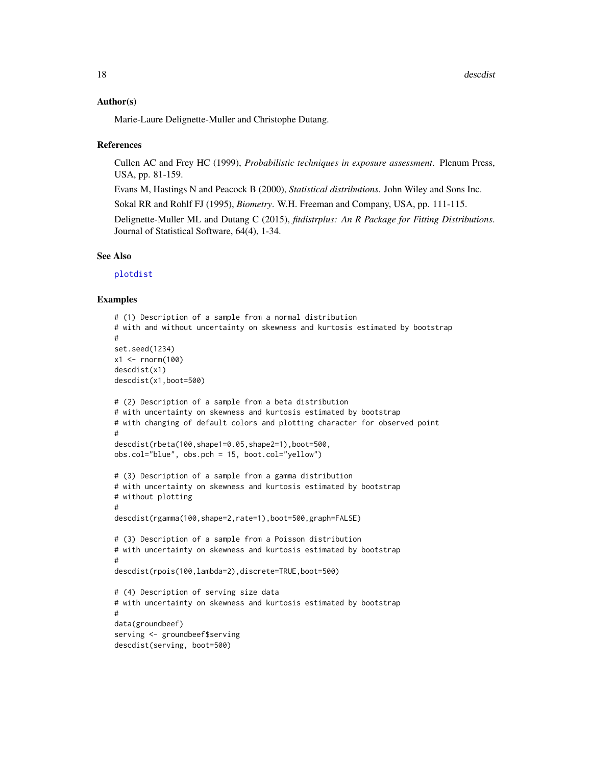#### Author(s)

Marie-Laure Delignette-Muller and Christophe Dutang.

#### References

Cullen AC and Frey HC (1999), *Probabilistic techniques in exposure assessment*. Plenum Press, USA, pp. 81-159.

Evans M, Hastings N and Peacock B (2000), *Statistical distributions*. John Wiley and Sons Inc.

Sokal RR and Rohlf FJ (1995), *Biometry*. W.H. Freeman and Company, USA, pp. 111-115.

Delignette-Muller ML and Dutang C (2015), *fitdistrplus: An R Package for Fitting Distributions*. Journal of Statistical Software, 64(4), 1-34.

# See Also

[plotdist](#page-68-1)

#### Examples

```
# (1) Description of a sample from a normal distribution
# with and without uncertainty on skewness and kurtosis estimated by bootstrap
#
set.seed(1234)
x1 <- rnorm(100)descdist(x1)
descdist(x1,boot=500)
# (2) Description of a sample from a beta distribution
# with uncertainty on skewness and kurtosis estimated by bootstrap
# with changing of default colors and plotting character for observed point
#
descdist(rbeta(100,shape1=0.05,shape2=1),boot=500,
obs.col="blue", obs.pch = 15, boot.col="yellow")
# (3) Description of a sample from a gamma distribution
# with uncertainty on skewness and kurtosis estimated by bootstrap
# without plotting
#
descdist(rgamma(100,shape=2,rate=1),boot=500,graph=FALSE)
# (3) Description of a sample from a Poisson distribution
# with uncertainty on skewness and kurtosis estimated by bootstrap
#
descdist(rpois(100,lambda=2),discrete=TRUE,boot=500)
# (4) Description of serving size data
# with uncertainty on skewness and kurtosis estimated by bootstrap
#
data(groundbeef)
serving <- groundbeef$serving
descdist(serving, boot=500)
```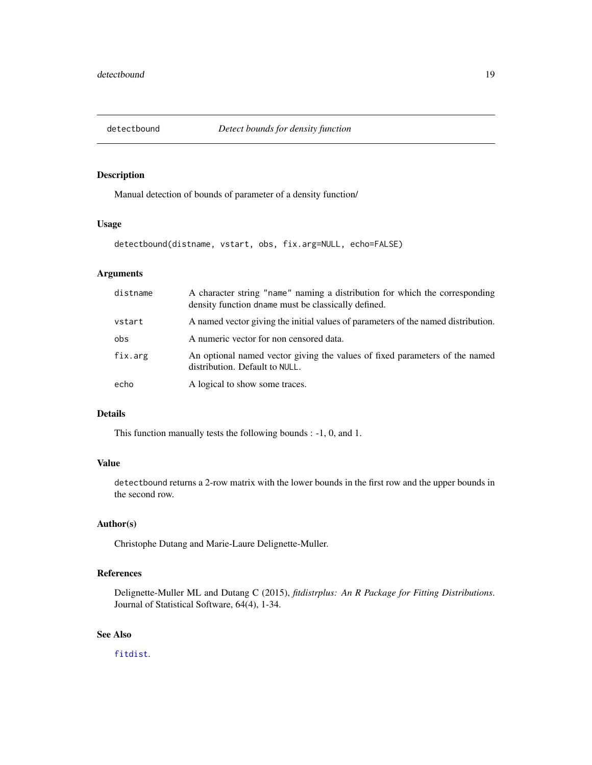<span id="page-18-0"></span>

# Description

Manual detection of bounds of parameter of a density function/

#### Usage

```
detectbound(distname, vstart, obs, fix.arg=NULL, echo=FALSE)
```
# Arguments

| distname | A character string "name" naming a distribution for which the corresponding<br>density function dname must be classically defined. |
|----------|------------------------------------------------------------------------------------------------------------------------------------|
| vstart   | A named vector giving the initial values of parameters of the named distribution.                                                  |
| obs      | A numeric vector for non censored data.                                                                                            |
| fix.arg  | An optional named vector giving the values of fixed parameters of the named<br>distribution. Default to NULL.                      |
| echo     | A logical to show some traces.                                                                                                     |

# Details

This function manually tests the following bounds : -1, 0, and 1.

# Value

detectbound returns a 2-row matrix with the lower bounds in the first row and the upper bounds in the second row.

# Author(s)

Christophe Dutang and Marie-Laure Delignette-Muller.

# References

Delignette-Muller ML and Dutang C (2015), *fitdistrplus: An R Package for Fitting Distributions*. Journal of Statistical Software, 64(4), 1-34.

# See Also

[fitdist](#page-21-1).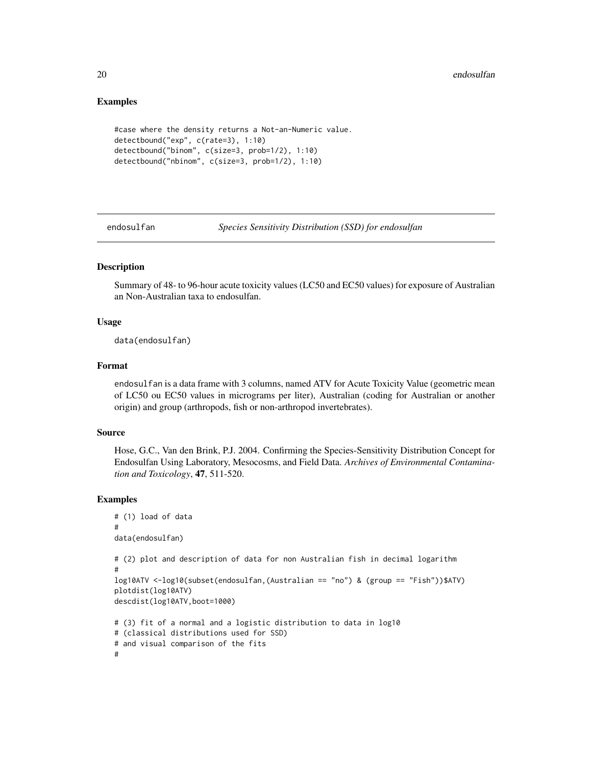# Examples

```
#case where the density returns a Not-an-Numeric value.
detectbound("exp", c(rate=3), 1:10)
detectbound("binom", c(size=3, prob=1/2), 1:10)
detectbound("nbinom", c(size=3, prob=1/2), 1:10)
```
endosulfan *Species Sensitivity Distribution (SSD) for endosulfan*

# Description

Summary of 48- to 96-hour acute toxicity values (LC50 and EC50 values) for exposure of Australian an Non-Australian taxa to endosulfan.

# Usage

data(endosulfan)

# Format

endosulfan is a data frame with 3 columns, named ATV for Acute Toxicity Value (geometric mean of LC50 ou EC50 values in micrograms per liter), Australian (coding for Australian or another origin) and group (arthropods, fish or non-arthropod invertebrates).

#### Source

Hose, G.C., Van den Brink, P.J. 2004. Confirming the Species-Sensitivity Distribution Concept for Endosulfan Using Laboratory, Mesocosms, and Field Data. *Archives of Environmental Contamination and Toxicology*, 47, 511-520.

# Examples

```
# (1) load of data
#
data(endosulfan)
# (2) plot and description of data for non Australian fish in decimal logarithm
#
log10ATV <-log10(subset(endosulfan,(Australian == "no") & (group == "Fish"))$ATV)
plotdist(log10ATV)
descdist(log10ATV,boot=1000)
# (3) fit of a normal and a logistic distribution to data in log10
# (classical distributions used for SSD)
# and visual comparison of the fits
#
```
<span id="page-19-0"></span>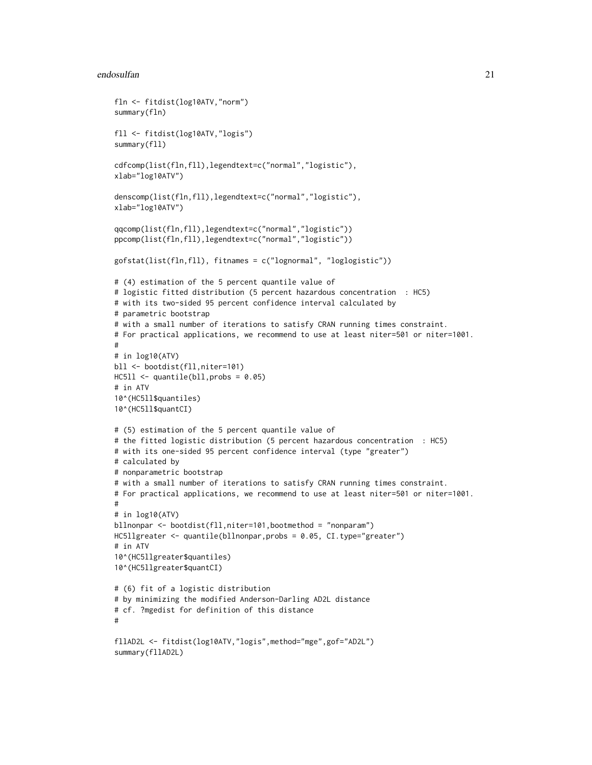#### endosulfan 21

```
fln <- fitdist(log10ATV,"norm")
summary(fln)
fll <- fitdist(log10ATV,"logis")
summary(fll)
cdfcomp(list(fln,fll),legendtext=c("normal","logistic"),
xlab="log10ATV")
denscomp(list(fln,fll),legendtext=c("normal","logistic"),
xlab="log10ATV")
qqcomp(list(fln,fll),legendtext=c("normal","logistic"))
ppcomp(list(fln,fll),legendtext=c("normal","logistic"))
gofstat(list(fln,fll), fitnames = c("lognormal", "loglogistic"))
# (4) estimation of the 5 percent quantile value of
# logistic fitted distribution (5 percent hazardous concentration : HC5)
# with its two-sided 95 percent confidence interval calculated by
# parametric bootstrap
# with a small number of iterations to satisfy CRAN running times constraint.
# For practical applications, we recommend to use at least niter=501 or niter=1001.
#
# in log10(ATV)
bll <- bootdist(fll,niter=101)
HCS11 < - quantile(bll, probs = 0.05)
# in ATV
10^(HC5ll$quantiles)
10^(HC5ll$quantCI)
# (5) estimation of the 5 percent quantile value of
# the fitted logistic distribution (5 percent hazardous concentration : HC5)
# with its one-sided 95 percent confidence interval (type "greater")
# calculated by
# nonparametric bootstrap
# with a small number of iterations to satisfy CRAN running times constraint.
# For practical applications, we recommend to use at least niter=501 or niter=1001.
#
# in log10(ATV)
bllnonpar <- bootdist(fll,niter=101,bootmethod = "nonparam")
HC5llgreater <- quantile(bllnonpar,probs = 0.05, CI.type="greater")
# in ATV
10^(HC5llgreater$quantiles)
10^(HC5llgreater$quantCI)
# (6) fit of a logistic distribution
# by minimizing the modified Anderson-Darling AD2L distance
# cf. ?mgedist for definition of this distance
#
fllAD2L <- fitdist(log10ATV,"logis",method="mge",gof="AD2L")
summary(fllAD2L)
```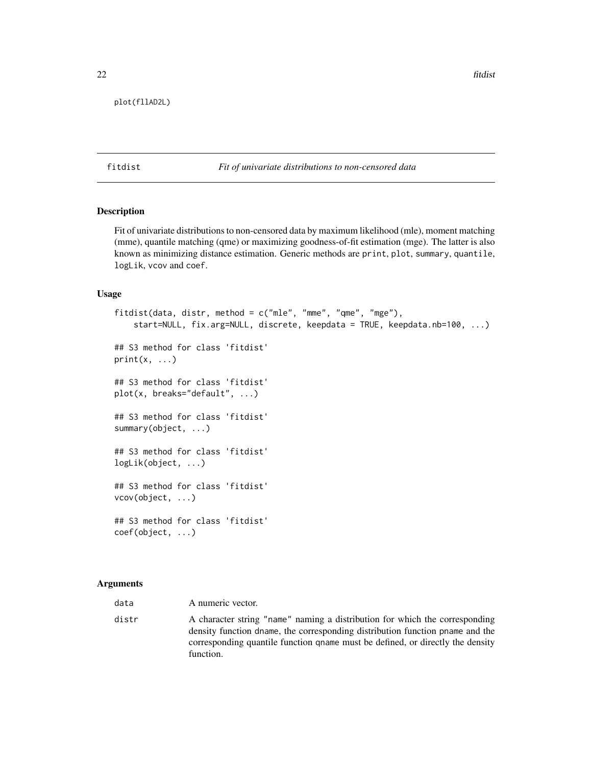<span id="page-21-0"></span>plot(fllAD2L)

#### <span id="page-21-1"></span>fitdist *Fit of univariate distributions to non-censored data*

# Description

Fit of univariate distributions to non-censored data by maximum likelihood (mle), moment matching (mme), quantile matching (qme) or maximizing goodness-of-fit estimation (mge). The latter is also known as minimizing distance estimation. Generic methods are print, plot, summary, quantile, logLik, vcov and coef.

# Usage

```
fitdist(data, distr, method = c("mle", "mme", "qme", "mge"),
    start=NULL, fix.arg=NULL, discrete, keepdata = TRUE, keepdata.nb=100, ...)
## S3 method for class 'fitdist'
print(x, \ldots)## S3 method for class 'fitdist'
plot(x, breaks="default", ...)
## S3 method for class 'fitdist'
summary(object, ...)
## S3 method for class 'fitdist'
logLik(object, ...)
## S3 method for class 'fitdist'
vcov(object, ...)
## S3 method for class 'fitdist'
coef(object, ...)
```
#### Arguments

| data  | A numeric vector.                                                                                                                                                                                                                                           |
|-------|-------------------------------------------------------------------------------------------------------------------------------------------------------------------------------------------------------------------------------------------------------------|
| distr | A character string "name" naming a distribution for which the corresponding<br>density function dname, the corresponding distribution function pname and the<br>corresponding quantile function gname must be defined, or directly the density<br>function. |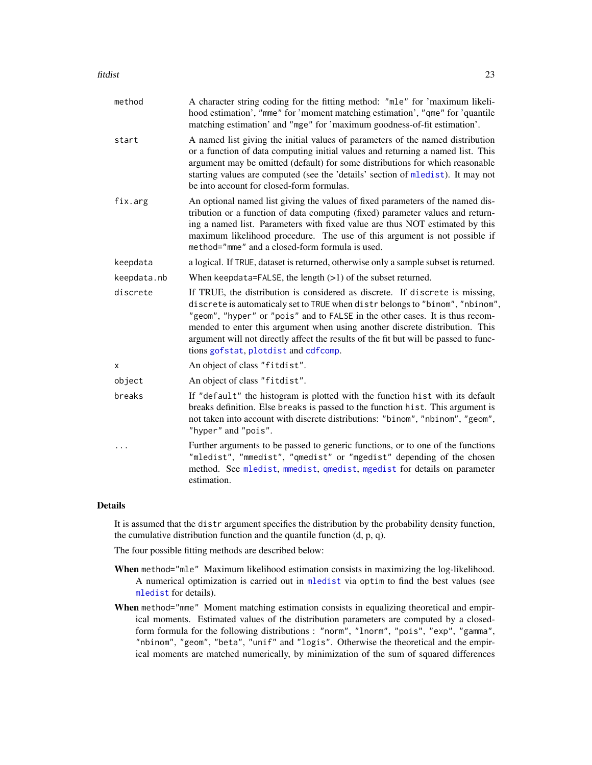#### fitdist 23

| method      | A character string coding for the fitting method: "mle" for 'maximum likeli-<br>hood estimation', "mme" for 'moment matching estimation', "qme" for 'quantile<br>matching estimation' and "mge" for 'maximum goodness-of-fit estimation'.                                                                                                                                                                                                                     |
|-------------|---------------------------------------------------------------------------------------------------------------------------------------------------------------------------------------------------------------------------------------------------------------------------------------------------------------------------------------------------------------------------------------------------------------------------------------------------------------|
| start       | A named list giving the initial values of parameters of the named distribution<br>or a function of data computing initial values and returning a named list. This<br>argument may be omitted (default) for some distributions for which reasonable<br>starting values are computed (see the 'details' section of mledist). It may not<br>be into account for closed-form formulas.                                                                            |
| fix.arg     | An optional named list giving the values of fixed parameters of the named dis-<br>tribution or a function of data computing (fixed) parameter values and return-<br>ing a named list. Parameters with fixed value are thus NOT estimated by this<br>maximum likelihood procedure. The use of this argument is not possible if<br>method="mme" and a closed-form formula is used.                                                                              |
| keepdata    | a logical. If TRUE, dataset is returned, otherwise only a sample subset is returned.                                                                                                                                                                                                                                                                                                                                                                          |
| keepdata.nb | When keepdata=FALSE, the length $(>1)$ of the subset returned.                                                                                                                                                                                                                                                                                                                                                                                                |
| discrete    | If TRUE, the distribution is considered as discrete. If discrete is missing,<br>discrete is automaticaly set to TRUE when distr belongs to "binom", "nbinom",<br>"geom", "hyper" or "pois" and to FALSE in the other cases. It is thus recom-<br>mended to enter this argument when using another discrete distribution. This<br>argument will not directly affect the results of the fit but will be passed to func-<br>tions gofstat, plotdist and cdfcomp. |
| X           | An object of class "fitdist".                                                                                                                                                                                                                                                                                                                                                                                                                                 |
| object      | An object of class "fitdist".                                                                                                                                                                                                                                                                                                                                                                                                                                 |
| breaks      | If "default" the histogram is plotted with the function hist with its default<br>breaks definition. Else breaks is passed to the function hist. This argument is<br>not taken into account with discrete distributions: "binom", "nbinom", "geom",<br>"hyper" and "pois".                                                                                                                                                                                     |
| .           | Further arguments to be passed to generic functions, or to one of the functions<br>"mledist", "mmedist", "qmedist" or "mgedist" depending of the chosen<br>method. See mledist, mmedist, qmedist, mgedist for details on parameter<br>estimation.                                                                                                                                                                                                             |

# Details

It is assumed that the distr argument specifies the distribution by the probability density function, the cumulative distribution function and the quantile function (d, p, q).

The four possible fitting methods are described below:

- When method="mle" Maximum likelihood estimation consists in maximizing the log-likelihood. A numerical optimization is carried out in [mledist](#page-59-1) via optim to find the best values (see [mledist](#page-59-1) for details).
- When method="mme" Moment matching estimation consists in equalizing theoretical and empirical moments. Estimated values of the distribution parameters are computed by a closedform formula for the following distributions : "norm", "lnorm", "pois", "exp", "gamma", "nbinom", "geom", "beta", "unif" and "logis". Otherwise the theoretical and the empirical moments are matched numerically, by minimization of the sum of squared differences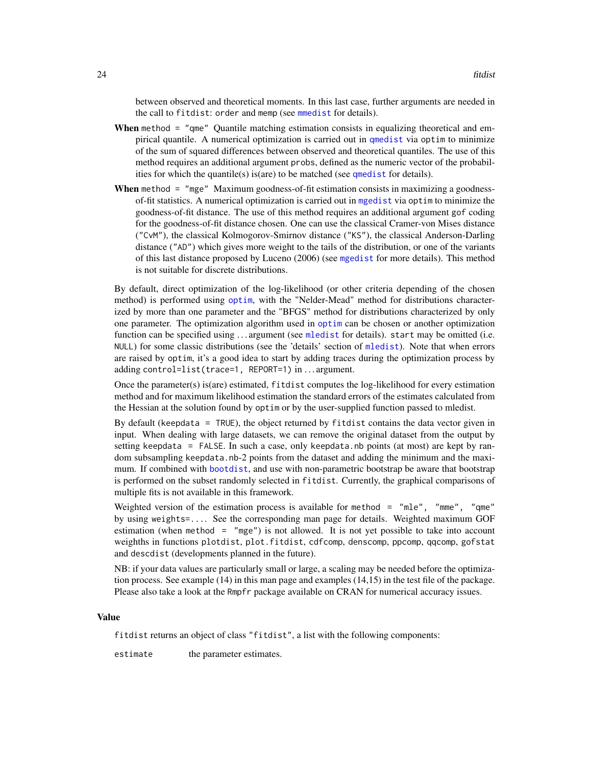between observed and theoretical moments. In this last case, further arguments are needed in the call to fitdist: order and memp (see [mmedist](#page-64-1) for details).

- When method = "qme" Quantile matching estimation consists in equalizing theoretical and empirical quantile. A numerical optimization is carried out in [qmedist](#page-75-1) via optim to minimize of the sum of squared differences between observed and theoretical quantiles. The use of this method requires an additional argument probs, defined as the numeric vector of the probabilities for which the quantile(s) is(are) to be matched (see [qmedist](#page-75-1) for details).
- When method = "mge" Maximum goodness-of-fit estimation consists in maximizing a goodnessof-fit statistics. A numerical optimization is carried out in [mgedist](#page-56-1) via optim to minimize the goodness-of-fit distance. The use of this method requires an additional argument gof coding for the goodness-of-fit distance chosen. One can use the classical Cramer-von Mises distance ("CvM"), the classical Kolmogorov-Smirnov distance ("KS"), the classical Anderson-Darling distance ("AD") which gives more weight to the tails of the distribution, or one of the variants of this last distance proposed by Luceno (2006) (see [mgedist](#page-56-1) for more details). This method is not suitable for discrete distributions.

By default, direct optimization of the log-likelihood (or other criteria depending of the chosen method) is performed using [optim](#page-0-0), with the "Nelder-Mead" method for distributions characterized by more than one parameter and the "BFGS" method for distributions characterized by only one parameter. The optimization algorithm used in [optim](#page-0-0) can be chosen or another optimization function can be specified using ... argument (see [mledist](#page-59-1) for details). start may be omitted (i.e. NULL) for some classic distributions (see the 'details' section of [mledist](#page-59-1)). Note that when errors are raised by optim, it's a good idea to start by adding traces during the optimization process by adding control=list(trace=1, REPORT=1) in ... argument.

Once the parameter(s) is(are) estimated, fitdist computes the log-likelihood for every estimation method and for maximum likelihood estimation the standard errors of the estimates calculated from the Hessian at the solution found by optim or by the user-supplied function passed to mledist.

By default (keepdata = TRUE), the object returned by fitdist contains the data vector given in input. When dealing with large datasets, we can remove the original dataset from the output by setting keepdata = FALSE. In such a case, only keepdata.nb points (at most) are kept by random subsampling keepdata.nb-2 points from the dataset and adding the minimum and the maximum. If combined with [bootdist](#page-3-1), and use with non-parametric bootstrap be aware that bootstrap is performed on the subset randomly selected in fitdist. Currently, the graphical comparisons of multiple fits is not available in this framework.

Weighted version of the estimation process is available for method  $=$  "mle", "mme", "qme" by using weights=.... See the corresponding man page for details. Weighted maximum GOF estimation (when method = "mge") is not allowed. It is not yet possible to take into account weighths in functions plotdist, plot.fitdist, cdfcomp, denscomp, ppcomp, qqcomp, gofstat and descdist (developments planned in the future).

NB: if your data values are particularly small or large, a scaling may be needed before the optimization process. See example (14) in this man page and examples (14,15) in the test file of the package. Please also take a look at the Rmpfr package available on CRAN for numerical accuracy issues.

#### Value

fitdist returns an object of class "fitdist", a list with the following components:

estimate the parameter estimates.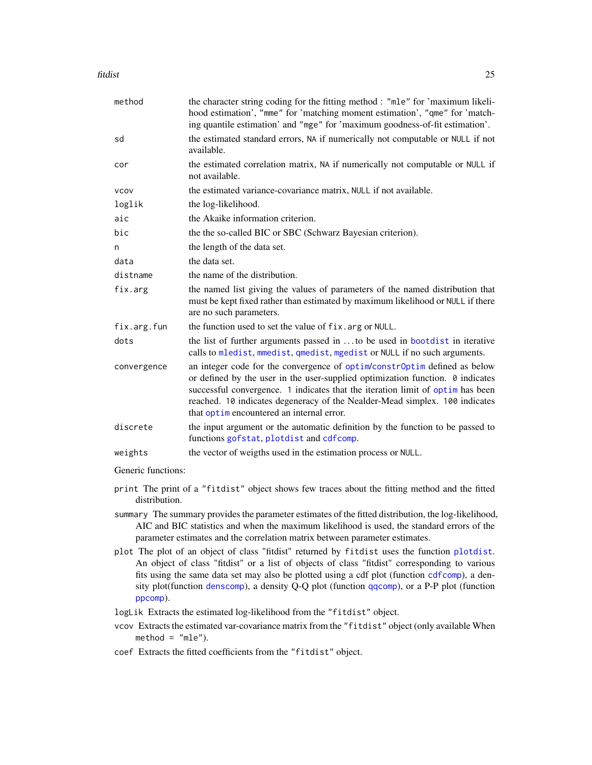#### fitdist 25

| method      | the character string coding for the fitting method : "mle" for 'maximum likeli-<br>hood estimation', "mme" for 'matching moment estimation', "qme" for 'match-<br>ing quantile estimation' and "mge" for 'maximum goodness-of-fit estimation'.                                                                                                                                  |
|-------------|---------------------------------------------------------------------------------------------------------------------------------------------------------------------------------------------------------------------------------------------------------------------------------------------------------------------------------------------------------------------------------|
| sd          | the estimated standard errors, NA if numerically not computable or NULL if not<br>available.                                                                                                                                                                                                                                                                                    |
| cor         | the estimated correlation matrix, NA if numerically not computable or NULL if<br>not available.                                                                                                                                                                                                                                                                                 |
| <b>VCOV</b> | the estimated variance-covariance matrix, NULL if not available.                                                                                                                                                                                                                                                                                                                |
| loglik      | the log-likelihood.                                                                                                                                                                                                                                                                                                                                                             |
| aic         | the Akaike information criterion.                                                                                                                                                                                                                                                                                                                                               |
| bic         | the the so-called BIC or SBC (Schwarz Bayesian criterion).                                                                                                                                                                                                                                                                                                                      |
| n           | the length of the data set.                                                                                                                                                                                                                                                                                                                                                     |
| data        | the data set.                                                                                                                                                                                                                                                                                                                                                                   |
| distname    | the name of the distribution.                                                                                                                                                                                                                                                                                                                                                   |
| fix.arg     | the named list giving the values of parameters of the named distribution that<br>must be kept fixed rather than estimated by maximum likelihood or NULL if there<br>are no such parameters.                                                                                                                                                                                     |
| fix.arg.fun | the function used to set the value of fix. arg or NULL.                                                                                                                                                                                                                                                                                                                         |
| dots        | the list of further arguments passed in to be used in bootdist in iterative<br>calls to mledist, mmedist, qmedist, mgedist or NULL if no such arguments.                                                                                                                                                                                                                        |
| convergence | an integer code for the convergence of optim/constr0ptim defined as below<br>or defined by the user in the user-supplied optimization function. $\theta$ indicates<br>successful convergence. 1 indicates that the iteration limit of optim has been<br>reached. 10 indicates degeneracy of the Nealder-Mead simplex. 100 indicates<br>that optimencountered an internal error. |
| discrete    | the input argument or the automatic definition by the function to be passed to<br>functions gofstat, plotdist and cdfcomp.                                                                                                                                                                                                                                                      |
| weights     | the vector of weigths used in the estimation process or NULL.                                                                                                                                                                                                                                                                                                                   |
|             |                                                                                                                                                                                                                                                                                                                                                                                 |

Generic functions:

- print The print of a "fitdist" object shows few traces about the fitting method and the fitted distribution.
- summary The summary provides the parameter estimates of the fitted distribution, the log-likelihood, AIC and BIC statistics and when the maximum likelihood is used, the standard errors of the parameter estimates and the correlation matrix between parameter estimates.
- plot The plot of an object of class "fitdist" returned by fitdist uses the function [plotdist](#page-68-1). An object of class "fitdist" or a list of objects of class "fitdist" corresponding to various fits using the same data set may also be plotted using a cdf plot (function [cdfcomp](#page-42-0)), a density plot(function [denscomp](#page-42-0)), a density Q-Q plot (function [qqcomp](#page-42-0)), or a P-P plot (function [ppcomp](#page-42-0)).

logLik Extracts the estimated log-likelihood from the "fitdist" object.

- vcov Extracts the estimated var-covariance matrix from the "fitdist" object (only available When  $method = "mle".$
- coef Extracts the fitted coefficients from the "fitdist" object.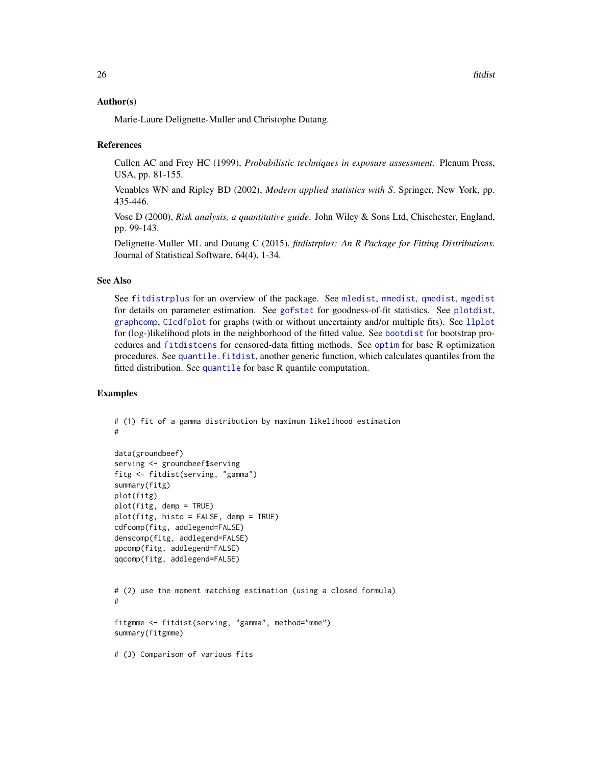#### Author(s)

Marie-Laure Delignette-Muller and Christophe Dutang.

#### References

Cullen AC and Frey HC (1999), *Probabilistic techniques in exposure assessment*. Plenum Press, USA, pp. 81-155.

Venables WN and Ripley BD (2002), *Modern applied statistics with S*. Springer, New York, pp. 435-446.

Vose D (2000), *Risk analysis, a quantitative guide*. John Wiley & Sons Ltd, Chischester, England, pp. 99-143.

Delignette-Muller ML and Dutang C (2015), *fitdistrplus: An R Package for Fitting Distributions*. Journal of Statistical Software, 64(4), 1-34.

#### See Also

See [fitdistrplus](#page-1-1) for an overview of the package. See [mledist](#page-59-1), [mmedist](#page-64-1), [qmedist](#page-75-1), [mgedist](#page-56-1) for details on parameter estimation. See [gofstat](#page-38-1) for goodness-of-fit statistics. See [plotdist](#page-68-1), [graphcomp](#page-41-1), [CIcdfplot](#page-9-1) for graphs (with or without uncertainty and/or multiple fits). See [llplot](#page-51-1) for (log-)likelihood plots in the neighborhood of the fitted value. See [bootdist](#page-3-1) for bootstrap procedures and [fitdistcens](#page-31-1) for censored-data fitting methods. See [optim](#page-0-0) for base R optimization procedures. See [quantile.fitdist](#page-78-1), another generic function, which calculates quantiles from the fitted distribution. See [quantile](#page-0-0) for base R quantile computation.

# Examples

```
# (1) fit of a gamma distribution by maximum likelihood estimation
#
data(groundbeef)
serving <- groundbeef$serving
fitg <- fitdist(serving, "gamma")
summary(fitg)
plot(fitg)
plot(fitg, demp = TRUE)
plot(fitg, histo = FALSE, demp = TRUE)
cdfcomp(fitg, addlegend=FALSE)
denscomp(fitg, addlegend=FALSE)
ppcomp(fitg, addlegend=FALSE)
qqcomp(fitg, addlegend=FALSE)
# (2) use the moment matching estimation (using a closed formula)
#
fitgmme <- fitdist(serving, "gamma", method="mme")
summary(fitgmme)
# (3) Comparison of various fits
```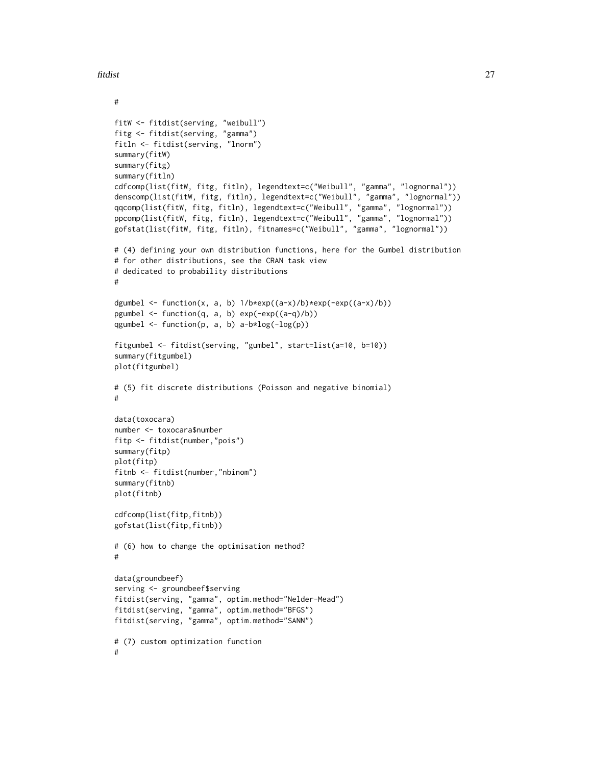fitdist 27

```
#
fitW <- fitdist(serving, "weibull")
fitg <- fitdist(serving, "gamma")
fitln <- fitdist(serving, "lnorm")
summary(fitW)
summary(fitg)
summary(fitln)
cdfcomp(list(fitW, fitg, fitln), legendtext=c("Weibull", "gamma", "lognormal"))
denscomp(list(fitW, fitg, fitln), legendtext=c("Weibull", "gamma", "lognormal"))
qqcomp(list(fitW, fitg, fitln), legendtext=c("Weibull", "gamma", "lognormal"))
ppcomp(list(fitW, fitg, fitln), legendtext=c("Weibull", "gamma", "lognormal"))
gofstat(list(fitW, fitg, fitln), fitnames=c("Weibull", "gamma", "lognormal"))
# (4) defining your own distribution functions, here for the Gumbel distribution
# for other distributions, see the CRAN task view
# dedicated to probability distributions
#
dgumbel <- function(x, a, b) 1/b*exp((a-x)/b)*exp(-exp((a-x)/b))pgumbel <- function(q, a, b) exp(-exp((a-q)/b))
qgumbel \leq function(p, a, b) a-b*log(-log(p))
fitgumbel <- fitdist(serving, "gumbel", start=list(a=10, b=10))
summary(fitgumbel)
plot(fitgumbel)
# (5) fit discrete distributions (Poisson and negative binomial)
#
data(toxocara)
number <- toxocara$number
fitp <- fitdist(number,"pois")
summary(fitp)
plot(fitp)
fitnb <- fitdist(number,"nbinom")
summary(fitnb)
plot(fitnb)
cdfcomp(list(fitp,fitnb))
gofstat(list(fitp,fitnb))
# (6) how to change the optimisation method?
#
data(groundbeef)
serving <- groundbeef$serving
fitdist(serving, "gamma", optim.method="Nelder-Mead")
fitdist(serving, "gamma", optim.method="BFGS")
fitdist(serving, "gamma", optim.method="SANN")
# (7) custom optimization function
#
```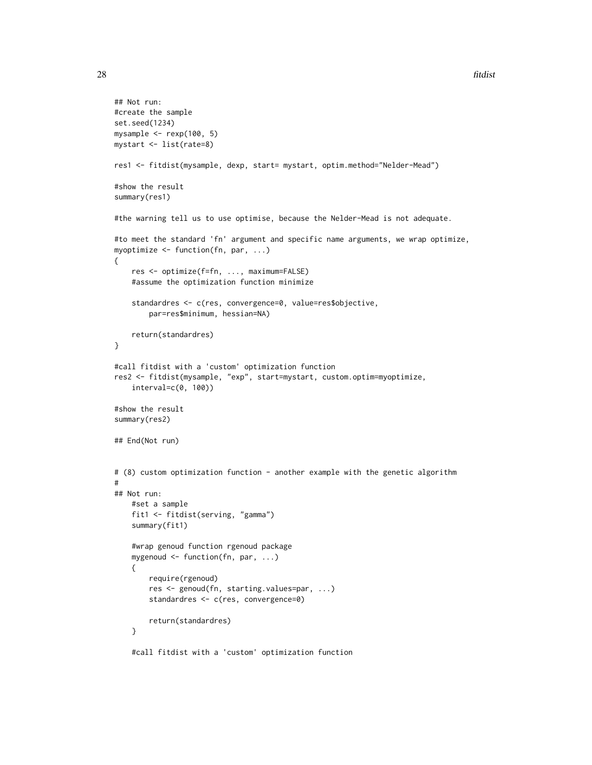```
## Not run:
#create the sample
set.seed(1234)
mysample <- rexp(100, 5)
mystart <- list(rate=8)
res1 <- fitdist(mysample, dexp, start= mystart, optim.method="Nelder-Mead")
#show the result
summary(res1)
#the warning tell us to use optimise, because the Nelder-Mead is not adequate.
#to meet the standard 'fn' argument and specific name arguments, we wrap optimize,
myoptimize <- function(fn, par, ...)
{
    res <- optimize(f=fn, ..., maximum=FALSE)
    #assume the optimization function minimize
    standardres <- c(res, convergence=0, value=res$objective,
        par=res$minimum, hessian=NA)
    return(standardres)
}
#call fitdist with a 'custom' optimization function
res2 <- fitdist(mysample, "exp", start=mystart, custom.optim=myoptimize,
    interval=c(0, 100))
#show the result
summary(res2)
## End(Not run)
# (8) custom optimization function - another example with the genetic algorithm
#
## Not run:
    #set a sample
    fit1 <- fitdist(serving, "gamma")
    summary(fit1)
    #wrap genoud function rgenoud package
    mygenoud <- function(fn, par, ...)
    {
        require(rgenoud)
        res <- genoud(fn, starting.values=par, ...)
        standardres <- c(res, convergence=0)
        return(standardres)
    }
    #call fitdist with a 'custom' optimization function
```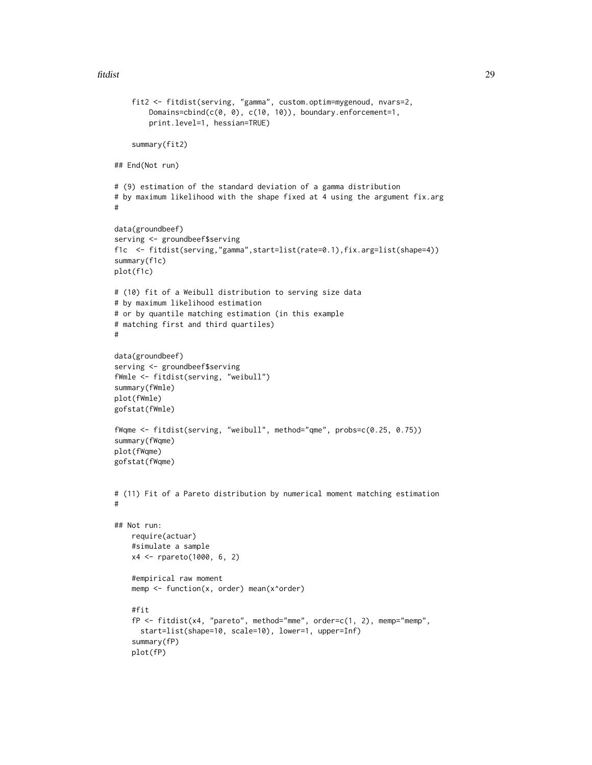fitdist 29

```
fit2 <- fitdist(serving, "gamma", custom.optim=mygenoud, nvars=2,
        Domains=cbind(c(0, 0), c(10, 10)), boundary.enforcement=1,
        print.level=1, hessian=TRUE)
    summary(fit2)
## End(Not run)
# (9) estimation of the standard deviation of a gamma distribution
# by maximum likelihood with the shape fixed at 4 using the argument fix.arg
#
data(groundbeef)
serving <- groundbeef$serving
f1c <- fitdist(serving,"gamma",start=list(rate=0.1),fix.arg=list(shape=4))
summary(f1c)
plot(f1c)
# (10) fit of a Weibull distribution to serving size data
# by maximum likelihood estimation
# or by quantile matching estimation (in this example
# matching first and third quartiles)
#
data(groundbeef)
serving <- groundbeef$serving
fWmle <- fitdist(serving, "weibull")
summary(fWmle)
plot(fWmle)
gofstat(fWmle)
fWqme <- fitdist(serving, "weibull", method="qme", probs=c(0.25, 0.75))
summary(fWqme)
plot(fWqme)
gofstat(fWqme)
# (11) Fit of a Pareto distribution by numerical moment matching estimation
#
## Not run:
   require(actuar)
    #simulate a sample
   x4 <- rpareto(1000, 6, 2)
    #empirical raw moment
    memp <- function(x, order) mean(x^order)
    #fit
    fP \leq-fictdist(x4, "pareto", method="mme", order=c(1, 2), memp="memp",start=list(shape=10, scale=10), lower=1, upper=Inf)
    summary(fP)
    plot(fP)
```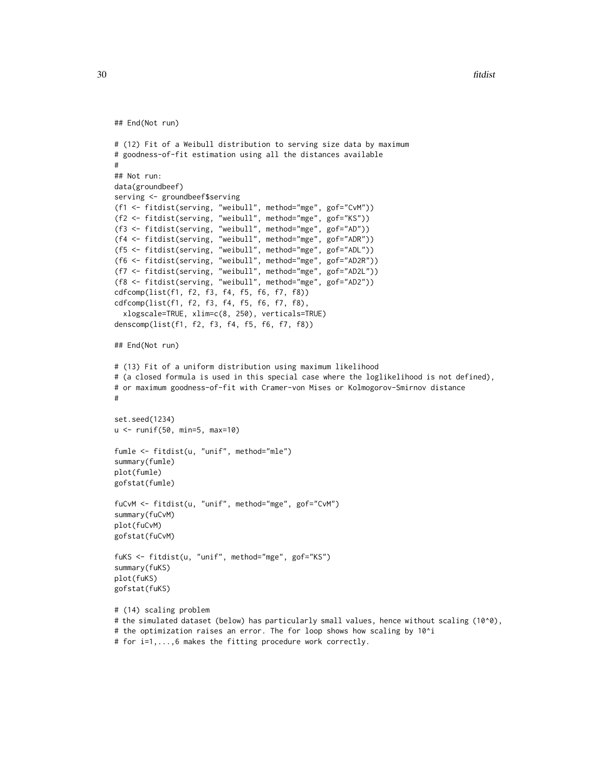```
## End(Not run)
# (12) Fit of a Weibull distribution to serving size data by maximum
# goodness-of-fit estimation using all the distances available
#
## Not run:
data(groundbeef)
serving <- groundbeef$serving
(f1 <- fitdist(serving, "weibull", method="mge", gof="CvM"))
(f2 <- fitdist(serving, "weibull", method="mge", gof="KS"))
(f3 <- fitdist(serving, "weibull", method="mge", gof="AD"))
(f4 <- fitdist(serving, "weibull", method="mge", gof="ADR"))
(f5 <- fitdist(serving, "weibull", method="mge", gof="ADL"))
(f6 <- fitdist(serving, "weibull", method="mge", gof="AD2R"))
(f7 <- fitdist(serving, "weibull", method="mge", gof="AD2L"))
(f8 <- fitdist(serving, "weibull", method="mge", gof="AD2"))
cdfcomp(list(f1, f2, f3, f4, f5, f6, f7, f8))
cdfcomp(list(f1, f2, f3, f4, f5, f6, f7, f8),
  xlogscale=TRUE, xlim=c(8, 250), verticals=TRUE)
denscomp(list(f1, f2, f3, f4, f5, f6, f7, f8))
## End(Not run)
# (13) Fit of a uniform distribution using maximum likelihood
# (a closed formula is used in this special case where the loglikelihood is not defined),
# or maximum goodness-of-fit with Cramer-von Mises or Kolmogorov-Smirnov distance
#
set.seed(1234)
u <- runif(50, min=5, max=10)
fumle <- fitdist(u, "unif", method="mle")
summary(fumle)
plot(fumle)
gofstat(fumle)
fuCvM <- fitdist(u, "unif", method="mge", gof="CvM")
summary(fuCvM)
plot(fuCvM)
gofstat(fuCvM)
fuKS <- fitdist(u, "unif", method="mge", gof="KS")
summary(fuKS)
plot(fuKS)
gofstat(fuKS)
# (14) scaling problem
# the simulated dataset (below) has particularly small values, hence without scaling (10^0),
# the optimization raises an error. The for loop shows how scaling by 10^i
```
# for i=1,...,6 makes the fitting procedure work correctly.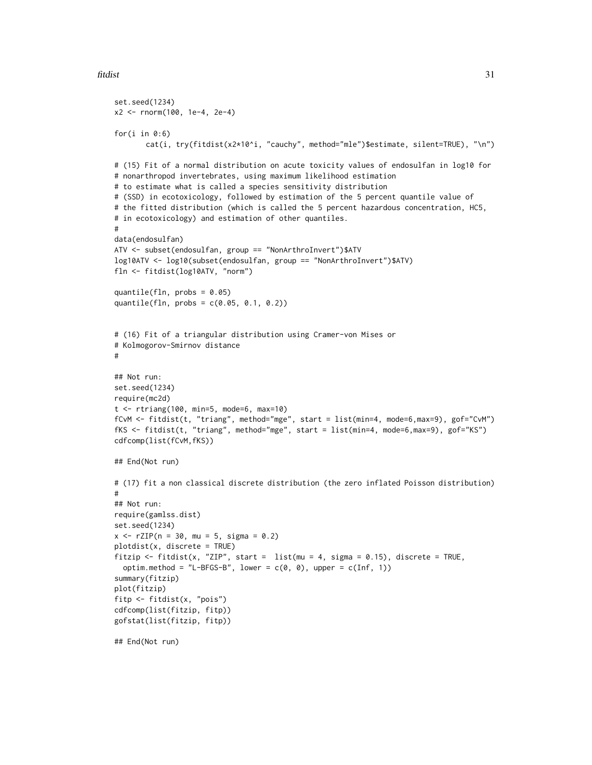#### fitdist 31

```
set.seed(1234)
x2 <- rnorm(100, 1e-4, 2e-4)
for(i in 0:6)
       cat(i, try(fitdist(x2*10^i, "cauchy", method="mle")$estimate, silent=TRUE), "\n")
# (15) Fit of a normal distribution on acute toxicity values of endosulfan in log10 for
# nonarthropod invertebrates, using maximum likelihood estimation
# to estimate what is called a species sensitivity distribution
# (SSD) in ecotoxicology, followed by estimation of the 5 percent quantile value of
# the fitted distribution (which is called the 5 percent hazardous concentration, HC5,
# in ecotoxicology) and estimation of other quantiles.
#
data(endosulfan)
ATV <- subset(endosulfan, group == "NonArthroInvert")$ATV
log10ATV <- log10(subset(endosulfan, group == "NonArthroInvert")$ATV)
fln <- fitdist(log10ATV, "norm")
quantile(fln, probs = 0.05)
quantile(fln, probs = c(0.05, 0.1, 0.2))
# (16) Fit of a triangular distribution using Cramer-von Mises or
# Kolmogorov-Smirnov distance
#
## Not run:
set.seed(1234)
require(mc2d)
t <- rtriang(100, min=5, mode=6, max=10)
fCvM <- fitdist(t, "triang", method="mge", start = list(min=4, mode=6,max=9), gof="CvM")
fKS <- fitdist(t, "triang", method="mge", start = list(min=4, mode=6,max=9), gof="KS")
cdfcomp(list(fCvM,fKS))
## End(Not run)
# (17) fit a non classical discrete distribution (the zero inflated Poisson distribution)
#
## Not run:
require(gamlss.dist)
set.seed(1234)
x \le -rZIP(n = 30, mu = 5, sigma = 0.2)plotdist(x, discrete = TRUE)
fitzip <- fitdist(x, "ZIP", start = list(mu = 4, sigma = 0.15), discrete = TRUE,
  optim.method = "L-BFGS-B", lower = c(\emptyset, \emptyset), upper = c(Inf, 1))
summary(fitzip)
plot(fitzip)
fitp <- fitdist(x, "pois")
cdfcomp(list(fitzip, fitp))
gofstat(list(fitzip, fitp))
## End(Not run)
```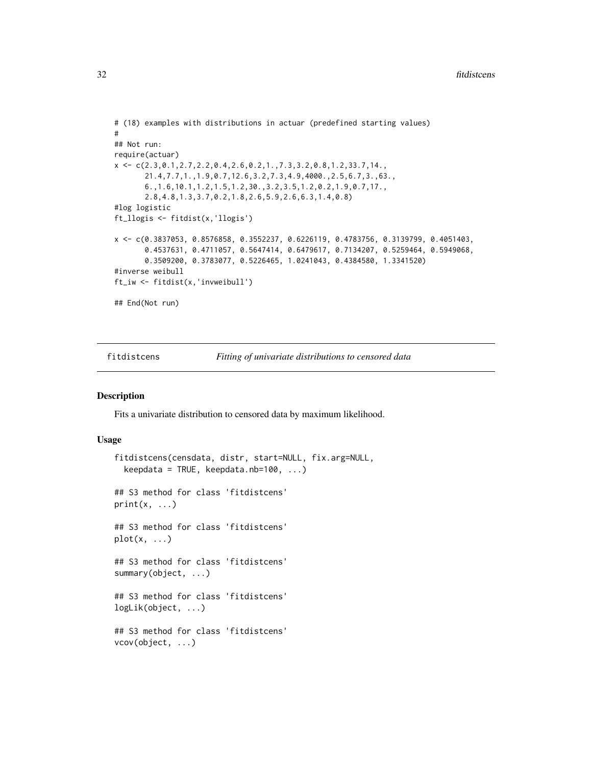```
# (18) examples with distributions in actuar (predefined starting values)
#
## Not run:
require(actuar)
x \leftarrow c(2.3, 0.1, 2.7, 2.2, 0.4, 2.6, 0.2, 1., 7.3, 3.2, 0.8, 1.2, 33.7, 14.21.4,7.7,1.,1.9,0.7,12.6,3.2,7.3,4.9,4000.,2.5,6.7,3.,63.,
       6.,1.6,10.1,1.2,1.5,1.2,30.,3.2,3.5,1.2,0.2,1.9,0.7,17.,
       2.8,4.8,1.3,3.7,0.2,1.8,2.6,5.9,2.6,6.3,1.4,0.8)
#log logistic
ft_llogis <- fitdist(x,'llogis')
x <- c(0.3837053, 0.8576858, 0.3552237, 0.6226119, 0.4783756, 0.3139799, 0.4051403,
       0.4537631, 0.4711057, 0.5647414, 0.6479617, 0.7134207, 0.5259464, 0.5949068,
       0.3509200, 0.3783077, 0.5226465, 1.0241043, 0.4384580, 1.3341520)
#inverse weibull
ft_iw <- fitdist(x,'invweibull')
## End(Not run)
```
<span id="page-31-1"></span>fitdistcens *Fitting of univariate distributions to censored data*

#### Description

Fits a univariate distribution to censored data by maximum likelihood.

#### Usage

```
fitdistcens(censdata, distr, start=NULL, fix.arg=NULL,
  keepdata = TRUE, keepdata.nb = 100, ...## S3 method for class 'fitdistcens'
print(x, \ldots)## S3 method for class 'fitdistcens'
plot(x, \ldots)## S3 method for class 'fitdistcens'
summary(object, ...)
## S3 method for class 'fitdistcens'
logLik(object, ...)
## S3 method for class 'fitdistcens'
vcov(object, ...)
```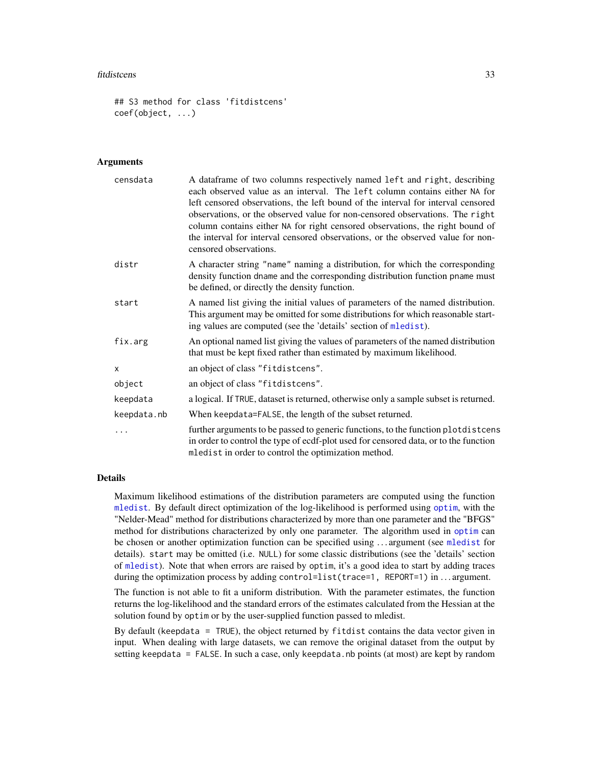#### fitdistcens 33

```
## S3 method for class 'fitdistcens'
coef(object, ...)
```
#### Arguments

| censdata    | A dataframe of two columns respectively named left and right, describing<br>each observed value as an interval. The left column contains either NA for<br>left censored observations, the left bound of the interval for interval censored<br>observations, or the observed value for non-censored observations. The right<br>column contains either NA for right censored observations, the right bound of<br>the interval for interval censored observations, or the observed value for non-<br>censored observations. |
|-------------|--------------------------------------------------------------------------------------------------------------------------------------------------------------------------------------------------------------------------------------------------------------------------------------------------------------------------------------------------------------------------------------------------------------------------------------------------------------------------------------------------------------------------|
| distr       | A character string "name" naming a distribution, for which the corresponding<br>density function dname and the corresponding distribution function pname must<br>be defined, or directly the density function.                                                                                                                                                                                                                                                                                                           |
| start       | A named list giving the initial values of parameters of the named distribution.<br>This argument may be omitted for some distributions for which reasonable start-<br>ing values are computed (see the 'details' section of mledist).                                                                                                                                                                                                                                                                                    |
| fix.arg     | An optional named list giving the values of parameters of the named distribution<br>that must be kept fixed rather than estimated by maximum likelihood.                                                                                                                                                                                                                                                                                                                                                                 |
| X           | an object of class "fitdistcens".                                                                                                                                                                                                                                                                                                                                                                                                                                                                                        |
| object      | an object of class "fitdistcens".                                                                                                                                                                                                                                                                                                                                                                                                                                                                                        |
| keepdata    | a logical. If TRUE, dataset is returned, otherwise only a sample subset is returned.                                                                                                                                                                                                                                                                                                                                                                                                                                     |
| keepdata.nb | When keepdata=FALSE, the length of the subset returned.                                                                                                                                                                                                                                                                                                                                                                                                                                                                  |
|             | further arguments to be passed to generic functions, to the function plotdistcens<br>in order to control the type of ecdf-plot used for censored data, or to the function<br>mledist in order to control the optimization method.                                                                                                                                                                                                                                                                                        |

# Details

Maximum likelihood estimations of the distribution parameters are computed using the function [mledist](#page-59-1). By default direct optimization of the log-likelihood is performed using [optim](#page-0-0), with the "Nelder-Mead" method for distributions characterized by more than one parameter and the "BFGS" method for distributions characterized by only one parameter. The algorithm used in [optim](#page-0-0) can be chosen or another optimization function can be specified using . . . argument (see [mledist](#page-59-1) for details). start may be omitted (i.e. NULL) for some classic distributions (see the 'details' section of [mledist](#page-59-1)). Note that when errors are raised by optim, it's a good idea to start by adding traces during the optimization process by adding control=list(trace=1, REPORT=1) in ... argument.

The function is not able to fit a uniform distribution. With the parameter estimates, the function returns the log-likelihood and the standard errors of the estimates calculated from the Hessian at the solution found by optim or by the user-supplied function passed to mledist.

By default (keepdata = TRUE), the object returned by fitdist contains the data vector given in input. When dealing with large datasets, we can remove the original dataset from the output by setting keepdata = FALSE. In such a case, only keepdata.nb points (at most) are kept by random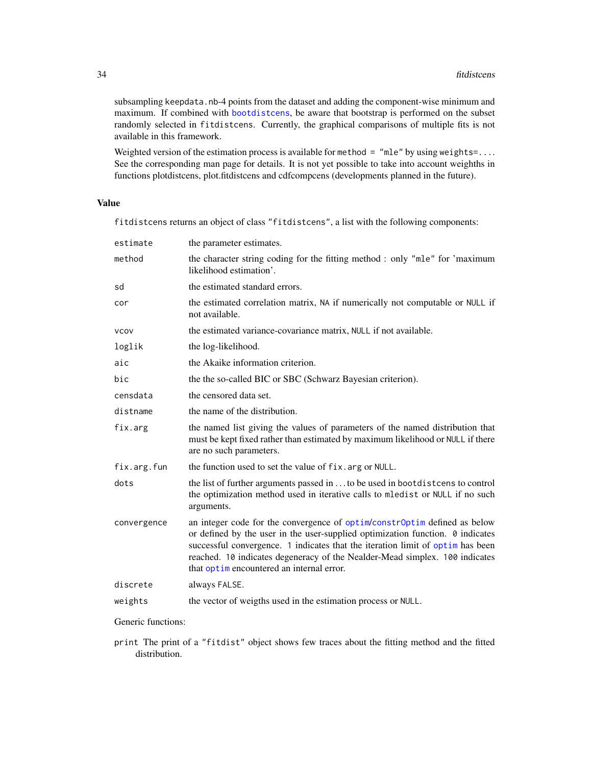subsampling keepdata.nb-4 points from the dataset and adding the component-wise minimum and maximum. If combined with [bootdistcens](#page-6-1), be aware that bootstrap is performed on the subset randomly selected in fitdistcens. Currently, the graphical comparisons of multiple fits is not available in this framework.

Weighted version of the estimation process is available for method = "mle" by using weights=.... See the corresponding man page for details. It is not yet possible to take into account weighths in functions plotdistcens, plot.fitdistcens and cdfcompcens (developments planned in the future).

#### Value

fitdistcens returns an object of class "fitdistcens", a list with the following components:

| estimate    | the parameter estimates.                                                                                                                                                                                                                                                                                                                                                        |
|-------------|---------------------------------------------------------------------------------------------------------------------------------------------------------------------------------------------------------------------------------------------------------------------------------------------------------------------------------------------------------------------------------|
| method      | the character string coding for the fitting method : only "mle" for 'maximum<br>likelihood estimation'.                                                                                                                                                                                                                                                                         |
| sd          | the estimated standard errors.                                                                                                                                                                                                                                                                                                                                                  |
| cor         | the estimated correlation matrix, NA if numerically not computable or NULL if<br>not available.                                                                                                                                                                                                                                                                                 |
| <b>VCOV</b> | the estimated variance-covariance matrix, NULL if not available.                                                                                                                                                                                                                                                                                                                |
| loglik      | the log-likelihood.                                                                                                                                                                                                                                                                                                                                                             |
| aic         | the Akaike information criterion.                                                                                                                                                                                                                                                                                                                                               |
| bic         | the the so-called BIC or SBC (Schwarz Bayesian criterion).                                                                                                                                                                                                                                                                                                                      |
| censdata    | the censored data set.                                                                                                                                                                                                                                                                                                                                                          |
| distname    | the name of the distribution.                                                                                                                                                                                                                                                                                                                                                   |
| fix.arg     | the named list giving the values of parameters of the named distribution that<br>must be kept fixed rather than estimated by maximum likelihood or NULL if there<br>are no such parameters.                                                                                                                                                                                     |
| fix.arg.fun | the function used to set the value of fix. arg or NULL.                                                                                                                                                                                                                                                                                                                         |
| dots        | the list of further arguments passed in  to be used in bootdistcens to control<br>the optimization method used in iterative calls to mledist or NULL if no such<br>arguments.                                                                                                                                                                                                   |
| convergence | an integer code for the convergence of optim/constrOptim defined as below<br>or defined by the user in the user-supplied optimization function. $\theta$ indicates<br>successful convergence. 1 indicates that the iteration limit of optim has been<br>reached. 10 indicates degeneracy of the Nealder-Mead simplex. 100 indicates<br>that optimencountered an internal error. |
| discrete    | always FALSE.                                                                                                                                                                                                                                                                                                                                                                   |
| weights     | the vector of weigths used in the estimation process or NULL.                                                                                                                                                                                                                                                                                                                   |
|             |                                                                                                                                                                                                                                                                                                                                                                                 |

Generic functions:

print The print of a "fitdist" object shows few traces about the fitting method and the fitted distribution.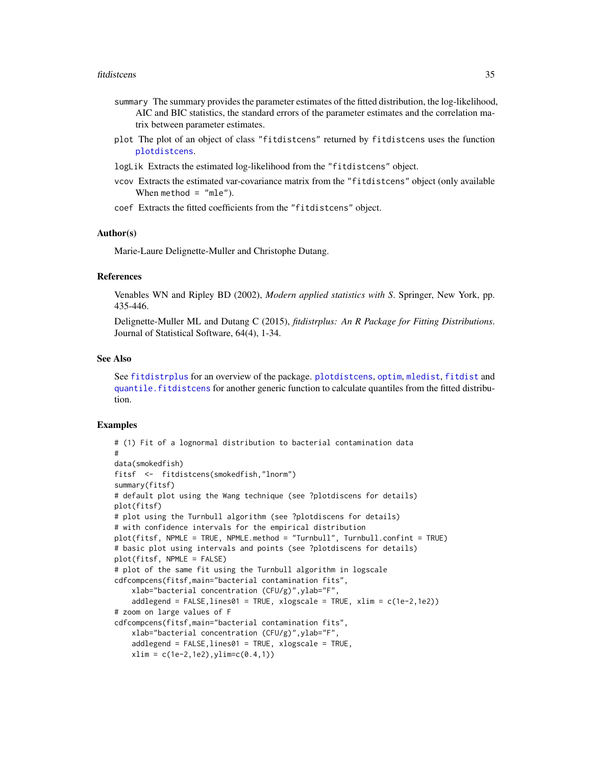#### fitdistcens 35

- summary The summary provides the parameter estimates of the fitted distribution, the log-likelihood, AIC and BIC statistics, the standard errors of the parameter estimates and the correlation matrix between parameter estimates.
- plot The plot of an object of class "fitdistcens" returned by fitdistcens uses the function [plotdistcens](#page-70-1).
- logLik Extracts the estimated log-likelihood from the "fitdistcens" object.
- vcov Extracts the estimated var-covariance matrix from the "fitdistcens" object (only available When method  $=$  "mle").
- coef Extracts the fitted coefficients from the "fitdistcens" object.

# Author(s)

Marie-Laure Delignette-Muller and Christophe Dutang.

# References

Venables WN and Ripley BD (2002), *Modern applied statistics with S*. Springer, New York, pp. 435-446.

Delignette-Muller ML and Dutang C (2015), *fitdistrplus: An R Package for Fitting Distributions*. Journal of Statistical Software, 64(4), 1-34.

#### See Also

See [fitdistrplus](#page-1-1) for an overview of the package. [plotdistcens](#page-70-1), [optim](#page-0-0), [mledist](#page-59-1), [fitdist](#page-21-1) and [quantile.fitdistcens](#page-78-1) for another generic function to calculate quantiles from the fitted distribution.

#### Examples

```
# (1) Fit of a lognormal distribution to bacterial contamination data
#
data(smokedfish)
fitsf <- fitdistcens(smokedfish,"lnorm")
summary(fitsf)
# default plot using the Wang technique (see ?plotdiscens for details)
plot(fitsf)
# plot using the Turnbull algorithm (see ?plotdiscens for details)
# with confidence intervals for the empirical distribution
plot(fitsf, NPMLE = TRUE, NPMLE.method = "Turnbull", Turnbull.confint = TRUE)
# basic plot using intervals and points (see ?plotdiscens for details)
plot(fitsf, NPMLE = FALSE)
# plot of the same fit using the Turnbull algorithm in logscale
cdfcompcens(fitsf,main="bacterial contamination fits",
    xlab="bacterial concentration (CFU/g)",ylab="F",
    addlegend = FALSE, lines01 = TRUE, xlogscale = TRUE, xlim = c(1e-2,1e2))
# zoom on large values of F
cdfcompcens(fitsf,main="bacterial contamination fits",
    xlab="bacterial concentration (CFU/g)",ylab="F",
    addlegend = FALSE,lines01 = TRUE, xlogscale = TRUE,
   xlim = c(1e-2,1e2), ylim = c(0.4,1))
```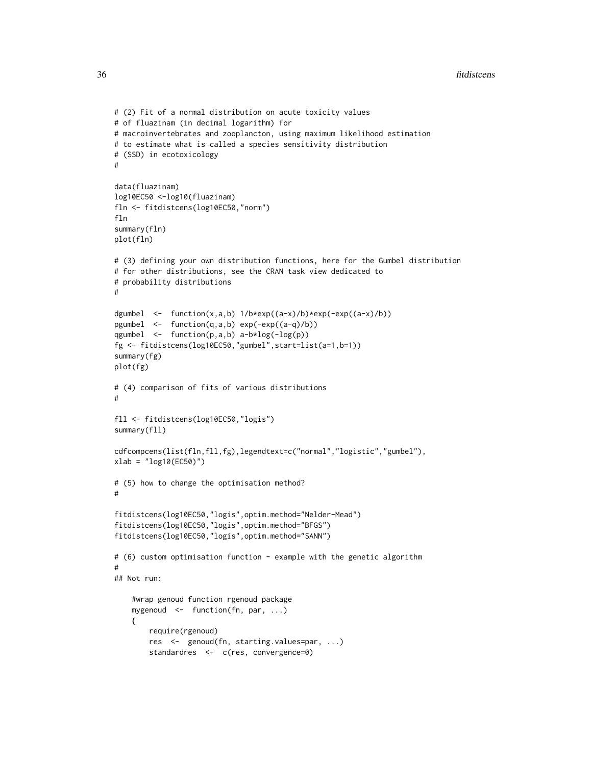```
# (2) Fit of a normal distribution on acute toxicity values
# of fluazinam (in decimal logarithm) for
# macroinvertebrates and zooplancton, using maximum likelihood estimation
# to estimate what is called a species sensitivity distribution
# (SSD) in ecotoxicology
#
data(fluazinam)
log10EC50 <-log10(fluazinam)
fln <- fitdistcens(log10EC50,"norm")
fln
summary(fln)
plot(fln)
# (3) defining your own distribution functions, here for the Gumbel distribution
# for other distributions, see the CRAN task view dedicated to
# probability distributions
#
dgumbel <- function(x,a,b) 1/b*exp((a-x)/b)*exp(-exp((a-x)/b))
pgumbel <- function(q,a,b) exp(-exp((a-q)/b))
qgumbel <- function(p,a,b) a-b*log(-log(p))
fg <- fitdistcens(log10EC50,"gumbel",start=list(a=1,b=1))
summary(fg)
plot(fg)
# (4) comparison of fits of various distributions
#
fll <- fitdistcens(log10EC50,"logis")
summary(fll)
cdfcompcens(list(fln,fll,fg),legendtext=c("normal","logistic","gumbel"),
xlab = "log10(EC50)"# (5) how to change the optimisation method?
#
fitdistcens(log10EC50,"logis",optim.method="Nelder-Mead")
fitdistcens(log10EC50,"logis",optim.method="BFGS")
fitdistcens(log10EC50,"logis",optim.method="SANN")
# (6) custom optimisation function - example with the genetic algorithm
#
## Not run:
    #wrap genoud function rgenoud package
    mygenoud <- function(fn, par, ...)
    {
        require(rgenoud)
        res <- genoud(fn, starting.values=par, ...)
        standardres <- c(res, convergence=0)
```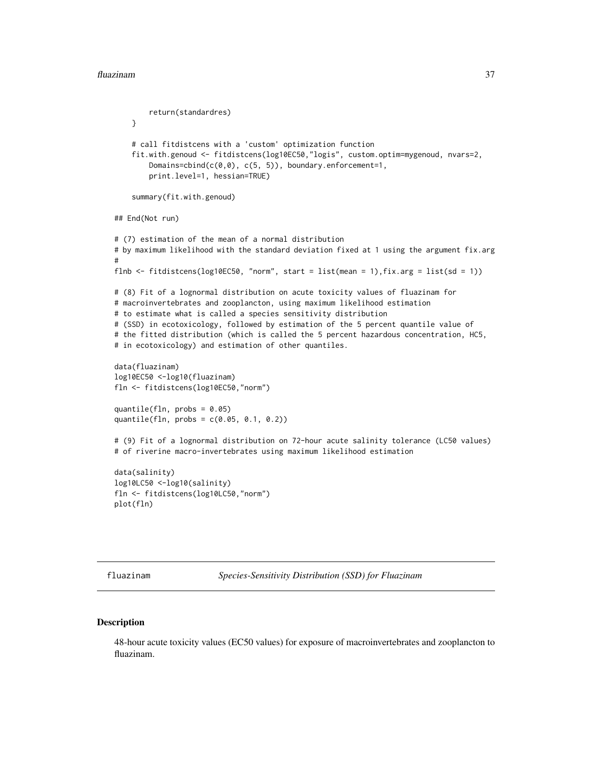```
return(standardres)
   }
    # call fitdistcens with a 'custom' optimization function
    fit.with.genoud <- fitdistcens(log10EC50,"logis", custom.optim=mygenoud, nvars=2,
       Domains=cbind(c(0,0), c(5, 5)), boundary.enforcement=1,
       print.level=1, hessian=TRUE)
    summary(fit.with.genoud)
## End(Not run)
# (7) estimation of the mean of a normal distribution
# by maximum likelihood with the standard deviation fixed at 1 using the argument fix.arg
#
flnb <- fitdistcens(log10EC50, "norm", start = list(mean = 1),fix.arg = list(sd = 1))
# (8) Fit of a lognormal distribution on acute toxicity values of fluazinam for
# macroinvertebrates and zooplancton, using maximum likelihood estimation
# to estimate what is called a species sensitivity distribution
# (SSD) in ecotoxicology, followed by estimation of the 5 percent quantile value of
# the fitted distribution (which is called the 5 percent hazardous concentration, HC5,
# in ecotoxicology) and estimation of other quantiles.
data(fluazinam)
log10EC50 <-log10(fluazinam)
fln <- fitdistcens(log10EC50,"norm")
quantile(fln, probs = 0.05)
quantile(fln, probs = c(0.05, 0.1, 0.2))
# (9) Fit of a lognormal distribution on 72-hour acute salinity tolerance (LC50 values)
# of riverine macro-invertebrates using maximum likelihood estimation
data(salinity)
log10LC50 <-log10(salinity)
fln <- fitdistcens(log10LC50,"norm")
plot(fln)
```
fluazinam *Species-Sensitivity Distribution (SSD) for Fluazinam*

### **Description**

48-hour acute toxicity values (EC50 values) for exposure of macroinvertebrates and zooplancton to fluazinam.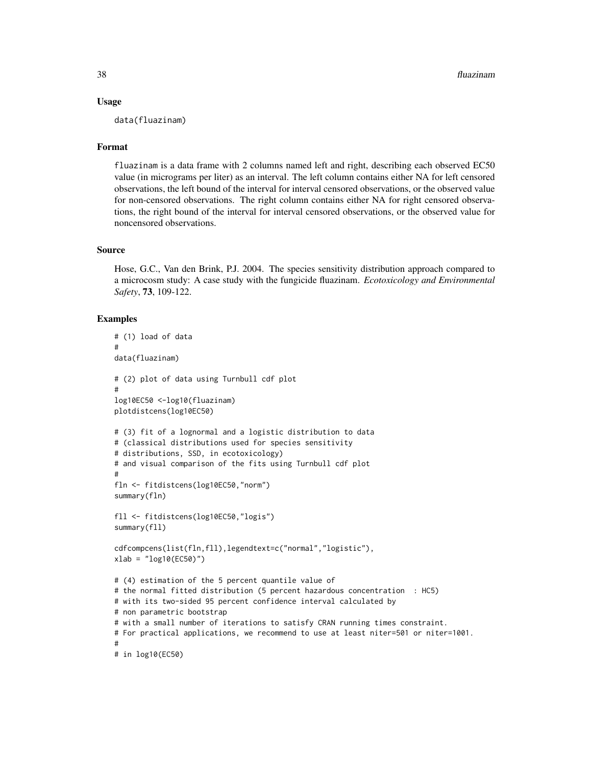#### Usage

data(fluazinam)

# Format

fluazinam is a data frame with 2 columns named left and right, describing each observed EC50 value (in micrograms per liter) as an interval. The left column contains either NA for left censored observations, the left bound of the interval for interval censored observations, or the observed value for non-censored observations. The right column contains either NA for right censored observations, the right bound of the interval for interval censored observations, or the observed value for noncensored observations.

# Source

Hose, G.C., Van den Brink, P.J. 2004. The species sensitivity distribution approach compared to a microcosm study: A case study with the fungicide fluazinam. *Ecotoxicology and Environmental Safety*, 73, 109-122.

```
# (1) load of data
#
data(fluazinam)
# (2) plot of data using Turnbull cdf plot
#
log10EC50 <-log10(fluazinam)
plotdistcens(log10EC50)
# (3) fit of a lognormal and a logistic distribution to data
# (classical distributions used for species sensitivity
# distributions, SSD, in ecotoxicology)
# and visual comparison of the fits using Turnbull cdf plot
#
fln <- fitdistcens(log10EC50,"norm")
summary(fln)
fll <- fitdistcens(log10EC50,"logis")
summary(fll)
cdfcompcens(list(fln,fll),legendtext=c("normal","logistic"),
xlab = "log10(EC50)")
# (4) estimation of the 5 percent quantile value of
# the normal fitted distribution (5 percent hazardous concentration : HC5)
# with its two-sided 95 percent confidence interval calculated by
# non parametric bootstrap
# with a small number of iterations to satisfy CRAN running times constraint.
# For practical applications, we recommend to use at least niter=501 or niter=1001.
#
# in log10(EC50)
```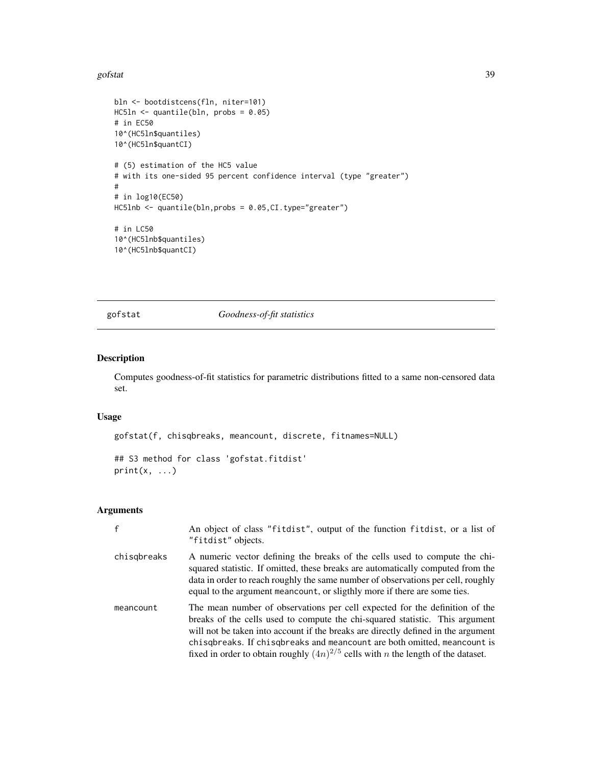#### gofstat 39

```
bln <- bootdistcens(fln, niter=101)
HC5ln <- quantile(bln, probs = 0.05)
# in EC50
10^(HC5ln$quantiles)
10^(HC5ln$quantCI)
# (5) estimation of the HC5 value
# with its one-sided 95 percent confidence interval (type "greater")
#
# in log10(EC50)
HC5lnb <- quantile(bln,probs = 0.05,CI.type="greater")
# in LC50
10^(HC5lnb$quantiles)
10^(HC5lnb$quantCI)
```
## gofstat *Goodness-of-fit statistics*

## Description

Computes goodness-of-fit statistics for parametric distributions fitted to a same non-censored data set.

# Usage

gofstat(f, chisqbreaks, meancount, discrete, fitnames=NULL)

```
## S3 method for class 'gofstat.fitdist'
print(x, \ldots)
```

|             | An object of class "fitdist", output of the function fitdist, or a list of<br>"fitdist" objects.                                                                                                                                                                                                                                                                                                                             |
|-------------|------------------------------------------------------------------------------------------------------------------------------------------------------------------------------------------------------------------------------------------------------------------------------------------------------------------------------------------------------------------------------------------------------------------------------|
| chisgbreaks | A numeric vector defining the breaks of the cells used to compute the chi-<br>squared statistic. If omitted, these breaks are automatically computed from the<br>data in order to reach roughly the same number of observations per cell, roughly<br>equal to the argument mean count, or sligthly more if there are some ties.                                                                                              |
| meancount   | The mean number of observations per cell expected for the definition of the<br>breaks of the cells used to compute the chi-squared statistic. This argument<br>will not be taken into account if the breaks are directly defined in the argument<br>chisqbreaks. If chisqbreaks and meancount are both omitted, meancount is<br>fixed in order to obtain roughly $(4n)^{2/5}$ cells with <i>n</i> the length of the dataset. |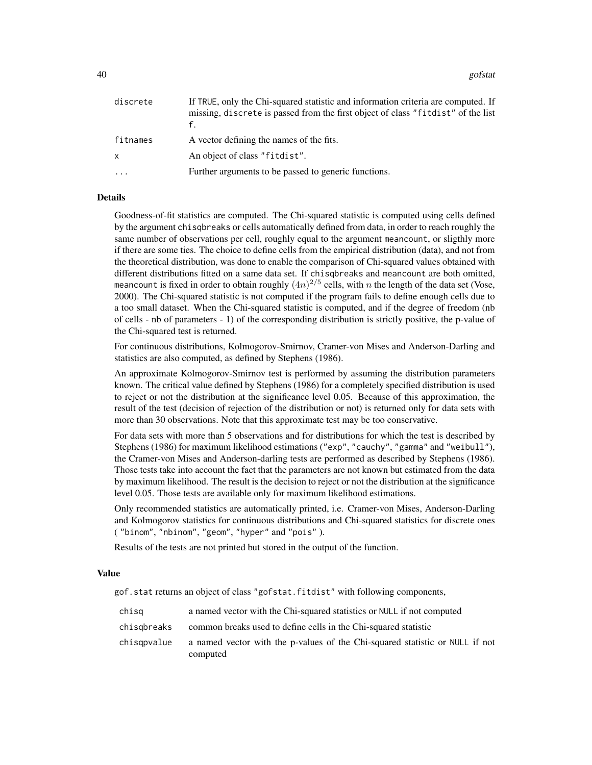40 gofstat and the set of the set of the set of the set of the set of the set of the set of the set of the set of the set of the set of the set of the set of the set of the set of the set of the set of the set of the set o

| discrete     | If TRUE, only the Chi-squared statistic and information criteria are computed. If<br>missing, discrete is passed from the first object of class "fitdist" of the list |
|--------------|-----------------------------------------------------------------------------------------------------------------------------------------------------------------------|
| fitnames     | A vector defining the names of the fits.                                                                                                                              |
| $\mathsf{x}$ | An object of class "fitdist".                                                                                                                                         |
|              | Further arguments to be passed to generic functions.                                                                                                                  |

## Details

Goodness-of-fit statistics are computed. The Chi-squared statistic is computed using cells defined by the argument chisqbreaks or cells automatically defined from data, in order to reach roughly the same number of observations per cell, roughly equal to the argument meancount, or sligthly more if there are some ties. The choice to define cells from the empirical distribution (data), and not from the theoretical distribution, was done to enable the comparison of Chi-squared values obtained with different distributions fitted on a same data set. If chisqbreaks and meancount are both omitted, meancount is fixed in order to obtain roughly  $(4n)^{2/5}$  cells, with n the length of the data set (Vose, 2000). The Chi-squared statistic is not computed if the program fails to define enough cells due to a too small dataset. When the Chi-squared statistic is computed, and if the degree of freedom (nb of cells - nb of parameters - 1) of the corresponding distribution is strictly positive, the p-value of the Chi-squared test is returned.

For continuous distributions, Kolmogorov-Smirnov, Cramer-von Mises and Anderson-Darling and statistics are also computed, as defined by Stephens (1986).

An approximate Kolmogorov-Smirnov test is performed by assuming the distribution parameters known. The critical value defined by Stephens (1986) for a completely specified distribution is used to reject or not the distribution at the significance level 0.05. Because of this approximation, the result of the test (decision of rejection of the distribution or not) is returned only for data sets with more than 30 observations. Note that this approximate test may be too conservative.

For data sets with more than 5 observations and for distributions for which the test is described by Stephens (1986) for maximum likelihood estimations ("exp", "cauchy", "gamma" and "weibull"), the Cramer-von Mises and Anderson-darling tests are performed as described by Stephens (1986). Those tests take into account the fact that the parameters are not known but estimated from the data by maximum likelihood. The result is the decision to reject or not the distribution at the significance level 0.05. Those tests are available only for maximum likelihood estimations.

Only recommended statistics are automatically printed, i.e. Cramer-von Mises, Anderson-Darling and Kolmogorov statistics for continuous distributions and Chi-squared statistics for discrete ones ( "binom", "nbinom", "geom", "hyper" and "pois" ).

Results of the tests are not printed but stored in the output of the function.

#### Value

gof.stat returns an object of class "gofstat.fitdist" with following components,

| chisg       | a named vector with the Chi-squared statistics or NULL if not computed                   |
|-------------|------------------------------------------------------------------------------------------|
| chisgbreaks | common breaks used to define cells in the Chi-squared statistic                          |
| chisgpvalue | a named vector with the p-values of the Chi-squared statistic or NULL if not<br>computed |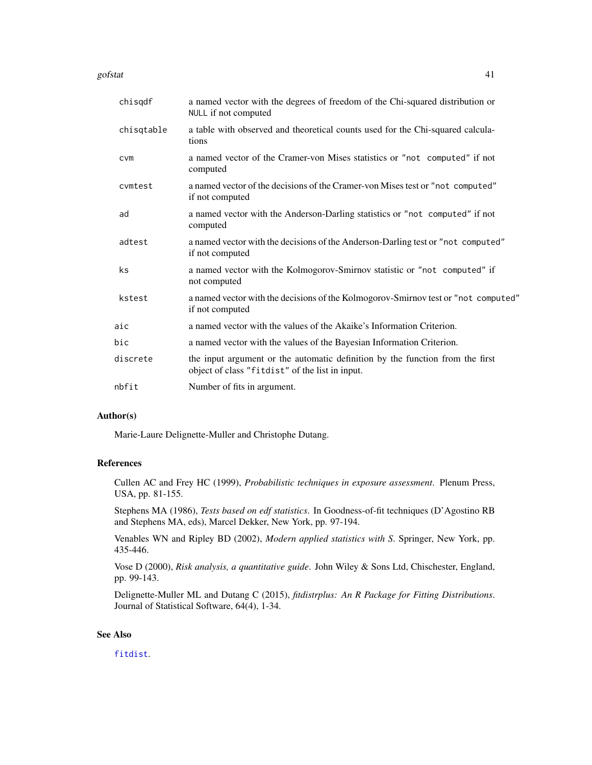#### gofstat and the set of the set of the set of the set of the set of the set of the set of the set of the set of the set of the set of the set of the set of the set of the set of the set of the set of the set of the set of t

| chisqdf    | a named vector with the degrees of freedom of the Chi-squared distribution or<br>NULL if not computed                            |
|------------|----------------------------------------------------------------------------------------------------------------------------------|
| chisqtable | a table with observed and theoretical counts used for the Chi-squared calcula-<br>tions                                          |
| CVM        | a named vector of the Cramer-von Mises statistics or "not computed" if not<br>computed                                           |
| cvmtest    | a named vector of the decisions of the Cramer-von Mises test or "not computed"<br>if not computed                                |
| ad         | a named vector with the Anderson-Darling statistics or "not computed" if not<br>computed                                         |
| adtest     | a named vector with the decisions of the Anderson-Darling test or "not computed"<br>if not computed                              |
| ks         | a named vector with the Kolmogorov-Smirnov statistic or "not computed" if<br>not computed                                        |
| kstest     | a named vector with the decisions of the Kolmogorov-Smirnov test or "not computed"<br>if not computed                            |
| aic        | a named vector with the values of the Akaike's Information Criterion.                                                            |
| bic        | a named vector with the values of the Bayesian Information Criterion.                                                            |
| discrete   | the input argument or the automatic definition by the function from the first<br>object of class "fitdist" of the list in input. |
| nbfit      | Number of fits in argument.                                                                                                      |

# Author(s)

Marie-Laure Delignette-Muller and Christophe Dutang.

# References

Cullen AC and Frey HC (1999), *Probabilistic techniques in exposure assessment*. Plenum Press, USA, pp. 81-155.

Stephens MA (1986), *Tests based on edf statistics*. In Goodness-of-fit techniques (D'Agostino RB and Stephens MA, eds), Marcel Dekker, New York, pp. 97-194.

Venables WN and Ripley BD (2002), *Modern applied statistics with S*. Springer, New York, pp. 435-446.

Vose D (2000), *Risk analysis, a quantitative guide*. John Wiley & Sons Ltd, Chischester, England, pp. 99-143.

Delignette-Muller ML and Dutang C (2015), *fitdistrplus: An R Package for Fitting Distributions*. Journal of Statistical Software, 64(4), 1-34.

### See Also

[fitdist](#page-21-0).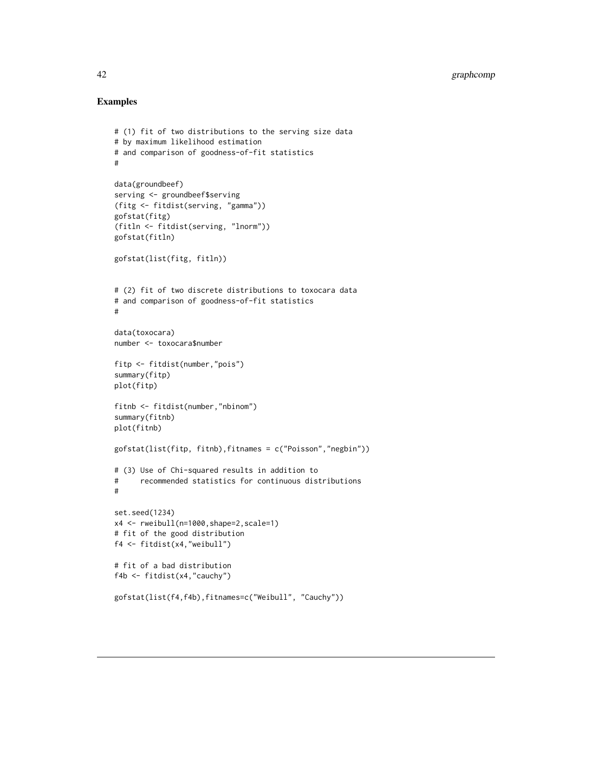```
# (1) fit of two distributions to the serving size data
# by maximum likelihood estimation
# and comparison of goodness-of-fit statistics
#
data(groundbeef)
serving <- groundbeef$serving
(fitg <- fitdist(serving, "gamma"))
gofstat(fitg)
(fitln <- fitdist(serving, "lnorm"))
gofstat(fitln)
gofstat(list(fitg, fitln))
# (2) fit of two discrete distributions to toxocara data
# and comparison of goodness-of-fit statistics
#
data(toxocara)
number <- toxocara$number
fitp <- fitdist(number,"pois")
summary(fitp)
plot(fitp)
fitnb <- fitdist(number,"nbinom")
summary(fitnb)
plot(fitnb)
gofstat(list(fitp, fitnb),fitnames = c("Poisson","negbin"))
# (3) Use of Chi-squared results in addition to
# recommended statistics for continuous distributions
#
set.seed(1234)
x4 <- rweibull(n=1000,shape=2,scale=1)
# fit of the good distribution
f4 <- fitdist(x4,"weibull")
# fit of a bad distribution
f4b <- fitdist(x4,"cauchy")
gofstat(list(f4,f4b),fitnames=c("Weibull", "Cauchy"))
```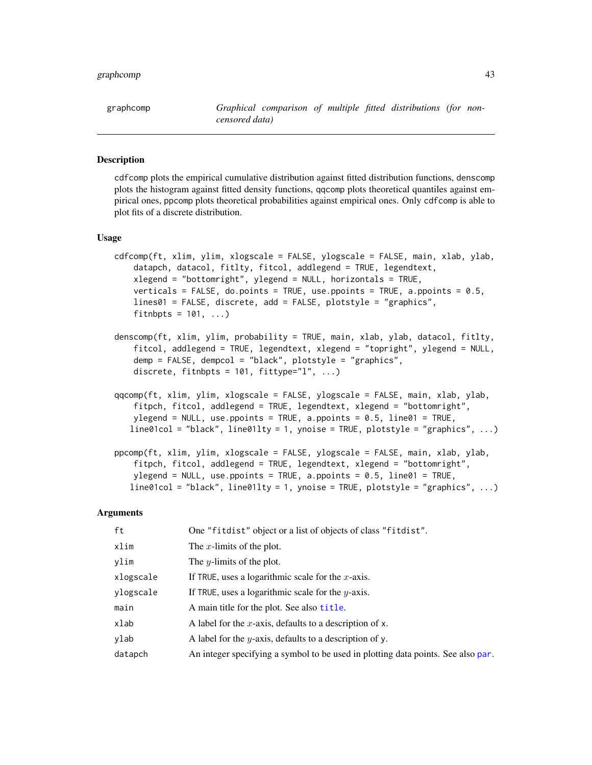## graphcomp and the state of the state of the state of the state of the state of the state of the state of the state of the state of the state of the state of the state of the state of the state of the state of the state of

## <span id="page-42-0"></span>Description

cdfcomp plots the empirical cumulative distribution against fitted distribution functions, denscomp plots the histogram against fitted density functions, qqcomp plots theoretical quantiles against empirical ones, ppcomp plots theoretical probabilities against empirical ones. Only cdfcomp is able to plot fits of a discrete distribution.

#### Usage

```
cdfcomp(ft, xlim, ylim, xlogscale = FALSE, ylogscale = FALSE, main, xlab, ylab,
   datapch, datacol, fitlty, fitcol, addlegend = TRUE, legendtext,
    xlegend = "bottomright", ylegend = NULL, horizontals = TRUE,
    verticals = FALSE, do.points = TRUE, use.ppoints = TRUE, a.ppoints = 0.5,
   lines01 = FALSE, discrete, add = FALSE, plotstyle = "graphics",
    fitnbpts = 101, ...)
denscomp(ft, xlim, ylim, probability = TRUE, main, xlab, ylab, datacol, fitlty,
    fitcol, addlegend = TRUE, legendtext, xlegend = "topright", ylegend = NULL,
    demp = FALSE, dempcol = "black", plotstyle = "graphics",
    discrete, fitnbpts = 101, fittype="1", ...)
qqcomp(ft, xlim, ylim, xlogscale = FALSE, ylogscale = FALSE, main, xlab, ylab,
    fitpch, fitcol, addlegend = TRUE, legendtext, xlegend = "bottomright",
   ylegend = NULL, use.ppoints = TRUE, a.ppoints = 0.5, line01 = TRUE,
   line01col = "black", line01lty = 1, ynoise = TRUE, plotstyle = "graphics", ...)
ppcomp(ft, xlim, ylim, xlogscale = FALSE, ylogscale = FALSE, main, xlab, ylab,
    fitpch, fitcol, addlegend = TRUE, legendtext, xlegend = "bottomright",
   ylegend = NULL, use.ppoints = TRUE, a.ppoints = 0.5, line01 = TRUE,
   line01col = "black", line01lty = 1, ynoise = TRUE, plotstyle = "graphics", ...)
```

| ft        | One "fitdist" object or a list of objects of class "fitdist".                    |
|-----------|----------------------------------------------------------------------------------|
| xlim      | The x-limits of the plot.                                                        |
| ylim      | The <i>y</i> -limits of the plot.                                                |
| xlogscale | If TRUE, uses a logarithmic scale for the $x$ -axis.                             |
| ylogscale | If TRUE, uses a logarithmic scale for the $y$ -axis.                             |
| main      | A main title for the plot. See also title.                                       |
| xlab      | A label for the x-axis, defaults to a description of x.                          |
| ylab      | A label for the y-axis, defaults to a description of y.                          |
| datapch   | An integer specifying a symbol to be used in plotting data points. See also par. |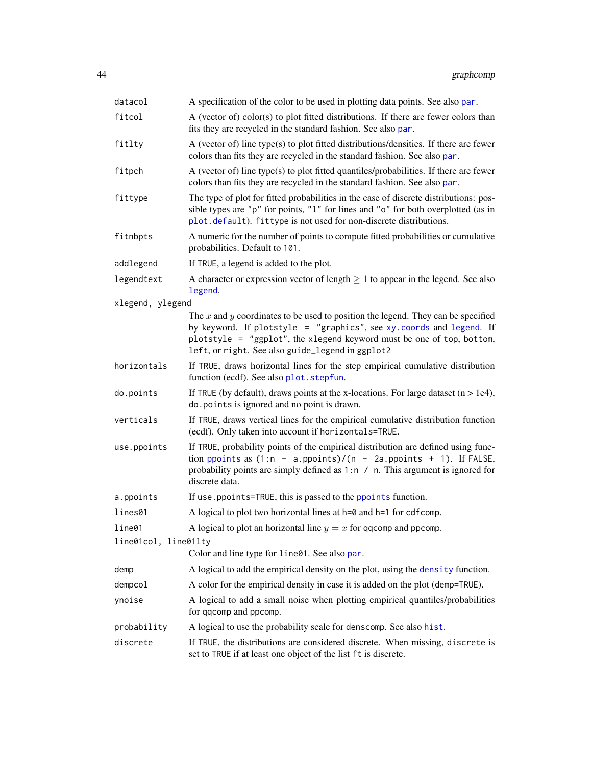| datacol              | A specification of the color to be used in plotting data points. See also par.                                                                                                                                                                                                            |
|----------------------|-------------------------------------------------------------------------------------------------------------------------------------------------------------------------------------------------------------------------------------------------------------------------------------------|
| fitcol               | A (vector of) color(s) to plot fitted distributions. If there are fewer colors than<br>fits they are recycled in the standard fashion. See also par.                                                                                                                                      |
| fitlty               | A (vector of) line type(s) to plot fitted distributions/densities. If there are fewer<br>colors than fits they are recycled in the standard fashion. See also par.                                                                                                                        |
| fitpch               | A (vector of) line type(s) to plot fitted quantiles/probabilities. If there are fewer<br>colors than fits they are recycled in the standard fashion. See also par.                                                                                                                        |
| fittype              | The type of plot for fitted probabilities in the case of discrete distributions: pos-<br>sible types are "p" for points, "1" for lines and "o" for both overplotted (as in<br>plot.default). fittype is not used for non-discrete distributions.                                          |
| fitnbpts             | A numeric for the number of points to compute fitted probabilities or cumulative<br>probabilities. Default to 101.                                                                                                                                                                        |
| addlegend            | If TRUE, a legend is added to the plot.                                                                                                                                                                                                                                                   |
| legendtext           | A character or expression vector of length $\geq 1$ to appear in the legend. See also<br>legend.                                                                                                                                                                                          |
| xlegend, ylegend     |                                                                                                                                                                                                                                                                                           |
|                      | The $x$ and $y$ coordinates to be used to position the legend. They can be specified<br>by keyword. If plotstyle = "graphics", see xy. coords and legend. If<br>plotstyle = "ggplot", the xlegend keyword must be one of top, bottom,<br>left, or right. See also guide_legend in ggplot2 |
| horizontals          | If TRUE, draws horizontal lines for the step empirical cumulative distribution<br>function (ecdf). See also plot. stepfun.                                                                                                                                                                |
| do.points            | If TRUE (by default), draws points at the x-locations. For large dataset $(n > 1e4)$ ,<br>do. points is ignored and no point is drawn.                                                                                                                                                    |
| verticals            | If TRUE, draws vertical lines for the empirical cumulative distribution function<br>(ecdf). Only taken into account if horizontals=TRUE.                                                                                                                                                  |
| use.ppoints          | If TRUE, probability points of the empirical distribution are defined using func-<br>tion ppoints as $(1:n - a.ppoints)/(n - 2a.ppoints + 1)$ . If FALSE,<br>probability points are simply defined as $1:n \neq n$ . This argument is ignored for<br>discrete data.                       |
| a.ppoints            | If use ppoints=TRUE, this is passed to the ppoints function.                                                                                                                                                                                                                              |
| lines01              | A logical to plot two horizontal lines at $h=0$ and $h=1$ for cdfcomp.                                                                                                                                                                                                                    |
| line01               | A logical to plot an horizontal line $y = x$ for qqcomp and ppcomp.                                                                                                                                                                                                                       |
| line01col, line01lty |                                                                                                                                                                                                                                                                                           |
|                      | Color and line type for line01. See also par.                                                                                                                                                                                                                                             |
| demp                 | A logical to add the empirical density on the plot, using the density function.                                                                                                                                                                                                           |
| dempcol              | A color for the empirical density in case it is added on the plot (demp=TRUE).                                                                                                                                                                                                            |
| ynoise               | A logical to add a small noise when plotting empirical quantiles/probabilities<br>for qqcomp and ppcomp.                                                                                                                                                                                  |
| probability          | A logical to use the probability scale for denscomp. See also hist.                                                                                                                                                                                                                       |
| discrete             | If TRUE, the distributions are considered discrete. When missing, discrete is<br>set to TRUE if at least one object of the list ft is discrete.                                                                                                                                           |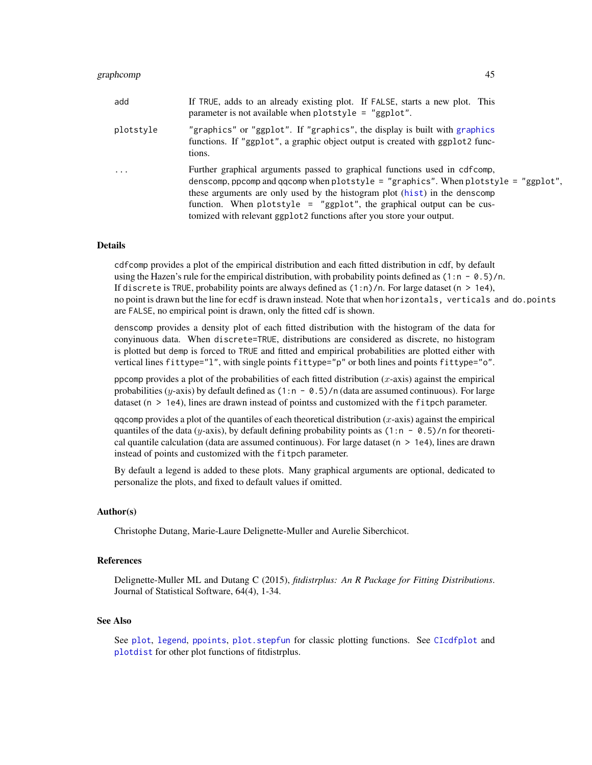## graphcomp and the state of the state of the state of the state of the state of the state of the state of the state of the state of the state of the state of the state of the state of the state of the state of the state of

| add       | If TRUE, adds to an already existing plot. If FALSE, starts a new plot. This<br>parameter is not available when plotstyle = "ggplot".                                                                                                                                                                                                                                                            |
|-----------|--------------------------------------------------------------------------------------------------------------------------------------------------------------------------------------------------------------------------------------------------------------------------------------------------------------------------------------------------------------------------------------------------|
| plotstyle | "graphics" or "ggplot". If "graphics", the display is built with graphics"<br>functions. If "ggplot", a graphic object output is created with ggplot2 func-<br>tions.                                                                                                                                                                                                                            |
| $\cdots$  | Further graphical arguments passed to graphical functions used in cdfcomp,<br>denscomp, ppcomp and qqcomp when plotstyle = "graphics". When plotstyle = "ggplot",<br>these arguments are only used by the histogram plot (hist) in the denscomp<br>function. When plotstyle = "ggplot", the graphical output can be cus-<br>tomized with relevant ggplot2 functions after you store your output. |

# Details

cdfcomp provides a plot of the empirical distribution and each fitted distribution in cdf, by default using the Hazen's rule for the empirical distribution, with probability points defined as  $(1:n - 0.5)/n$ . If discrete is TRUE, probability points are always defined as  $(1:n)/n$ . For large dataset (n > 1e4), no point is drawn but the line for ecdf is drawn instead. Note that when horizontals, verticals and do.points are FALSE, no empirical point is drawn, only the fitted cdf is shown.

denscomp provides a density plot of each fitted distribution with the histogram of the data for conyinuous data. When discrete=TRUE, distributions are considered as discrete, no histogram is plotted but demp is forced to TRUE and fitted and empirical probabilities are plotted either with vertical lines fittype="l", with single points fittype="p" or both lines and points fittype="o".

ppcomp provides a plot of the probabilities of each fitted distribution  $(x$ -axis) against the empirical probabilities (y-axis) by default defined as  $(1:n - 0.5)/n$  (data are assumed continuous). For large dataset (n > 1e4), lines are drawn instead of pointss and customized with the fitpch parameter.

qqcomp provides a plot of the quantiles of each theoretical distribution  $(x$ -axis) against the empirical quantiles of the data (y-axis), by default defining probability points as  $(1:n - 0.5)/n$  for theoretical quantile calculation (data are assumed continuous). For large dataset ( $n > 1e4$ ), lines are drawn instead of points and customized with the fitpch parameter.

By default a legend is added to these plots. Many graphical arguments are optional, dedicated to personalize the plots, and fixed to default values if omitted.

#### Author(s)

Christophe Dutang, Marie-Laure Delignette-Muller and Aurelie Siberchicot.

#### References

Delignette-Muller ML and Dutang C (2015), *fitdistrplus: An R Package for Fitting Distributions*. Journal of Statistical Software, 64(4), 1-34.

# See Also

See [plot](#page-0-0), [legend](#page-0-0), [ppoints](#page-0-0), plot. stepfun for classic plotting functions. See [CIcdfplot](#page-9-0) and [plotdist](#page-68-0) for other plot functions of fitdistrplus.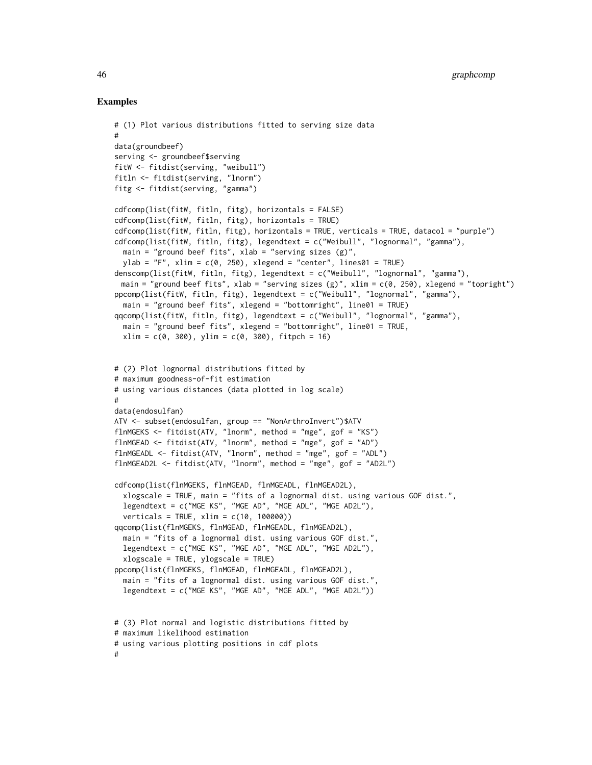```
# (1) Plot various distributions fitted to serving size data
#
data(groundbeef)
serving <- groundbeef$serving
fitW <- fitdist(serving, "weibull")
fitln <- fitdist(serving, "lnorm")
fitg <- fitdist(serving, "gamma")
cdfcomp(list(fitW, fitln, fitg), horizontals = FALSE)
cdfcomp(list(fitW, fitln, fitg), horizontals = TRUE)
cdfcomp(list(fitW, fitln, fitg), horizontals = TRUE, verticals = TRUE, datacol = "purple")
cdfcomp(list(fitW, fitln, fitg), legendtext = c("Weibull", "lognormal", "gamma"),
  main = "ground beef fits", xlab = "serving sizes (g)",
  vlab = "F", xlim = c(0, 250), xlegend = "center", lines01 = TRUE)denscomp(list(fitW, fitln, fitg), legendtext = c("Weibull", "lognormal", "gamma"),
 main = "ground beef fits", xlab = "serving sizes (g)", xlim = c(0, 250), xlegend = "topright")
ppcomp(list(fitW, fitln, fitg), legendtext = c("Weibull", "lognormal", "gamma"),
  main = "ground beef fits", xlegend = "bottomright", line01 = TRUE)
qqcomp(list(fitW, fitln, fitg), legendtext = c("Weibull", "lognormal", "gamma"),
  main = "ground beef fits", xlegend = "bottomright", line01 = TRUE,
  xlim = c(0, 300), ylim = c(0, 300), fit.# (2) Plot lognormal distributions fitted by
# maximum goodness-of-fit estimation
# using various distances (data plotted in log scale)
#
data(endosulfan)
ATV <- subset(endosulfan, group == "NonArthroInvert")$ATV
flnMGEKS <- fitdist(ATV, "lnorm", method = "mge", gof = "KS")
flnMGEAD <- fitdist(ATV, "lnorm", method = "mge", gof = "AD")
flnMGEADL <- fitdist(ATV, "lnorm", method = "mge", gof = "ADL")
flnMGEAD2L <- fitdist(ATV, "lnorm", method = "mge", gof = "AD2L")
cdfcomp(list(flnMGEKS, flnMGEAD, flnMGEADL, flnMGEAD2L),
  xlogscale = TRUE, main = "fits of a lognormal dist. using various GOF dist.",
  legendtext = c("MGE KS", "MGE AD", "MGE ADL", "MGE AD2L"),
  verticals = TRUE, xlim = c(10, 100000))
qqcomp(list(flnMGEKS, flnMGEAD, flnMGEADL, flnMGEAD2L),
  main = "fits of a lognormal dist. using various GOF dist.",
  legendtext = c("MGE KS", "MGE AD", "MGE ADL", "MGE AD2L"),
  xlogscale = TRUE, ylogscale = TRUE)
ppcomp(list(flnMGEKS, flnMGEAD, flnMGEADL, flnMGEAD2L),
  main = "fits of a lognormal dist. using various GOF dist.",
  legendtext = c("MGE KS", "MGE AD", "MGE ADL", "MGE AD2L"))
# (3) Plot normal and logistic distributions fitted by
# maximum likelihood estimation
# using various plotting positions in cdf plots
#
```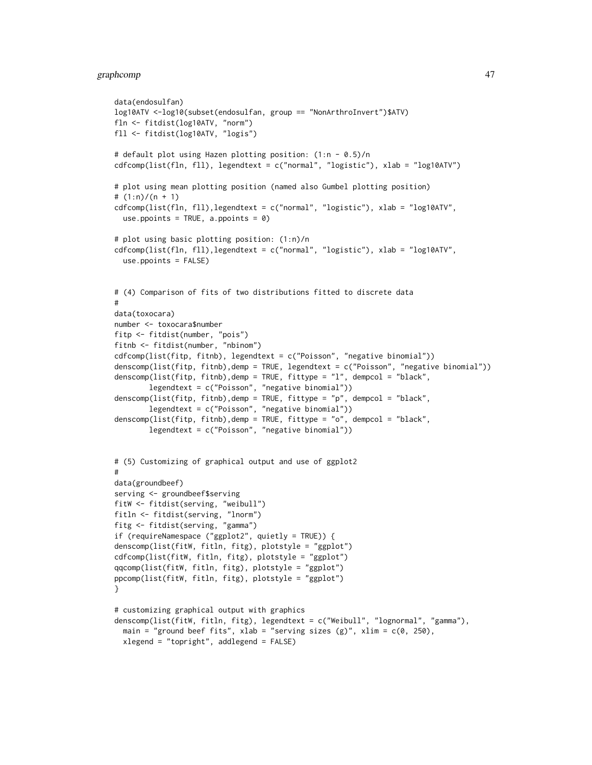# graphcomp and the state of the state of the state of the state of the state of the state of the state of the state of the state of the state of the state of the state of the state of the state of the state of the state of

```
data(endosulfan)
log10ATV <-log10(subset(endosulfan, group == "NonArthroInvert")$ATV)
fln <- fitdist(log10ATV, "norm")
fll <- fitdist(log10ATV, "logis")
# default plot using Hazen plotting position: (1:n - 0.5)/n
cdfcomp(list(fln, fll), legendtext = c("normal", "logistic"), xlab = "log10ATV")
# plot using mean plotting position (named also Gumbel plotting position)
# (1:n)/(n + 1)
cdfcomp(list(fln, fll),legendtext = c("normal", "logistic"), xlab = "log10ATV",
  use.ppoints = TRUE, a.ppoints = 0)
# plot using basic plotting position: (1:n)/n
cdfcomp(list(fln, fll),legendtext = c("normal", "logistic"), xlab = "log10ATV",
  use.ppoints = FALSE)
# (4) Comparison of fits of two distributions fitted to discrete data
#
data(toxocara)
number <- toxocara$number
fitp <- fitdist(number, "pois")
fitnb <- fitdist(number, "nbinom")
cdfcomp(list(fitp, fitnb), legendtext = c("Poisson", "negative binomial"))
denscomp(list(fitp, fitnb),demp = TRUE, legendtext = c("Poisson", "negative binomial"))
denscomp(list(fitp, fitnb),demp = TRUE, fittype = "l", dempcol = "black",
        legendtext = c("Poisson", "negative binomial"))
denscomp(list(fitp, fitnb),demp = TRUE, fittype = "p", dempcol = "black",
        legendtext = c("Poisson", "negative binomial"))
denscomp(list(fitp, fitnb),demp = TRUE, fittype = "o", dempcol = "black",
        legendtext = c("Poisson", "negative binomial"))
# (5) Customizing of graphical output and use of ggplot2
#
data(groundbeef)
serving <- groundbeef$serving
fitW <- fitdist(serving, "weibull")
fitln <- fitdist(serving, "lnorm")
fitg <- fitdist(serving, "gamma")
if (requireNamespace ("ggplot2", quietly = TRUE)) {
denscomp(list(fitW, fitln, fitg), plotstyle = "ggplot")
cdfcomp(list(fitW, fitln, fitg), plotstyle = "ggplot")
qqcomp(list(fitW, fitln, fitg), plotstyle = "ggplot")
ppcomp(list(fitW, fitln, fitg), plotstyle = "ggplot")
}
# customizing graphical output with graphics
denscomp(list(fitW, fitln, fitg), legendtext = c("Weibull", "lognormal", "gamma"),
  main = "ground beef fits", xlab = "serving sizes (g)", xlim = c(0, 250),
  xlegend = "topright", addlegend = FALSE)
```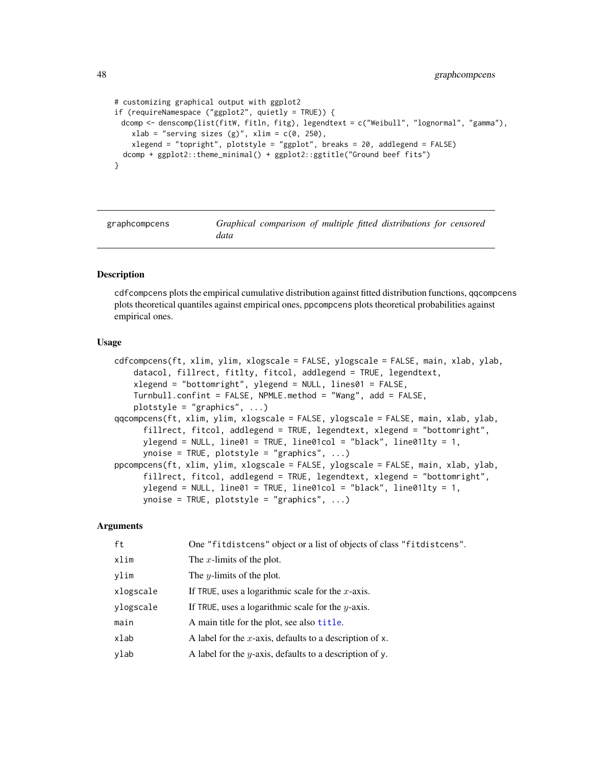```
# customizing graphical output with ggplot2
if (requireNamespace ("ggplot2", quietly = TRUE)) {
 dcomp <- denscomp(list(fitW, fitln, fitg), legendtext = c("Weibull", "lognormal", "gamma"),
   xlab = "serving sizes (g)", xlim = c(0, 250),
    xlegend = "topright", plotstyle = "ggplot", breaks = 20, addlegend = FALSE)
 dcomp + ggplot2::theme_minimal() + ggplot2::ggtitle("Ground beef fits")
}
```
graphcompcens *Graphical comparison of multiple fitted distributions for censored data*

## Description

cdfcompcens plots the empirical cumulative distribution against fitted distribution functions, qqcompcens plots theoretical quantiles against empirical ones, ppcompcens plots theoretical probabilities against empirical ones.

### Usage

```
cdfcompcens(ft, xlim, ylim, xlogscale = FALSE, ylogscale = FALSE, main, xlab, ylab,
    datacol, fillrect, fitlty, fitcol, addlegend = TRUE, legendtext,
    xlegend = "bottomright", ylegend = NULL, lines01 = FALSE,
    Turnbull.confint = FALSE, NPMLE.method = "Wang", add = FALSE,
    plotstyle = "graphics", \ldots)
qqcompcens(ft, xlim, ylim, xlogscale = FALSE, ylogscale = FALSE, main, xlab, ylab,
      fillrect, fitcol, addlegend = TRUE, legendtext, xlegend = "bottomright",
      ylegend = NULL, line\theta1 = TRUE, line\theta1col = "black", line\theta1lty = 1,
      ynoise = TRUE, plotstyle = "graphics", ...)
ppcompcens(ft, xlim, ylim, xlogscale = FALSE, ylogscale = FALSE, main, xlab, ylab,
      fillrect, fitcol, addlegend = TRUE, legendtext, xlegend = "bottomright",
      ylegend = NULL, line01 = TRUE, line01col = "black", line01lty = 1,
      ynoise = TRUE, plotstyle = "graphics", ...)
```

| ft        | One "fitdistcens" object or a list of objects of class "fitdistcens". |
|-----------|-----------------------------------------------------------------------|
| xlim      | The x-limits of the plot.                                             |
| ylim      | The <i>y</i> -limits of the plot.                                     |
| xlogscale | If TRUE, uses a logarithmic scale for the $x$ -axis.                  |
| ylogscale | If TRUE, uses a logarithmic scale for the $y$ -axis.                  |
| main      | A main title for the plot, see also title.                            |
| xlab      | A label for the x-axis, defaults to a description of $x$ .            |
| ylab      | A label for the <i>y</i> -axis, defaults to a description of y.       |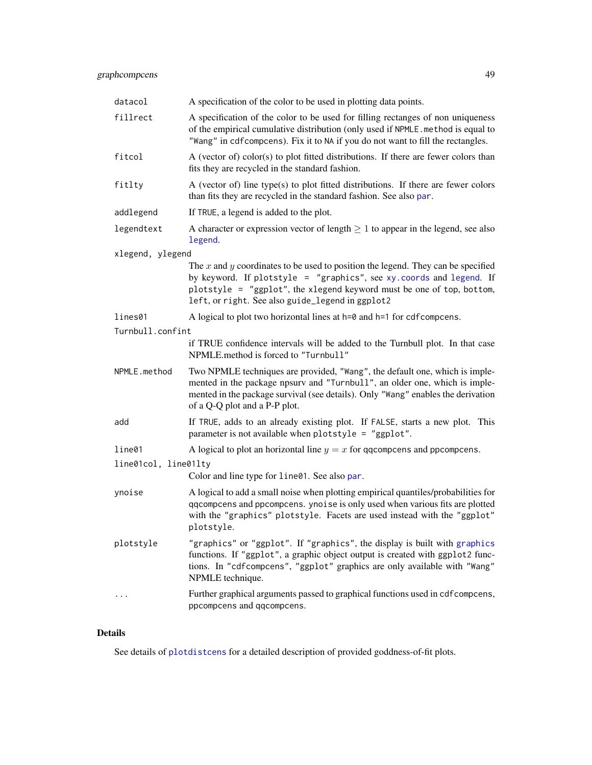| datacol              | A specification of the color to be used in plotting data points.                                                                                                                                                                                                                          |
|----------------------|-------------------------------------------------------------------------------------------------------------------------------------------------------------------------------------------------------------------------------------------------------------------------------------------|
| fillrect             | A specification of the color to be used for filling rectanges of non uniqueness<br>of the empirical cumulative distribution (only used if NPMLE. method is equal to<br>"Wang" in cdfcompcens). Fix it to NA if you do not want to fill the rectangles.                                    |
| fitcol               | A (vector of) color(s) to plot fitted distributions. If there are fewer colors than<br>fits they are recycled in the standard fashion.                                                                                                                                                    |
| fitlty               | A (vector of) line type(s) to plot fitted distributions. If there are fewer colors<br>than fits they are recycled in the standard fashion. See also par.                                                                                                                                  |
| addlegend            | If TRUE, a legend is added to the plot.                                                                                                                                                                                                                                                   |
| legendtext           | A character or expression vector of length $\geq 1$ to appear in the legend, see also<br>legend.                                                                                                                                                                                          |
| xlegend, ylegend     |                                                                                                                                                                                                                                                                                           |
|                      | The $x$ and $y$ coordinates to be used to position the legend. They can be specified<br>by keyword. If plotstyle = "graphics", see xy. coords and legend. If<br>plotstyle = "ggplot", the xlegend keyword must be one of top, bottom,<br>left, or right. See also guide_legend in ggplot2 |
| lines01              | A logical to plot two horizontal lines at h=0 and h=1 for cdf compcens.                                                                                                                                                                                                                   |
| Turnbull.confint     |                                                                                                                                                                                                                                                                                           |
|                      | if TRUE confidence intervals will be added to the Turnbull plot. In that case<br>NPMLE.method is forced to "Turnbull"                                                                                                                                                                     |
| NPMLE.method         | Two NPMLE techniques are provided, "Wang", the default one, which is imple-<br>mented in the package npsurv and "Turnbull", an older one, which is imple-<br>mented in the package survival (see details). Only "Wang" enables the derivation<br>of a Q-Q plot and a P-P plot.            |
| add                  | If TRUE, adds to an already existing plot. If FALSE, starts a new plot. This<br>parameter is not available when plotstyle = "ggplot".                                                                                                                                                     |
| line01               | A logical to plot an horizontal line $y = x$ for qqcompcens and ppcompcens.                                                                                                                                                                                                               |
| line01col, line01lty |                                                                                                                                                                                                                                                                                           |
|                      | Color and line type for line01. See also par.                                                                                                                                                                                                                                             |
| ynoise               | A logical to add a small noise when plotting empirical quantiles/probabilities for<br>qqcompcens and ppcompcens. ynoise is only used when various fits are plotted<br>with the "graphics" plotstyle. Facets are used instead with the "ggplot"<br>plotstyle.                              |
| plotstyle            | "graphics" or "ggplot". If "graphics", the display is built with graphics<br>functions. If "ggplot", a graphic object output is created with ggplot2 func-<br>tions. In "cdfcompcens", "ggplot" graphics are only available with "Wang"<br>NPMLE technique.                               |
|                      | Further graphical arguments passed to graphical functions used in cdf compcens,<br>ppcompcens and qqcompcens.                                                                                                                                                                             |

# Details

See details of [plotdistcens](#page-70-0) for a detailed description of provided goddness-of-fit plots.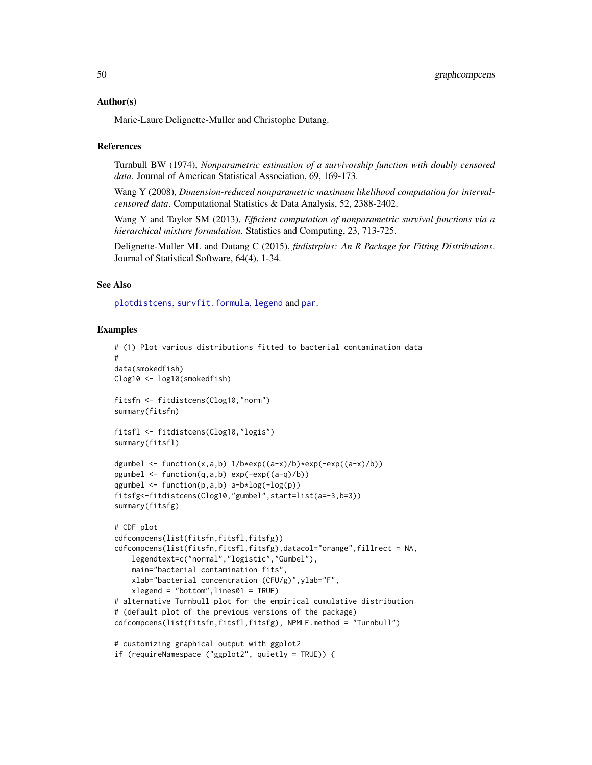#### Author(s)

Marie-Laure Delignette-Muller and Christophe Dutang.

### **References**

Turnbull BW (1974), *Nonparametric estimation of a survivorship function with doubly censored data*. Journal of American Statistical Association, 69, 169-173.

Wang Y (2008), *Dimension-reduced nonparametric maximum likelihood computation for intervalcensored data*. Computational Statistics & Data Analysis, 52, 2388-2402.

Wang Y and Taylor SM (2013), *Efficient computation of nonparametric survival functions via a hierarchical mixture formulation*. Statistics and Computing, 23, 713-725.

Delignette-Muller ML and Dutang C (2015), *fitdistrplus: An R Package for Fitting Distributions*. Journal of Statistical Software, 64(4), 1-34.

# See Also

[plotdistcens](#page-70-0), [survfit.formula](#page-0-0), [legend](#page-0-0) and [par](#page-0-0).

```
# (1) Plot various distributions fitted to bacterial contamination data
#
data(smokedfish)
Clog10 <- log10(smokedfish)
fitsfn <- fitdistcens(Clog10,"norm")
summary(fitsfn)
fitsfl <- fitdistcens(Clog10,"logis")
summary(fitsfl)
dgumbel \leq function(x,a,b) 1/b*exp((a-x)/b)*exp(-exp((a-x)/b))
pgumbel <- function(q,a,b) exp(-exp((a-q)/b))
qgumbel \leq function(p,a,b) a-b*log(-log(p))
fitsfg<-fitdistcens(Clog10,"gumbel",start=list(a=-3,b=3))
summary(fitsfg)
# CDF plot
cdfcompcens(list(fitsfn,fitsfl,fitsfg))
cdfcompcens(list(fitsfn,fitsfl,fitsfg),datacol="orange",fillrect = NA,
    legendtext=c("normal","logistic","Gumbel"),
    main="bacterial contamination fits",
    xlab="bacterial concentration (CFU/g)",ylab="F",
    xlegend = "bottom",lines01 = TRUE)
# alternative Turnbull plot for the empirical cumulative distribution
# (default plot of the previous versions of the package)
cdfcompcens(list(fitsfn,fitsfl,fitsfg), NPMLE.method = "Turnbull")
# customizing graphical output with ggplot2
if (requireNamespace ("ggplot2", quietly = TRUE)) {
```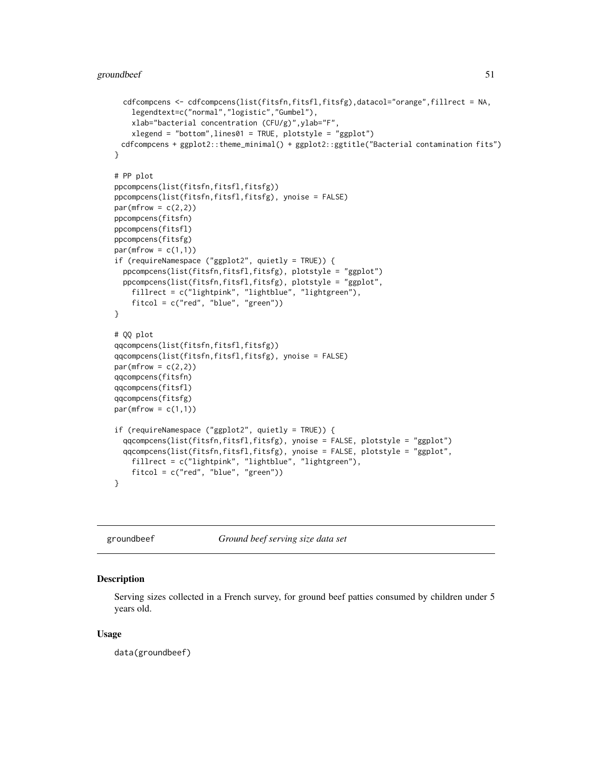```
cdfcompcens <- cdfcompcens(list(fitsfn,fitsfl,fitsfg),datacol="orange",fillrect = NA,
    legendtext=c("normal","logistic","Gumbel"),
   xlab="bacterial concentration (CFU/g)",ylab="F",
   xlegend = "bottom",lines01 = TRUE, plotstyle = "ggplot")
 cdfcompcens + ggplot2::theme_minimal() + ggplot2::ggtitle("Bacterial contamination fits")
}
# PP plot
ppcompcens(list(fitsfn,fitsfl,fitsfg))
ppcompcens(list(fitsfn,fitsfl,fitsfg), ynoise = FALSE)
par(mfrow = c(2,2))ppcompcens(fitsfn)
ppcompcens(fitsfl)
ppcompcens(fitsfg)
par(mfrow = c(1,1))if (requireNamespace ("ggplot2", quietly = TRUE)) {
 ppcompcens(list(fitsfn,fitsfl,fitsfg), plotstyle = "ggplot")
 ppcompcens(list(fitsfn,fitsfl,fitsfg), plotstyle = "ggplot",
    fillrect = c("lightpink", "lightblue", "lightgreen"),
    fitcol = c("red", "blue", "green"))
}
# QQ plot
qqcompcens(list(fitsfn,fitsfl,fitsfg))
qqcompcens(list(fitsfn,fitsfl,fitsfg), ynoise = FALSE)
par(mfrow = c(2,2))qqcompcens(fitsfn)
qqcompcens(fitsfl)
qqcompcens(fitsfg)
par(mfrow = c(1,1))if (requireNamespace ("ggplot2", quietly = TRUE)) {
 qqcompcens(list(fitsfn,fitsfl,fitsfg), ynoise = FALSE, plotstyle = "ggplot")
 qqcompcens(list(fitsfn,fitsfl,fitsfg), ynoise = FALSE, plotstyle = "ggplot",
    fillrect = c("lightpink", "lightblue", "lightgreen"),
    fitcol = c("red", "blue", "green"))
}
```
groundbeef *Ground beef serving size data set*

# Description

Serving sizes collected in a French survey, for ground beef patties consumed by children under 5 years old.

#### Usage

data(groundbeef)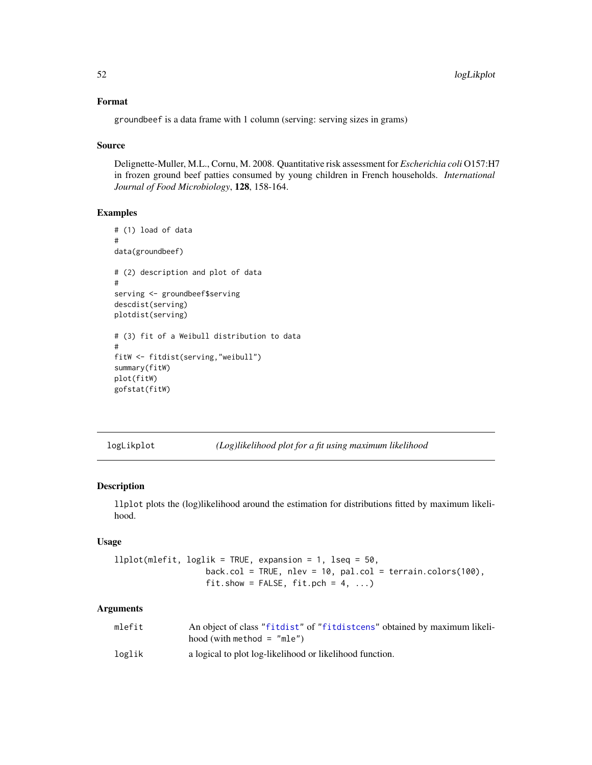# Format

groundbeef is a data frame with 1 column (serving: serving sizes in grams)

### Source

Delignette-Muller, M.L., Cornu, M. 2008. Quantitative risk assessment for *Escherichia coli* O157:H7 in frozen ground beef patties consumed by young children in French households. *International Journal of Food Microbiology*, 128, 158-164.

# Examples

```
# (1) load of data
#
data(groundbeef)
# (2) description and plot of data
#
serving <- groundbeef$serving
descdist(serving)
plotdist(serving)
# (3) fit of a Weibull distribution to data
#
fitW <- fitdist(serving,"weibull")
summary(fitW)
plot(fitW)
gofstat(fitW)
```
logLikplot *(Log)likelihood plot for a fit using maximum likelihood*

## <span id="page-51-0"></span>Description

llplot plots the (log)likelihood around the estimation for distributions fitted by maximum likelihood.

# Usage

```
llplot(mlefit, loglik = TRUE, expansion = 1, lseq = 50,
                   back.col = TRUE, nlev = 10, pal.col = terrain.colors(100),
                   fit.show = FALSE, fit.pch = 4, ...)
```

| mlefit | An object of class "fit dist" of "fit disters" obtained by maximum likeli-<br>$hood$ (with method = "mle") |
|--------|------------------------------------------------------------------------------------------------------------|
| loglik | a logical to plot log-likelihood or likelihood function.                                                   |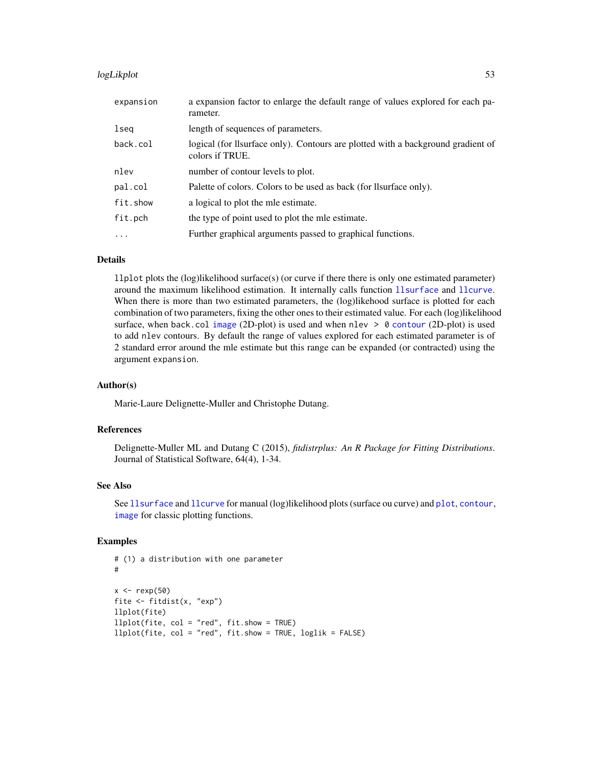#### logLikplot 53

| expansion | a expansion factor to enlarge the default range of values explored for each pa-<br>rameter.         |
|-----------|-----------------------------------------------------------------------------------------------------|
| lseq      | length of sequences of parameters.                                                                  |
| back.col  | logical (for llsurface only). Contours are plotted with a background gradient of<br>colors if TRUE. |
| nlev      | number of contour levels to plot.                                                                   |
| pal.col   | Palette of colors. Colors to be used as back (for llsurface only).                                  |
| fit.show  | a logical to plot the mle estimate.                                                                 |
| fit.pch   | the type of point used to plot the mle estimate.                                                    |
| $\cdots$  | Further graphical arguments passed to graphical functions.                                          |

# Details

llplot plots the  $(log)$ likelihood surface $(s)$  (or curve if there there is only one estimated parameter) around the maximum likelihood estimation. It internally calls function [llsurface](#page-53-0) and [llcurve](#page-53-0). When there is more than two estimated parameters, the (log)likehood surface is plotted for each combination of two parameters, fixing the other ones to their estimated value. For each (log)likelihood surface, when back.col [image](#page-0-0) (2D-plot) is used and when nlev  $> 0$  [contour](#page-0-0) (2D-plot) is used to add nlev contours. By default the range of values explored for each estimated parameter is of 2 standard error around the mle estimate but this range can be expanded (or contracted) using the argument expansion.

### Author(s)

Marie-Laure Delignette-Muller and Christophe Dutang.

# References

Delignette-Muller ML and Dutang C (2015), *fitdistrplus: An R Package for Fitting Distributions*. Journal of Statistical Software, 64(4), 1-34.

## See Also

See [llsurface](#page-53-0) and [llcurve](#page-53-0) for manual (log)likelihood plots (surface ou curve) and [plot](#page-0-0), [contour](#page-0-0), [image](#page-0-0) for classic plotting functions.

```
# (1) a distribution with one parameter
#
x < - rexp(50)
fite <- fitdist(x, "exp")
llplot(fite)
llplot(fite, col = "red", fit.show = TRUE)
llplot(fite, col = "red", fit.show = TRUE, loglik = FALSE)
```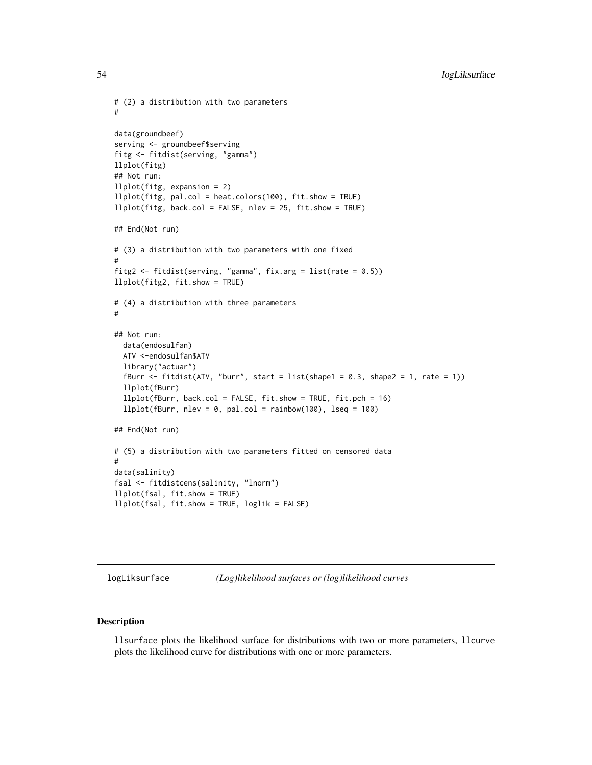```
# (2) a distribution with two parameters
#
data(groundbeef)
serving <- groundbeef$serving
fitg <- fitdist(serving, "gamma")
llplot(fitg)
## Not run:
llplot(fitg, expansion = 2)
llplot(fitg, pal.col = heat.colors(100), fit.show = TRUE)
llplot(fitg, back.col = FALSE, nlev = 25, fit.show = TRUE)
## End(Not run)
# (3) a distribution with two parameters with one fixed
#
fitg2 <- fitdist(serving, "gamma", fix.arg = list(rate = 0.5))
llplot(fitg2, fit.show = TRUE)
# (4) a distribution with three parameters
#
## Not run:
  data(endosulfan)
  ATV <-endosulfan$ATV
  library("actuar")
  fBurr \le fitdist(ATV, "burr", start = list(shape1 = 0.3, shape2 = 1, rate = 1))
  llplot(fBurr)
  llplot(fBurr, back.col = FALSE, fit.show = TRUE, fit.pch = 16)
  llplot(fBurr, nlev = 0, pal,col = rainbow(100), lseq = 100)## End(Not run)
# (5) a distribution with two parameters fitted on censored data
#
data(salinity)
fsal <- fitdistcens(salinity, "lnorm")
llplot(fsal, fit.show = TRUE)
llplot(fsal, fit.show = TRUE, loglik = FALSE)
```
logLiksurface *(Log)likelihood surfaces or (log)likelihood curves*

### <span id="page-53-0"></span>Description

llsurface plots the likelihood surface for distributions with two or more parameters, llcurve plots the likelihood curve for distributions with one or more parameters.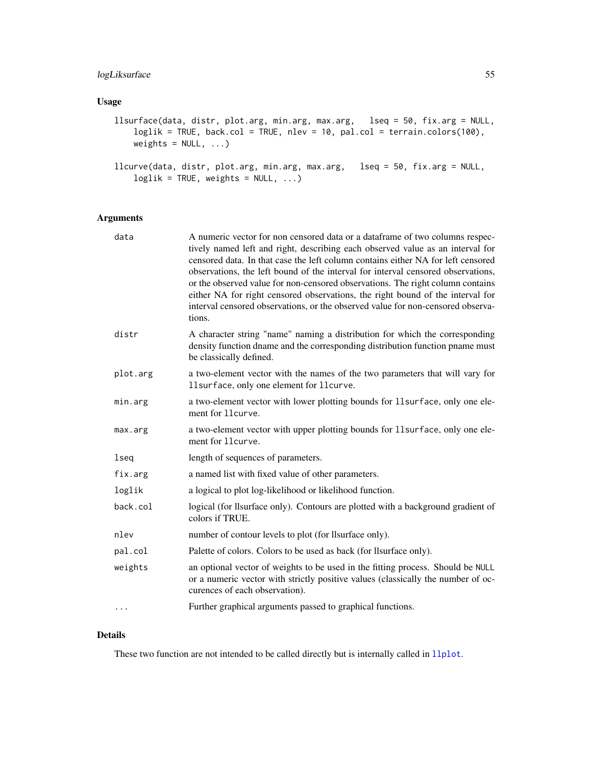# logLiksurface 55

# Usage

```
llsurface(data, distr, plot.arg, min.arg, max.arg, lseq = 50, fix.arg = NULL,
    loglik = TRUE, back.col = TRUE, nlev = 10, pal.col = terrain.colors(100),
   weights = NULL, ...)llcurve(data, distr, plot.arg, min.arg, max.arg, lseq = 50, fix.arg = NULL,
    loglik = TRUE, weights = NULL, ...)
```
# Arguments

| data     | A numeric vector for non censored data or a dataframe of two columns respec-<br>tively named left and right, describing each observed value as an interval for<br>censored data. In that case the left column contains either NA for left censored<br>observations, the left bound of the interval for interval censored observations,<br>or the observed value for non-censored observations. The right column contains<br>either NA for right censored observations, the right bound of the interval for<br>interval censored observations, or the observed value for non-censored observa-<br>tions. |
|----------|---------------------------------------------------------------------------------------------------------------------------------------------------------------------------------------------------------------------------------------------------------------------------------------------------------------------------------------------------------------------------------------------------------------------------------------------------------------------------------------------------------------------------------------------------------------------------------------------------------|
| distr    | A character string "name" naming a distribution for which the corresponding<br>density function dname and the corresponding distribution function pname must<br>be classically defined.                                                                                                                                                                                                                                                                                                                                                                                                                 |
| plot.arg | a two-element vector with the names of the two parameters that will vary for<br>llsurface, only one element for llcurve.                                                                                                                                                                                                                                                                                                                                                                                                                                                                                |
| min.arg  | a two-element vector with lower plotting bounds for 11surface, only one ele-<br>ment for 11 curve.                                                                                                                                                                                                                                                                                                                                                                                                                                                                                                      |
| max.arg  | a two-element vector with upper plotting bounds for 11surface, only one ele-<br>ment for 11 curve.                                                                                                                                                                                                                                                                                                                                                                                                                                                                                                      |
| lseq     | length of sequences of parameters.                                                                                                                                                                                                                                                                                                                                                                                                                                                                                                                                                                      |
| fix.arg  | a named list with fixed value of other parameters.                                                                                                                                                                                                                                                                                                                                                                                                                                                                                                                                                      |
| loglik   | a logical to plot log-likelihood or likelihood function.                                                                                                                                                                                                                                                                                                                                                                                                                                                                                                                                                |
| back.col | logical (for llsurface only). Contours are plotted with a background gradient of<br>colors if TRUE.                                                                                                                                                                                                                                                                                                                                                                                                                                                                                                     |
| nlev     | number of contour levels to plot (for llsurface only).                                                                                                                                                                                                                                                                                                                                                                                                                                                                                                                                                  |
| pal.col  | Palette of colors. Colors to be used as back (for llsurface only).                                                                                                                                                                                                                                                                                                                                                                                                                                                                                                                                      |
| weights  | an optional vector of weights to be used in the fitting process. Should be NULL<br>or a numeric vector with strictly positive values (classically the number of oc-<br>curences of each observation).                                                                                                                                                                                                                                                                                                                                                                                                   |
| $\cdots$ | Further graphical arguments passed to graphical functions.                                                                                                                                                                                                                                                                                                                                                                                                                                                                                                                                              |

# Details

These two function are not intended to be called directly but is internally called in 11p1ot.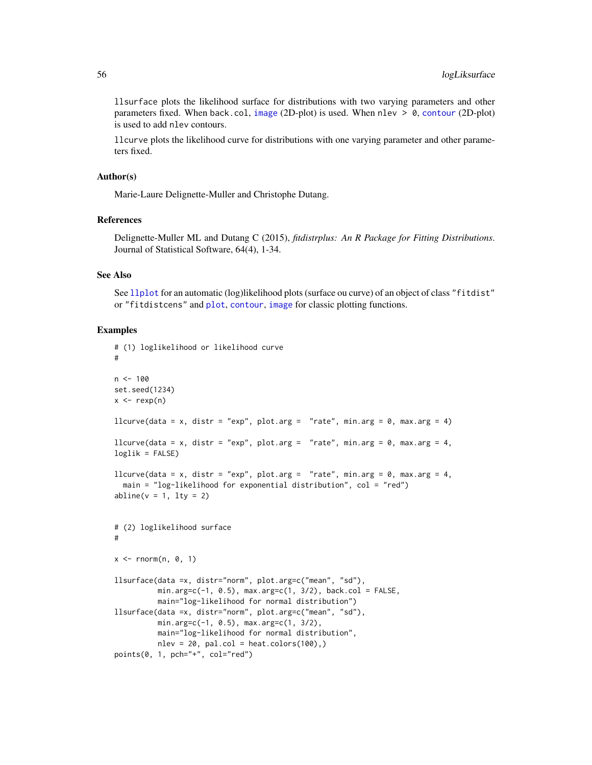llsurface plots the likelihood surface for distributions with two varying parameters and other parameters fixed. When back.col, [image](#page-0-0) (2D-plot) is used. When nlev  $> 0$ , [contour](#page-0-0) (2D-plot) is used to add nlev contours.

llcurve plots the likelihood curve for distributions with one varying parameter and other parameters fixed.

### Author(s)

Marie-Laure Delignette-Muller and Christophe Dutang.

#### References

Delignette-Muller ML and Dutang C (2015), *fitdistrplus: An R Package for Fitting Distributions*. Journal of Statistical Software, 64(4), 1-34.

#### See Also

See [llplot](#page-51-0) for an automatic (log)likelihood plots (surface ou curve) of an object of class "fitdist" or "fitdistcens" and [plot](#page-0-0), [contour](#page-0-0), [image](#page-0-0) for classic plotting functions.

```
# (1) loglikelihood or likelihood curve
#
n <- 100
set.seed(1234)
x \leftarrow \text{rev}(n)llcurve(data = x, distr = "exp", plot.arg = "rate", min.arg = \theta, max.arg = 4)
llcurve(data = x, distr = "exp", plot.arg = "rate", min.arg = \theta, max.arg = 4,
loglik = FALSE)
llcurve(data = x, distr = "exp", plot.arg = "rate", min.arg = 0, max.arg = 4,
  main = "log-likelihood for exponential distribution", col = "red")
abline(v = 1, lty = 2)# (2) loglikelihood surface
#
x \leq -rnorm(n, 0, 1)llsurface(data =x, distr="norm", plot.arg=c("mean", "sd"),
          min.arg=c(-1, 0.5), max.arg=c(1, 3/2), back.col = FALSE,
          main="log-likelihood for normal distribution")
llsurface(data =x, distr="norm", plot.arg=c("mean", "sd"),
          min.arg=c(-1, 0.5), max.arg=c(1, 3/2),
          main="log-likelihood for normal distribution",
          nlev = 20, pal.col = heat.colors(100),)
points(0, 1, pch="+", col="red")
```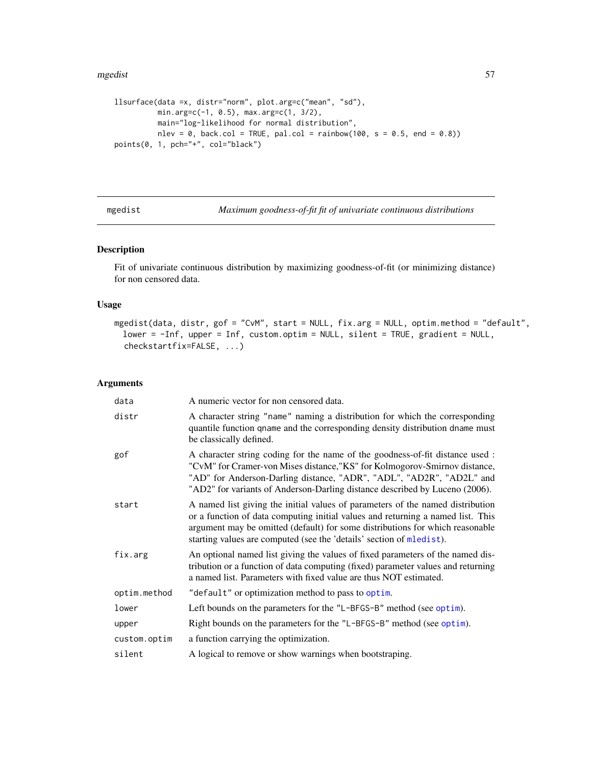#### mgedist 57

```
llsurface(data =x, distr="norm", plot.arg=c("mean", "sd"),
         min.arg=c(-1, 0.5), max.arg=c(1, 3/2),
         main="log-likelihood for normal distribution",
         nlev = 0, back.col = TRUE, pal.col = rainbow(100, s = 0.5, end = 0.8))
points(0, 1, pch="+", col="black")
```
<span id="page-56-0"></span>mgedist *Maximum goodness-of-fit fit of univariate continuous distributions*

# Description

Fit of univariate continuous distribution by maximizing goodness-of-fit (or minimizing distance) for non censored data.

# Usage

```
mgedist(data, distr, gof = "CvM", start = NULL, fix.arg = NULL, optim.method = "default",
 lower = -Inf, upper = Inf, custom.optim = NULL, silent = TRUE, gradient = NULL,
  checkstartfix=FALSE, ...)
```

| data         | A numeric vector for non censored data.                                                                                                                                                                                                                                                                                    |
|--------------|----------------------------------------------------------------------------------------------------------------------------------------------------------------------------------------------------------------------------------------------------------------------------------------------------------------------------|
| distr        | A character string "name" naming a distribution for which the corresponding<br>quantile function qname and the corresponding density distribution dname must<br>be classically defined.                                                                                                                                    |
| gof          | A character string coding for the name of the goodness-of-fit distance used :<br>"CvM" for Cramer-von Mises distance, "KS" for Kolmogorov-Smirnov distance,<br>"AD" for Anderson-Darling distance, "ADR", "ADL", "AD2R", "AD2L" and<br>"AD2" for variants of Anderson-Darling distance described by Luceno (2006).         |
| start        | A named list giving the initial values of parameters of the named distribution<br>or a function of data computing initial values and returning a named list. This<br>argument may be omitted (default) for some distributions for which reasonable<br>starting values are computed (see the 'details' section of mledist). |
| fix.arg      | An optional named list giving the values of fixed parameters of the named dis-<br>tribution or a function of data computing (fixed) parameter values and returning<br>a named list. Parameters with fixed value are thus NOT estimated.                                                                                    |
| optim.method | "default" or optimization method to pass to optim.                                                                                                                                                                                                                                                                         |
| lower        | Left bounds on the parameters for the "L-BFGS-B" method (see optim).                                                                                                                                                                                                                                                       |
| upper        | Right bounds on the parameters for the "L-BFGS-B" method (see optim).                                                                                                                                                                                                                                                      |
| custom.optim | a function carrying the optimization.                                                                                                                                                                                                                                                                                      |
| silent       | A logical to remove or show warnings when bootstraping.                                                                                                                                                                                                                                                                    |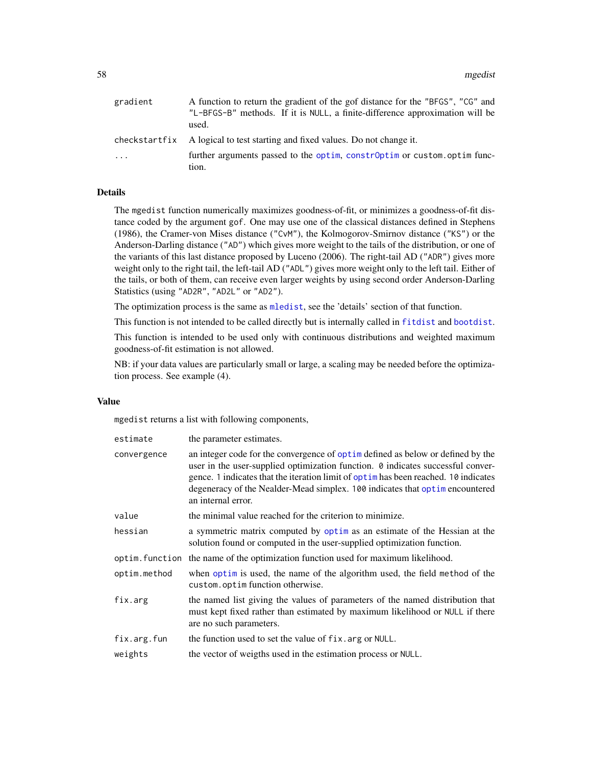| gradient      | A function to return the gradient of the gof distance for the "BFGS", "CG" and<br>"L-BFGS-B" methods. If it is NULL, a finite-difference approximation will be |
|---------------|----------------------------------------------------------------------------------------------------------------------------------------------------------------|
|               | used.                                                                                                                                                          |
| checkstartfix | A logical to test starting and fixed values. Do not change it.                                                                                                 |
| $\ddots$ .    | further arguments passed to the optim, constr0ptim or custom.optim func-                                                                                       |
|               | tion.                                                                                                                                                          |

# Details

The mgedist function numerically maximizes goodness-of-fit, or minimizes a goodness-of-fit distance coded by the argument gof. One may use one of the classical distances defined in Stephens (1986), the Cramer-von Mises distance ("CvM"), the Kolmogorov-Smirnov distance ("KS") or the Anderson-Darling distance ("AD") which gives more weight to the tails of the distribution, or one of the variants of this last distance proposed by Luceno (2006). The right-tail AD ("ADR") gives more weight only to the right tail, the left-tail AD ("ADL") gives more weight only to the left tail. Either of the tails, or both of them, can receive even larger weights by using second order Anderson-Darling Statistics (using "AD2R", "AD2L" or "AD2").

The optimization process is the same as [mledist](#page-59-0), see the 'details' section of that function.

This function is not intended to be called directly but is internally called in [fitdist](#page-21-0) and [bootdist](#page-3-0).

This function is intended to be used only with continuous distributions and weighted maximum goodness-of-fit estimation is not allowed.

NB: if your data values are particularly small or large, a scaling may be needed before the optimization process. See example (4).

### Value

mgedist returns a list with following components,

| estimate       | the parameter estimates.                                                                                                                                                                                                                                                                                                                                        |
|----------------|-----------------------------------------------------------------------------------------------------------------------------------------------------------------------------------------------------------------------------------------------------------------------------------------------------------------------------------------------------------------|
| convergence    | an integer code for the convergence of optime defined as below or defined by the<br>user in the user-supplied optimization function. 0 indicates successful conver-<br>gence. 1 indicates that the iteration limit of optimular been reached. 10 indicates<br>degeneracy of the Nealder-Mead simplex. 100 indicates that optimencountered<br>an internal error. |
| value          | the minimal value reached for the criterion to minimize.                                                                                                                                                                                                                                                                                                        |
| hessian        | a symmetric matrix computed by optim as an estimate of the Hessian at the<br>solution found or computed in the user-supplied optimization function.                                                                                                                                                                                                             |
| optim.function | the name of the optimization function used for maximum likelihood.                                                                                                                                                                                                                                                                                              |
| optim.method   | when optim is used, the name of the algorithm used, the field method of the<br>custom.optimfunction otherwise.                                                                                                                                                                                                                                                  |
| fix.arg        | the named list giving the values of parameters of the named distribution that<br>must kept fixed rather than estimated by maximum likelihood or NULL if there<br>are no such parameters.                                                                                                                                                                        |
| fix.arg.fun    | the function used to set the value of fix. arg or NULL.                                                                                                                                                                                                                                                                                                         |
| weights        | the vector of weigths used in the estimation process or NULL.                                                                                                                                                                                                                                                                                                   |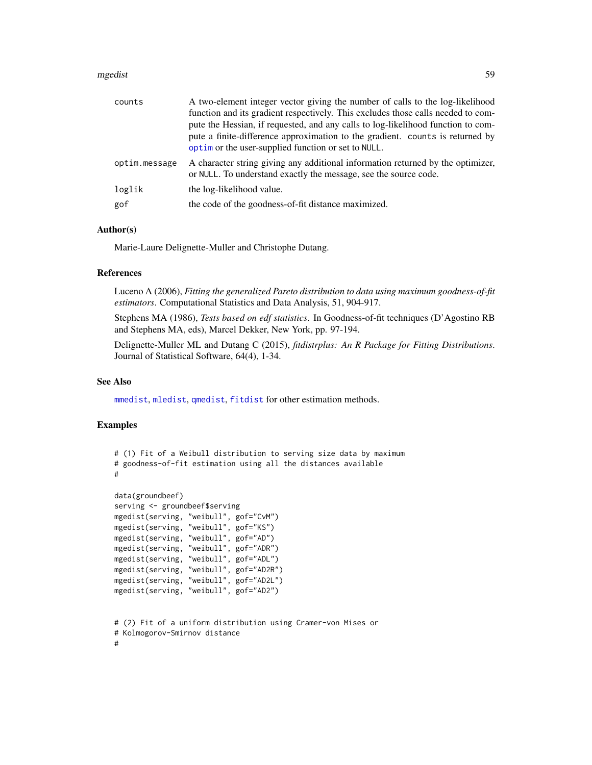#### mgedist 59

| counts        | A two-element integer vector giving the number of calls to the log-likelihood<br>function and its gradient respectively. This excludes those calls needed to com-<br>pute the Hessian, if requested, and any calls to log-likelihood function to com-<br>pute a finite-difference approximation to the gradient. counts is returned by<br>optim or the user-supplied function or set to NULL. |
|---------------|-----------------------------------------------------------------------------------------------------------------------------------------------------------------------------------------------------------------------------------------------------------------------------------------------------------------------------------------------------------------------------------------------|
| optim.message | A character string giving any additional information returned by the optimizer,<br>or NULL. To understand exactly the message, see the source code.                                                                                                                                                                                                                                           |
| loglik        | the log-likelihood value.                                                                                                                                                                                                                                                                                                                                                                     |
| gof           | the code of the goodness-of-fit distance maximized.                                                                                                                                                                                                                                                                                                                                           |

# Author(s)

Marie-Laure Delignette-Muller and Christophe Dutang.

### References

Luceno A (2006), *Fitting the generalized Pareto distribution to data using maximum goodness-of-fit estimators*. Computational Statistics and Data Analysis, 51, 904-917.

Stephens MA (1986), *Tests based on edf statistics*. In Goodness-of-fit techniques (D'Agostino RB and Stephens MA, eds), Marcel Dekker, New York, pp. 97-194.

Delignette-Muller ML and Dutang C (2015), *fitdistrplus: An R Package for Fitting Distributions*. Journal of Statistical Software, 64(4), 1-34.

### See Also

[mmedist](#page-64-0), [mledist](#page-59-0), [qmedist](#page-75-0), [fitdist](#page-21-0) for other estimation methods.

```
# (1) Fit of a Weibull distribution to serving size data by maximum
# goodness-of-fit estimation using all the distances available
#
data(groundbeef)
serving <- groundbeef$serving
mgedist(serving, "weibull", gof="CvM")
mgedist(serving, "weibull", gof="KS")
mgedist(serving, "weibull", gof="AD")
mgedist(serving, "weibull", gof="ADR")
mgedist(serving, "weibull", gof="ADL")
mgedist(serving, "weibull", gof="AD2R")
mgedist(serving, "weibull", gof="AD2L")
mgedist(serving, "weibull", gof="AD2")
# (2) Fit of a uniform distribution using Cramer-von Mises or
# Kolmogorov-Smirnov distance
#
```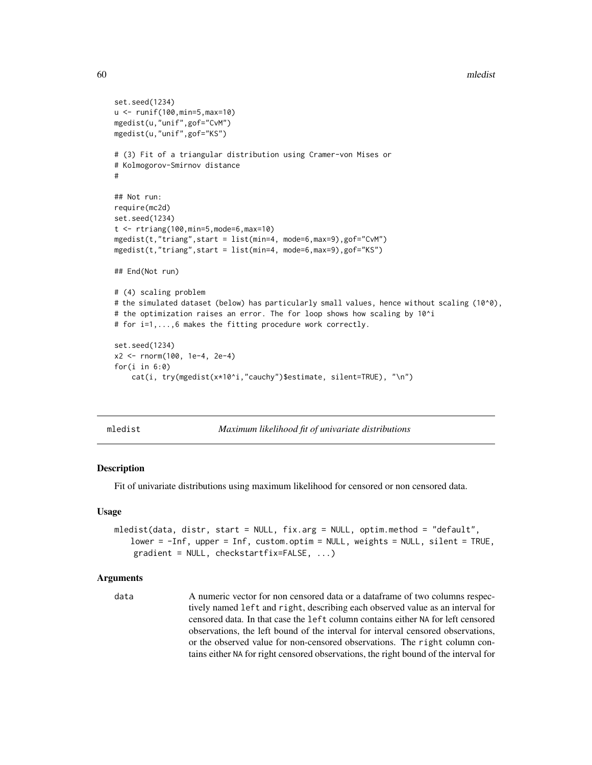```
set.seed(1234)
u <- runif(100,min=5,max=10)
mgedist(u,"unif",gof="CvM")
mgedist(u,"unif",gof="KS")
# (3) Fit of a triangular distribution using Cramer-von Mises or
# Kolmogorov-Smirnov distance
#
## Not run:
require(mc2d)
set.seed(1234)
t <- rtriang(100,min=5,mode=6,max=10)
mgedist(t,"triang",start = list(min=4, mode=6,max=9),gof="CvM")
mgedist(t,"triang",start = list(min=4, mode=6,max=9),gof="KS")
## End(Not run)
# (4) scaling problem
# the simulated dataset (below) has particularly small values, hence without scaling (10^0),
# the optimization raises an error. The for loop shows how scaling by 10^i
# for i=1,...,6 makes the fitting procedure work correctly.
set.seed(1234)
x2 <- rnorm(100, 1e-4, 2e-4)
for(i in 6:0)
    cat(i, try(mgedist(x*10^i,"cauchy")$estimate, silent=TRUE), "\n")
```
<span id="page-59-0"></span>

| mledis |
|--------|
|        |
|        |
|        |

Maximum likelihood fit of univariate distributions

### Description

Fit of univariate distributions using maximum likelihood for censored or non censored data.

#### Usage

```
mledist(data, distr, start = NULL, fix.arg = NULL, optim.method = "default",
   lower = -Inf, upper = Inf, custom.optim = NULL, weights = NULL, silent = TRUE,
    gradient = NULL, checkstartfix=FALSE, ...)
```
## Arguments

data A numeric vector for non censored data or a dataframe of two columns respectively named left and right, describing each observed value as an interval for censored data. In that case the left column contains either NA for left censored observations, the left bound of the interval for interval censored observations, or the observed value for non-censored observations. The right column contains either NA for right censored observations, the right bound of the interval for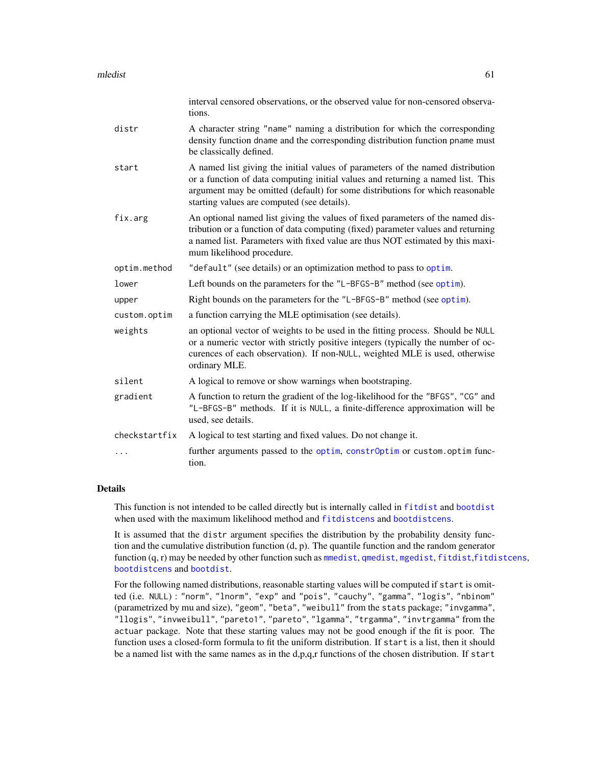|               | interval censored observations, or the observed value for non-censored observa-<br>tions.                                                                                                                                                                                                         |
|---------------|---------------------------------------------------------------------------------------------------------------------------------------------------------------------------------------------------------------------------------------------------------------------------------------------------|
| distr         | A character string "name" naming a distribution for which the corresponding<br>density function dname and the corresponding distribution function pname must<br>be classically defined.                                                                                                           |
| start         | A named list giving the initial values of parameters of the named distribution<br>or a function of data computing initial values and returning a named list. This<br>argument may be omitted (default) for some distributions for which reasonable<br>starting values are computed (see details). |
| fix.arg       | An optional named list giving the values of fixed parameters of the named dis-<br>tribution or a function of data computing (fixed) parameter values and returning<br>a named list. Parameters with fixed value are thus NOT estimated by this maxi-<br>mum likelihood procedure.                 |
| optim.method  | "default" (see details) or an optimization method to pass to optim.                                                                                                                                                                                                                               |
| lower         | Left bounds on the parameters for the "L-BFGS-B" method (see optim).                                                                                                                                                                                                                              |
| upper         | Right bounds on the parameters for the "L-BFGS-B" method (see optim).                                                                                                                                                                                                                             |
| custom.optim  | a function carrying the MLE optimisation (see details).                                                                                                                                                                                                                                           |
| weights       | an optional vector of weights to be used in the fitting process. Should be NULL<br>or a numeric vector with strictly positive integers (typically the number of oc-<br>curences of each observation). If non-NULL, weighted MLE is used, otherwise<br>ordinary MLE.                               |
| silent        | A logical to remove or show warnings when bootstraping.                                                                                                                                                                                                                                           |
| gradient      | A function to return the gradient of the log-likelihood for the "BFGS", "CG" and<br>"L-BFGS-B" methods. If it is NULL, a finite-difference approximation will be<br>used, see details.                                                                                                            |
| checkstartfix | A logical to test starting and fixed values. Do not change it.                                                                                                                                                                                                                                    |
|               | further arguments passed to the optim, constrOptim or custom.optim func-<br>tion.                                                                                                                                                                                                                 |

# Details

This function is not intended to be called directly but is internally called in [fitdist](#page-21-0) and [bootdist](#page-3-0) when used with the maximum likelihood method and [fitdistcens](#page-31-0) and [bootdistcens](#page-6-0).

It is assumed that the distr argument specifies the distribution by the probability density function and the cumulative distribution function  $(d, p)$ . The quantile function and the random generator function (q, r) may be needed by other function such as [mmedist](#page-64-0), [qmedist](#page-75-0), [mgedist](#page-56-0), [fitdist](#page-21-0),[fitdistcens](#page-31-0), [bootdistcens](#page-6-0) and [bootdist](#page-3-0).

For the following named distributions, reasonable starting values will be computed if start is omitted (i.e. NULL) : "norm", "lnorm", "exp" and "pois", "cauchy", "gamma", "logis", "nbinom" (parametrized by mu and size), "geom", "beta", "weibull" from the stats package; "invgamma", "llogis", "invweibull", "pareto1", "pareto", "lgamma", "trgamma", "invtrgamma" from the actuar package. Note that these starting values may not be good enough if the fit is poor. The function uses a closed-form formula to fit the uniform distribution. If start is a list, then it should be a named list with the same names as in the d,p,q,r functions of the chosen distribution. If start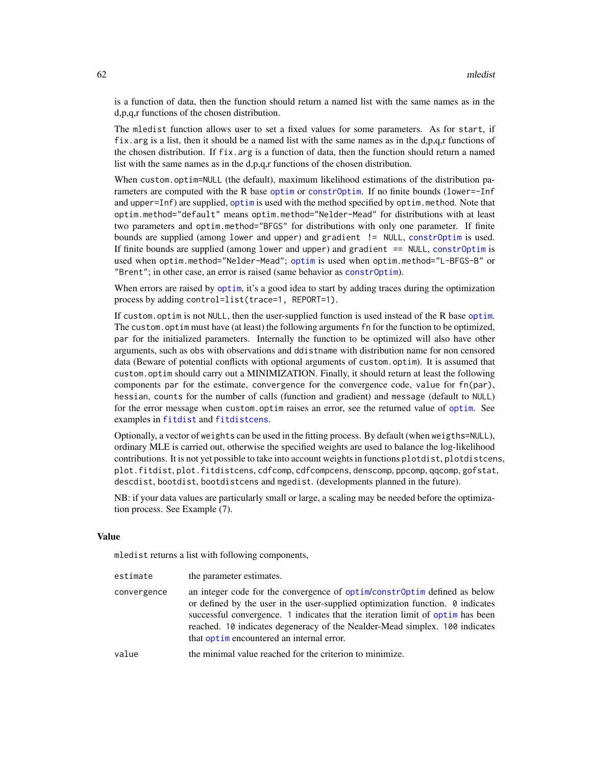is a function of data, then the function should return a named list with the same names as in the d,p,q,r functions of the chosen distribution.

The mledist function allows user to set a fixed values for some parameters. As for start, if fix.arg is a list, then it should be a named list with the same names as in the d,p,q,r functions of the chosen distribution. If  $fix$ , arg is a function of data, then the function should return a named list with the same names as in the d,p,q,r functions of the chosen distribution.

When custom.optim=NULL (the default), maximum likelihood estimations of the distribution parameters are computed with the R base [optim](#page-0-0) or [constrOptim](#page-0-0). If no finite bounds (lower=-Inf and upper=Inf) are supplied, [optim](#page-0-0) is used with the method specified by optim.method. Note that optim.method="default" means optim.method="Nelder-Mead" for distributions with at least two parameters and optim.method="BFGS" for distributions with only one parameter. If finite bounds are supplied (among lower and upper) and gradient != NULL, [constrOptim](#page-0-0) is used. If finite bounds are supplied (among lower and upper) and gradient == NULL, [constrOptim](#page-0-0) is used when optim.method="Nelder-Mead"; [optim](#page-0-0) is used when optim.method="L-BFGS-B" or "Brent"; in other case, an error is raised (same behavior as [constrOptim](#page-0-0)).

When errors are raised by [optim](#page-0-0), it's a good idea to start by adding traces during the optimization process by adding control=list(trace=1, REPORT=1).

If custom.optim is not NULL, then the user-supplied function is used instead of the R base [optim](#page-0-0). The custom.optim must have (at least) the following arguments fn for the function to be optimized, par for the initialized parameters. Internally the function to be optimized will also have other arguments, such as obs with observations and ddistname with distribution name for non censored data (Beware of potential conflicts with optional arguments of custom.optim). It is assumed that custom.optim should carry out a MINIMIZATION. Finally, it should return at least the following components par for the estimate, convergence for the convergence code, value for fn(par), hessian, counts for the number of calls (function and gradient) and message (default to NULL) for the error message when custom.optim raises an error, see the returned value of [optim](#page-0-0). See examples in [fitdist](#page-21-0) and [fitdistcens](#page-31-0).

Optionally, a vector of weights can be used in the fitting process. By default (when weigths=NULL), ordinary MLE is carried out, otherwise the specified weights are used to balance the log-likelihood contributions. It is not yet possible to take into account weights in functions plotdist, plotdistcens, plot.fitdist, plot.fitdistcens, cdfcomp, cdfcompcens, denscomp, ppcomp, qqcomp, gofstat, descdist, bootdist, bootdistcens and mgedist. (developments planned in the future).

NB: if your data values are particularly small or large, a scaling may be needed before the optimization process. See Example (7).

# Value

mledist returns a list with following components,

| estimate    | the parameter estimates.                                                                                                                                                                                                                                                                                                                                                         |
|-------------|----------------------------------------------------------------------------------------------------------------------------------------------------------------------------------------------------------------------------------------------------------------------------------------------------------------------------------------------------------------------------------|
| convergence | an integer code for the convergence of optim/constroptim defined as below<br>or defined by the user in the user-supplied optimization function. $\theta$ indicates<br>successful convergence. 1 indicates that the iteration limit of optim has been<br>reached. 10 indicates degeneracy of the Nealder-Mead simplex. 100 indicates<br>that optime neountered an internal error. |
| value       | the minimal value reached for the criterion to minimize.                                                                                                                                                                                                                                                                                                                         |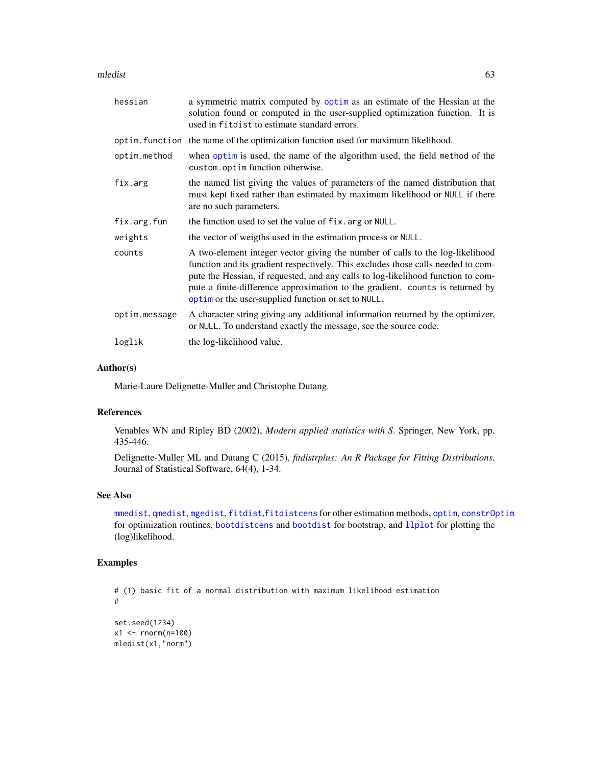#### mledist 63

| hessian       | a symmetric matrix computed by optim as an estimate of the Hessian at the<br>solution found or computed in the user-supplied optimization function. It is<br>used in fit dist to estimate standard errors.                                                                                                                                                                                    |
|---------------|-----------------------------------------------------------------------------------------------------------------------------------------------------------------------------------------------------------------------------------------------------------------------------------------------------------------------------------------------------------------------------------------------|
|               | optim. function the name of the optimization function used for maximum likelihood.                                                                                                                                                                                                                                                                                                            |
| optim.method  | when optim is used, the name of the algorithm used, the field method of the<br>custom.optimfunction otherwise.                                                                                                                                                                                                                                                                                |
| fix.arg       | the named list giving the values of parameters of the named distribution that<br>must kept fixed rather than estimated by maximum likelihood or NULL if there<br>are no such parameters.                                                                                                                                                                                                      |
| fix.arg.fun   | the function used to set the value of fix. arg or NULL.                                                                                                                                                                                                                                                                                                                                       |
| weights       | the vector of weigths used in the estimation process or NULL.                                                                                                                                                                                                                                                                                                                                 |
| counts        | A two-element integer vector giving the number of calls to the log-likelihood<br>function and its gradient respectively. This excludes those calls needed to com-<br>pute the Hessian, if requested, and any calls to log-likelihood function to com-<br>pute a finite-difference approximation to the gradient. counts is returned by<br>optim or the user-supplied function or set to NULL. |
| optim.message | A character string giving any additional information returned by the optimizer,<br>or NULL. To understand exactly the message, see the source code.                                                                                                                                                                                                                                           |
| loglik        | the log-likelihood value.                                                                                                                                                                                                                                                                                                                                                                     |

# Author(s)

Marie-Laure Delignette-Muller and Christophe Dutang.

# References

Venables WN and Ripley BD (2002), *Modern applied statistics with S*. Springer, New York, pp. 435-446.

Delignette-Muller ML and Dutang C (2015), *fitdistrplus: An R Package for Fitting Distributions*. Journal of Statistical Software, 64(4), 1-34.

# See Also

[mmedist](#page-64-0), [qmedist](#page-75-0), [mgedist](#page-56-0), [fitdist](#page-21-0),[fitdistcens](#page-31-0) for other estimation methods, [optim](#page-0-0), [constrOptim](#page-0-0) for optimization routines, [bootdistcens](#page-6-0) and [bootdist](#page-3-0) for bootstrap, and [llplot](#page-51-0) for plotting the (log)likelihood.

```
# (1) basic fit of a normal distribution with maximum likelihood estimation
#
set.seed(1234)
x1 <- rnorm(n=100)
mledist(x1,"norm")
```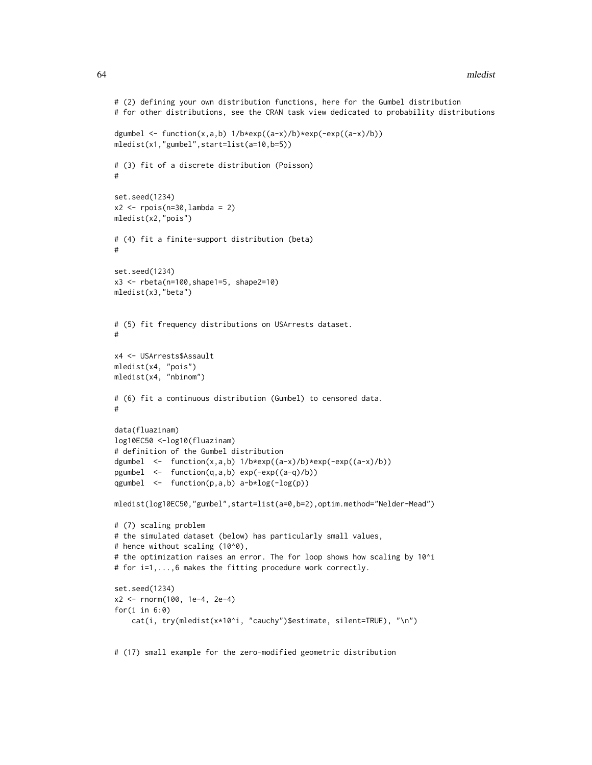```
# (2) defining your own distribution functions, here for the Gumbel distribution
# for other distributions, see the CRAN task view dedicated to probability distributions
dgumbel <- function(x,a,b) 1/b*exp((a-x)/b)*exp(-exp((a-x)/b))mledist(x1,"gumbel",start=list(a=10,b=5))
# (3) fit of a discrete distribution (Poisson)
#
set.seed(1234)
x2 \le r \text{pois}(n=30, \text{lambda} = 2)mledist(x2,"pois")
# (4) fit a finite-support distribution (beta)
#
set.seed(1234)
x3 <- rbeta(n=100,shape1=5, shape2=10)
mledist(x3,"beta")
# (5) fit frequency distributions on USArrests dataset.
#
x4 <- USArrests$Assault
mledist(x4, "pois")
mledist(x4, "nbinom")
# (6) fit a continuous distribution (Gumbel) to censored data.
#
data(fluazinam)
log10EC50 <-log10(fluazinam)
# definition of the Gumbel distribution
dgumbel \leq function(x,a,b) 1/b*exp((a-x)/b)*exp(-exp((a-x)/b))
pgumbel <- function(q,a,b) exp(-exp((a-q)/b))
qgumbel <- function(p,a,b) a-b*log(-log(p))
mledist(log10EC50,"gumbel",start=list(a=0,b=2),optim.method="Nelder-Mead")
# (7) scaling problem
# the simulated dataset (below) has particularly small values,
# hence without scaling (10^0),
# the optimization raises an error. The for loop shows how scaling by 10^i
# for i=1,...,6 makes the fitting procedure work correctly.
set.seed(1234)
x2 <- rnorm(100, 1e-4, 2e-4)
for(i in 6:0)
    cat(i, try(mledist(x*10^i, "cauchy")$estimate, silent=TRUE), "\n")
```
# (17) small example for the zero-modified geometric distribution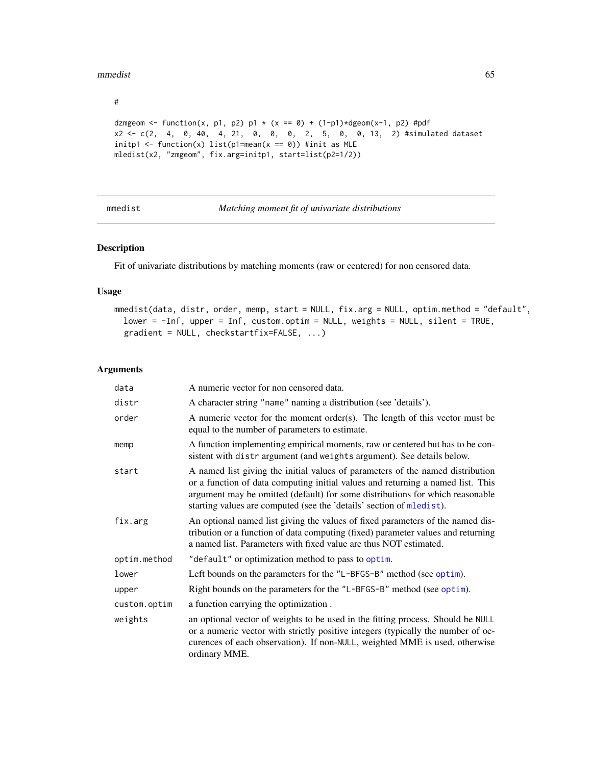#### mmedist 65

#

```
dzmgeom <- function(x, p1, p2) p1 * (x == 0) + (1-p1)*dgeom(x-1, p2) #pdf
x2 <- c(2, 4, 0, 40, 4, 21, 0, 0, 0, 2, 5, 0, 0, 13, 2) #simulated dataset
initp1 <- function(x) list(p1=mean(x == 0)) #init as MLE
mledist(x2, "zmgeom", fix.arg=initp1, start=list(p2=1/2))
```
<span id="page-64-0"></span>mmedist *Matching moment fit of univariate distributions*

## Description

Fit of univariate distributions by matching moments (raw or centered) for non censored data.

# Usage

```
mmedist(data, distr, order, memp, start = NULL, fix.arg = NULL, optim.method = "default",
 lower = -Inf, upper = Inf, custom.optim = NULL, weights = NULL, silent = TRUE,
  gradient = NULL, checkstartfix=FALSE, ...)
```

| data         | A numeric vector for non censored data.                                                                                                                                                                                                                                                                                    |
|--------------|----------------------------------------------------------------------------------------------------------------------------------------------------------------------------------------------------------------------------------------------------------------------------------------------------------------------------|
| distr        | A character string "name" naming a distribution (see 'details').                                                                                                                                                                                                                                                           |
| order        | A numeric vector for the moment order(s). The length of this vector must be<br>equal to the number of parameters to estimate.                                                                                                                                                                                              |
| memp         | A function implementing empirical moments, raw or centered but has to be con-<br>sistent with distrargument (and weights argument). See details below.                                                                                                                                                                     |
| start        | A named list giving the initial values of parameters of the named distribution<br>or a function of data computing initial values and returning a named list. This<br>argument may be omitted (default) for some distributions for which reasonable<br>starting values are computed (see the 'details' section of mledist). |
| fix.arg      | An optional named list giving the values of fixed parameters of the named dis-<br>tribution or a function of data computing (fixed) parameter values and returning<br>a named list. Parameters with fixed value are thus NOT estimated.                                                                                    |
| optim.method | "default" or optimization method to pass to optim.                                                                                                                                                                                                                                                                         |
| lower        | Left bounds on the parameters for the "L-BFGS-B" method (see optim).                                                                                                                                                                                                                                                       |
| upper        | Right bounds on the parameters for the "L-BFGS-B" method (see optim).                                                                                                                                                                                                                                                      |
| custom.optim | a function carrying the optimization.                                                                                                                                                                                                                                                                                      |
| weights      | an optional vector of weights to be used in the fitting process. Should be NULL<br>or a numeric vector with strictly positive integers (typically the number of oc-<br>curences of each observation). If non-NULL, weighted MME is used, otherwise<br>ordinary MME.                                                        |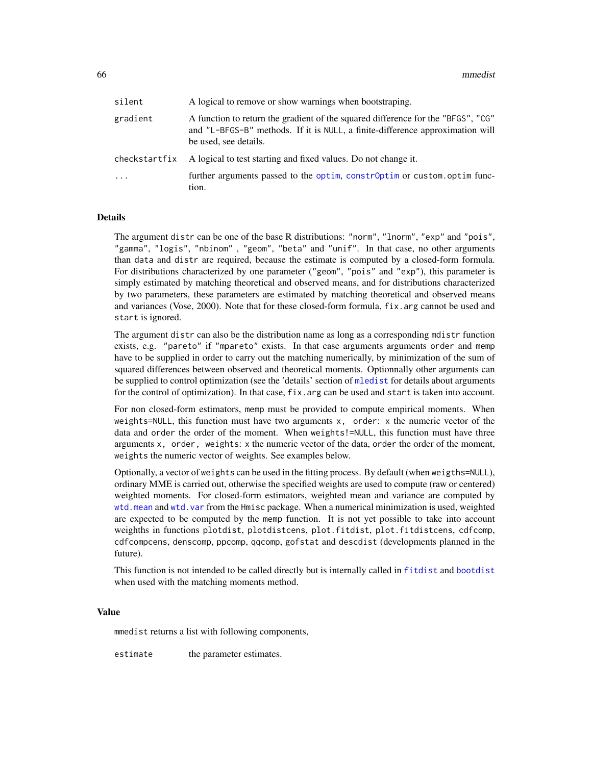| silent        | A logical to remove or show warnings when bootstraping.                                                                                                                                    |
|---------------|--------------------------------------------------------------------------------------------------------------------------------------------------------------------------------------------|
| gradient      | A function to return the gradient of the squared difference for the "BFGS", "CG"<br>and "L-BFGS-B" methods. If it is NULL, a finite-difference approximation will<br>be used, see details. |
| checkstartfix | A logical to test starting and fixed values. Do not change it.                                                                                                                             |
| $\cdot$       | further arguments passed to the optim, constrOptim or custom.optim func-<br>tion.                                                                                                          |

## Details

The argument distr can be one of the base R distributions: "norm", "lnorm", "exp" and "pois", "gamma", "logis", "nbinom" , "geom", "beta" and "unif". In that case, no other arguments than data and distr are required, because the estimate is computed by a closed-form formula. For distributions characterized by one parameter ("geom", "pois" and "exp"), this parameter is simply estimated by matching theoretical and observed means, and for distributions characterized by two parameters, these parameters are estimated by matching theoretical and observed means and variances (Vose, 2000). Note that for these closed-form formula, fix.arg cannot be used and start is ignored.

The argument distr can also be the distribution name as long as a corresponding mdistr function exists, e.g. "pareto" if "mpareto" exists. In that case arguments arguments order and memp have to be supplied in order to carry out the matching numerically, by minimization of the sum of squared differences between observed and theoretical moments. Optionnally other arguments can be supplied to control optimization (see the 'details' section of [mledist](#page-59-0) for details about arguments for the control of optimization). In that case,  $fix.argv$  can be used and start is taken into account.

For non closed-form estimators, memp must be provided to compute empirical moments. When weights=NULL, this function must have two arguments x, order: x the numeric vector of the data and order the order of the moment. When weights!=NULL, this function must have three arguments x, order, weights: x the numeric vector of the data, order the order of the moment, weights the numeric vector of weights. See examples below.

Optionally, a vector of weights can be used in the fitting process. By default (when weigths=NULL), ordinary MME is carried out, otherwise the specified weights are used to compute (raw or centered) weighted moments. For closed-form estimators, weighted mean and variance are computed by [wtd.mean](#page-0-0) and [wtd.var](#page-0-0) from the Hmisc package. When a numerical minimization is used, weighted are expected to be computed by the memp function. It is not yet possible to take into account weighths in functions plotdist, plotdistcens, plot.fitdist, plot.fitdistcens, cdfcomp, cdfcompcens, denscomp, ppcomp, qqcomp, gofstat and descdist (developments planned in the future).

This function is not intended to be called directly but is internally called in [fitdist](#page-21-0) and [bootdist](#page-3-0) when used with the matching moments method.

#### Value

mmedist returns a list with following components,

estimate the parameter estimates.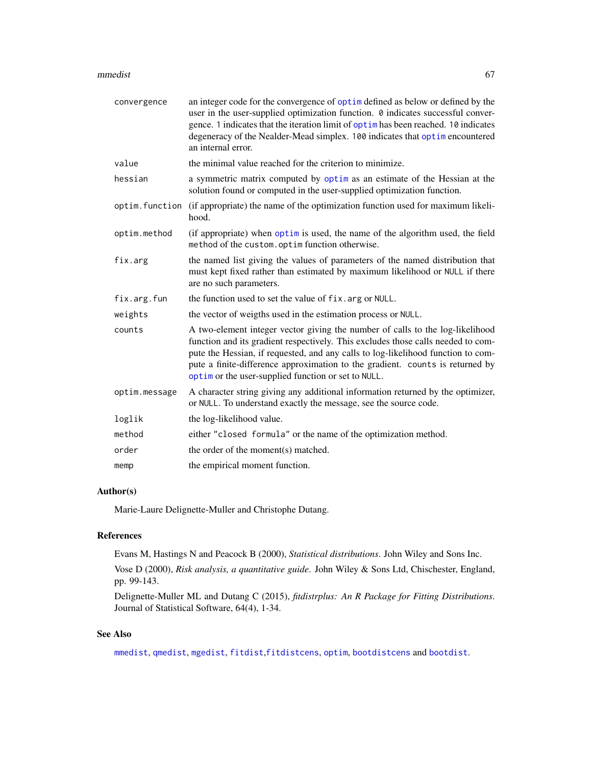#### mmedist 67

| convergence    | an integer code for the convergence of optim defined as below or defined by the<br>user in the user-supplied optimization function. 0 indicates successful conver-<br>gence. 1 indicates that the iteration limit of optim has been reached. 10 indicates<br>degeneracy of the Nealder-Mead simplex. 100 indicates that optimencountered<br>an internal error.                                |
|----------------|-----------------------------------------------------------------------------------------------------------------------------------------------------------------------------------------------------------------------------------------------------------------------------------------------------------------------------------------------------------------------------------------------|
| value          | the minimal value reached for the criterion to minimize.                                                                                                                                                                                                                                                                                                                                      |
| hessian        | a symmetric matrix computed by optim as an estimate of the Hessian at the<br>solution found or computed in the user-supplied optimization function.                                                                                                                                                                                                                                           |
| optim.function | (if appropriate) the name of the optimization function used for maximum likeli-<br>hood.                                                                                                                                                                                                                                                                                                      |
| optim.method   | (if appropriate) when optim is used, the name of the algorithm used, the field<br>method of the custom.optim function otherwise.                                                                                                                                                                                                                                                              |
| fix.arg        | the named list giving the values of parameters of the named distribution that<br>must kept fixed rather than estimated by maximum likelihood or NULL if there<br>are no such parameters.                                                                                                                                                                                                      |
| fix.arg.fun    | the function used to set the value of fix. arg or NULL.                                                                                                                                                                                                                                                                                                                                       |
| weights        | the vector of weigths used in the estimation process or NULL.                                                                                                                                                                                                                                                                                                                                 |
| counts         | A two-element integer vector giving the number of calls to the log-likelihood<br>function and its gradient respectively. This excludes those calls needed to com-<br>pute the Hessian, if requested, and any calls to log-likelihood function to com-<br>pute a finite-difference approximation to the gradient. counts is returned by<br>optim or the user-supplied function or set to NULL. |
| optim.message  | A character string giving any additional information returned by the optimizer,<br>or NULL. To understand exactly the message, see the source code.                                                                                                                                                                                                                                           |
| loglik         | the log-likelihood value.                                                                                                                                                                                                                                                                                                                                                                     |
| method         | either "closed formula" or the name of the optimization method.                                                                                                                                                                                                                                                                                                                               |
| order          | the order of the moment(s) matched.                                                                                                                                                                                                                                                                                                                                                           |
| memp           | the empirical moment function.                                                                                                                                                                                                                                                                                                                                                                |

# Author(s)

Marie-Laure Delignette-Muller and Christophe Dutang.

# References

Evans M, Hastings N and Peacock B (2000), *Statistical distributions*. John Wiley and Sons Inc.

Vose D (2000), *Risk analysis, a quantitative guide*. John Wiley & Sons Ltd, Chischester, England, pp. 99-143.

Delignette-Muller ML and Dutang C (2015), *fitdistrplus: An R Package for Fitting Distributions*. Journal of Statistical Software, 64(4), 1-34.

# See Also

[mmedist](#page-64-0), [qmedist](#page-75-0), [mgedist](#page-56-0), [fitdist](#page-21-0),[fitdistcens](#page-31-0), [optim](#page-0-0), [bootdistcens](#page-6-0) and [bootdist](#page-3-0).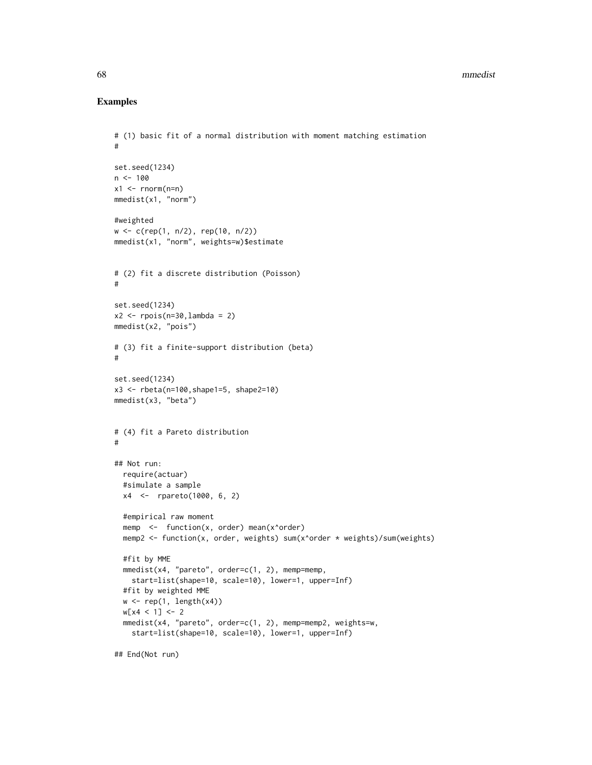#### 68 mmedist

# Examples

```
# (1) basic fit of a normal distribution with moment matching estimation
#
set.seed(1234)
n <- 100
x1 \leftarrow \text{norm}(n=n)mmedist(x1, "norm")
#weighted
w <- c(rep(1, n/2), rep(10, n/2))
mmedist(x1, "norm", weights=w)$estimate
# (2) fit a discrete distribution (Poisson)
#
set.seed(1234)
x2 \leq - \text{rpois}(n=30, \text{lambda} = 2)mmedist(x2, "pois")
# (3) fit a finite-support distribution (beta)
#
set.seed(1234)
x3 \le - rbeta(n=100, shape1=5, shape2=10)
mmedist(x3, "beta")
# (4) fit a Pareto distribution
#
## Not run:
  require(actuar)
  #simulate a sample
 x4 <- rpareto(1000, 6, 2)
  #empirical raw moment
  memp \leq function(x, order) mean(x^order)
  memp2 <- function(x, order, weights) sum(x^order * weights)/sum(weights)
  #fit by MME
  mmedist(x4, "pareto", order=c(1, 2), memp=memp,
    start=list(shape=10, scale=10), lower=1, upper=Inf)
  #fit by weighted MME
  w \leftarrow \text{rep}(1, \text{length}(x4))w[x4 < 1] <- 2
  mmedist(x4, "pareto", order=c(1, 2), memp=memp2, weights=w,
    start=list(shape=10, scale=10), lower=1, upper=Inf)
```
## End(Not run)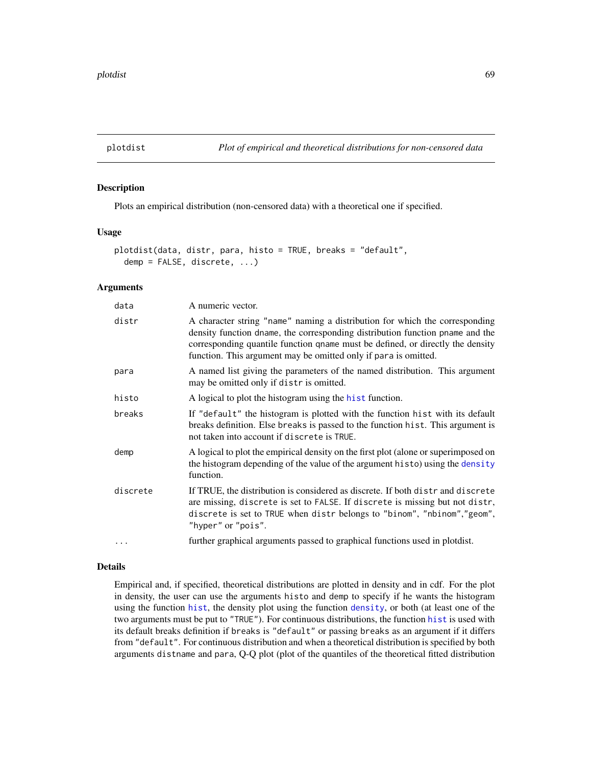<span id="page-68-0"></span>

### Description

Plots an empirical distribution (non-censored data) with a theoretical one if specified.

#### Usage

```
plotdist(data, distr, para, histo = TRUE, breaks = "default",
  demp = FALSE, discrete, ...)
```
### Arguments

| data     | A numeric vector.                                                                                                                                                                                                                                                                                                 |
|----------|-------------------------------------------------------------------------------------------------------------------------------------------------------------------------------------------------------------------------------------------------------------------------------------------------------------------|
| distr    | A character string "name" naming a distribution for which the corresponding<br>density function dname, the corresponding distribution function pname and the<br>corresponding quantile function qname must be defined, or directly the density<br>function. This argument may be omitted only if para is omitted. |
| para     | A named list giving the parameters of the named distribution. This argument<br>may be omitted only if distr is omitted.                                                                                                                                                                                           |
| histo    | A logical to plot the histogram using the hist function.                                                                                                                                                                                                                                                          |
| breaks   | If "default" the histogram is plotted with the function hist with its default<br>breaks definition. Else breaks is passed to the function hist. This argument is<br>not taken into account if discrete is TRUE.                                                                                                   |
| demp     | A logical to plot the empirical density on the first plot (alone or superimposed on<br>the histogram depending of the value of the argument histo) using the density<br>function.                                                                                                                                 |
| discrete | If TRUE, the distribution is considered as discrete. If both distrand discrete<br>are missing, discrete is set to FALSE. If discrete is missing but not distr,<br>discrete is set to TRUE when distr belongs to "binom", "nbinom", "geom",<br>"hyper" or "pois".                                                  |
| $\cdots$ | further graphical arguments passed to graphical functions used in plotdist.                                                                                                                                                                                                                                       |

## Details

Empirical and, if specified, theoretical distributions are plotted in density and in cdf. For the plot in density, the user can use the arguments histo and demp to specify if he wants the histogram using the function [hist](#page-0-0), the density plot using the function [density](#page-0-0), or both (at least one of the two arguments must be put to "TRUE"). For continuous distributions, the function [hist](#page-0-0) is used with its default breaks definition if breaks is "default" or passing breaks as an argument if it differs from "default". For continuous distribution and when a theoretical distribution is specified by both arguments distname and para, Q-Q plot (plot of the quantiles of the theoretical fitted distribution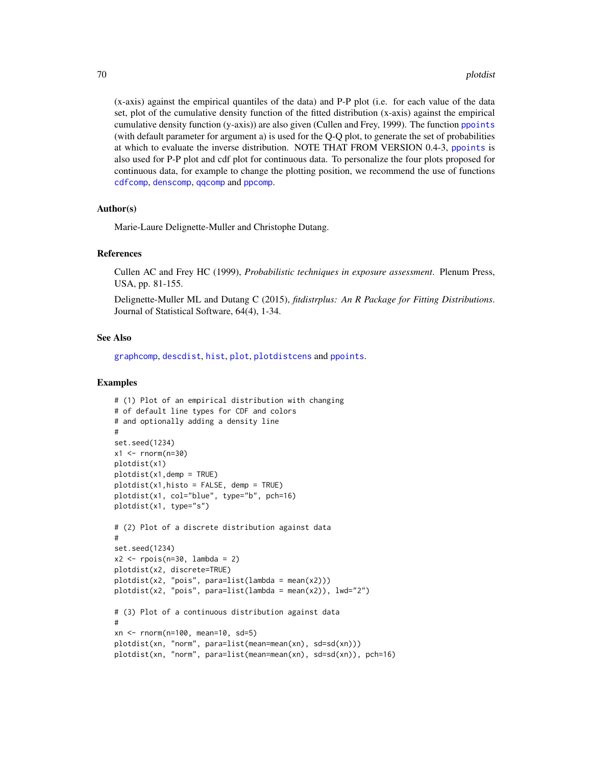(x-axis) against the empirical quantiles of the data) and P-P plot (i.e. for each value of the data set, plot of the cumulative density function of the fitted distribution (x-axis) against the empirical cumulative density function  $(y-axis)$  are also given (Cullen and Frey, 1999). The function [ppoints](#page-0-0) (with default parameter for argument a) is used for the Q-Q plot, to generate the set of probabilities at which to evaluate the inverse distribution. NOTE THAT FROM VERSION 0.4-3, [ppoints](#page-0-0) is also used for P-P plot and cdf plot for continuous data. To personalize the four plots proposed for continuous data, for example to change the plotting position, we recommend the use of functions [cdfcomp](#page-42-0), [denscomp](#page-42-0), [qqcomp](#page-42-0) and [ppcomp](#page-42-0).

# Author(s)

Marie-Laure Delignette-Muller and Christophe Dutang.

### References

Cullen AC and Frey HC (1999), *Probabilistic techniques in exposure assessment*. Plenum Press, USA, pp. 81-155.

Delignette-Muller ML and Dutang C (2015), *fitdistrplus: An R Package for Fitting Distributions*. Journal of Statistical Software, 64(4), 1-34.

# See Also

[graphcomp](#page-41-0), [descdist](#page-15-0), [hist](#page-0-0), [plot](#page-0-0), [plotdistcens](#page-70-0) and [ppoints](#page-0-0).

```
# (1) Plot of an empirical distribution with changing
# of default line types for CDF and colors
# and optionally adding a density line
#
set.seed(1234)
x1 <- rnorm(n=30)plotdist(x1)
plotdist(x1,demp = TRUE)
plotdist(x1, hist_0 = FALSE, demp = TRUE)plotdist(x1, col="blue", type="b", pch=16)
plotdist(x1, type="s")
# (2) Plot of a discrete distribution against data
#
set.seed(1234)
x2 \leq - \text{rpois}(n=30, \text{lambda} = 2)plotdist(x2, discrete=TRUE)
plotdist(x2, "pois", para=list(lambda = mean(x2)))plotdist(x2, "pois", para=list(lambda = mean(x2)), lwd="2")
# (3) Plot of a continuous distribution against data
#
xn <- rnorm(n=100, mean=10, sd=5)
plotdist(xn, "norm", para=list(mean=mean(xn), sd=sd(xn)))
plotdist(xn, "norm", para=list(mean=mean(xn), sd=sd(xn)), pch=16)
```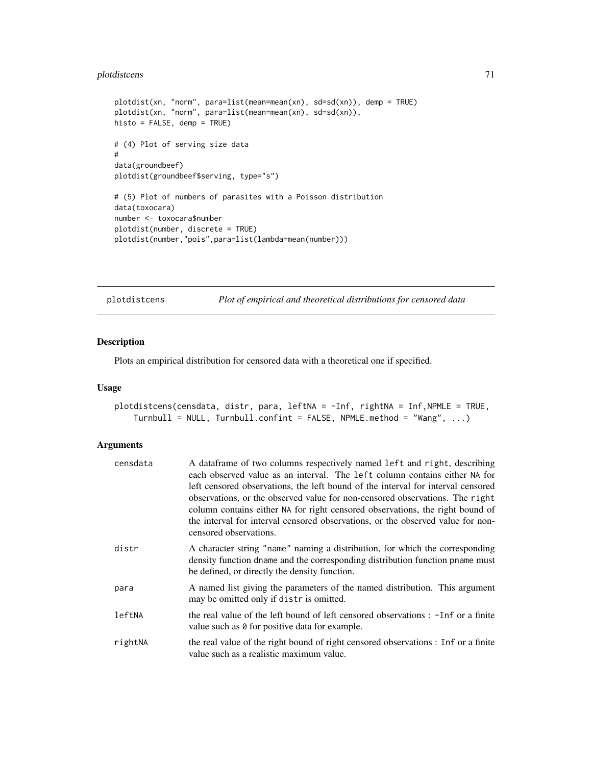# plotdistcens 71

```
plotdist(xn, "norm", para=list(mean=mean(xn), sd=sd(xn)), demp = TRUE)
plotdist(xn, "norm", para=list(mean=mean(xn), sd=sd(xn)),
histo = FALSE, demp = TRUE)
# (4) Plot of serving size data
#
data(groundbeef)
plotdist(groundbeef$serving, type="s")
# (5) Plot of numbers of parasites with a Poisson distribution
data(toxocara)
number <- toxocara$number
plotdist(number, discrete = TRUE)
plotdist(number,"pois",para=list(lambda=mean(number)))
```
<span id="page-70-0"></span>plotdistcens *Plot of empirical and theoretical distributions for censored data*

# Description

Plots an empirical distribution for censored data with a theoretical one if specified.

# Usage

```
plotdistcens(censdata, distr, para, leftNA = -Inf, rightNA = Inf,NPMLE = TRUE,
    Turnbull = NULL, Turnbull.confint = FALSE, NPMLE.method = "Wang", ...)
```

| censdata | A data frame of two columns respectively named left and right, describing<br>each observed value as an interval. The left column contains either NA for                                                                                                                                                                                                        |
|----------|----------------------------------------------------------------------------------------------------------------------------------------------------------------------------------------------------------------------------------------------------------------------------------------------------------------------------------------------------------------|
|          | left censored observations, the left bound of the interval for interval censored<br>observations, or the observed value for non-censored observations. The right<br>column contains either NA for right censored observations, the right bound of<br>the interval for interval censored observations, or the observed value for non-<br>censored observations. |
| distr    | A character string "name" naming a distribution, for which the corresponding<br>density function dname and the corresponding distribution function pname must<br>be defined, or directly the density function.                                                                                                                                                 |
| para     | A named list giving the parameters of the named distribution. This argument<br>may be omitted only if distr is omitted.                                                                                                                                                                                                                                        |
| leftNA   | the real value of the left bound of left censored observations : -Inf or a finite<br>value such as 0 for positive data for example.                                                                                                                                                                                                                            |
| rightNA  | the real value of the right bound of right censored observations : Inf or a finite<br>value such as a realistic maximum value.                                                                                                                                                                                                                                 |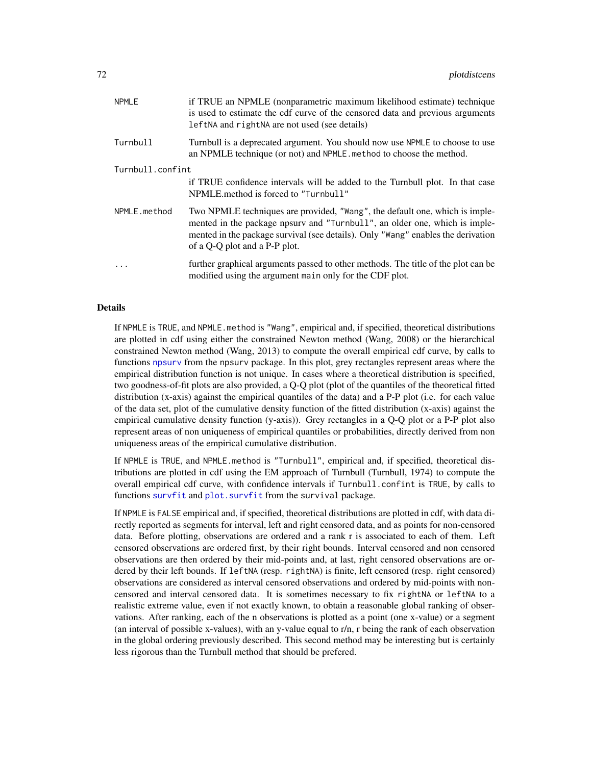| <b>NPMLE</b>     | if TRUE an NPMLE (nonparametric maximum likelihood estimate) technique<br>is used to estimate the cdf curve of the censored data and previous arguments<br>leftNA and rightNA are not used (see details)                                                                       |
|------------------|--------------------------------------------------------------------------------------------------------------------------------------------------------------------------------------------------------------------------------------------------------------------------------|
| Turnbull         | Turnbull is a deprecated argument. You should now use NPMLE to choose to use<br>an NPMLE technique (or not) and NPMLE. method to choose the method.                                                                                                                            |
| Turnbull.confint |                                                                                                                                                                                                                                                                                |
|                  | if TRUE confidence intervals will be added to the Turnbull plot. In that case<br>NPMLE, method is forced to "Turnbull"                                                                                                                                                         |
| NPMLE.method     | Two NPMLE techniques are provided, "Wang", the default one, which is imple-<br>mented in the package npsurv and "Turnbull", an older one, which is imple-<br>mented in the package survival (see details). Only "Wang" enables the derivation<br>of a Q-Q plot and a P-P plot. |
| .                | further graphical arguments passed to other methods. The title of the plot can be<br>modified using the argument main only for the CDF plot.                                                                                                                                   |

### Details

If NPMLE is TRUE, and NPMLE.method is "Wang", empirical and, if specified, theoretical distributions are plotted in cdf using either the constrained Newton method (Wang, 2008) or the hierarchical constrained Newton method (Wang, 2013) to compute the overall empirical cdf curve, by calls to functions [npsurv](#page-0-0) from the npsurv package. In this plot, grey rectangles represent areas where the empirical distribution function is not unique. In cases where a theoretical distribution is specified, two goodness-of-fit plots are also provided, a Q-Q plot (plot of the quantiles of the theoretical fitted distribution (x-axis) against the empirical quantiles of the data) and a P-P plot (i.e. for each value of the data set, plot of the cumulative density function of the fitted distribution (x-axis) against the empirical cumulative density function (y-axis)). Grey rectangles in a Q-Q plot or a P-P plot also represent areas of non uniqueness of empirical quantiles or probabilities, directly derived from non uniqueness areas of the empirical cumulative distribution.

If NPMLE is TRUE, and NPMLE.method is "Turnbull", empirical and, if specified, theoretical distributions are plotted in cdf using the EM approach of Turnbull (Turnbull, 1974) to compute the overall empirical cdf curve, with confidence intervals if Turnbull.confint is TRUE, by calls to functions [survfit](#page-0-0) and plot. survfit from the survival package.

If NPMLE is FALSE empirical and, if specified, theoretical distributions are plotted in cdf, with data directly reported as segments for interval, left and right censored data, and as points for non-censored data. Before plotting, observations are ordered and a rank r is associated to each of them. Left censored observations are ordered first, by their right bounds. Interval censored and non censored observations are then ordered by their mid-points and, at last, right censored observations are ordered by their left bounds. If leftNA (resp. rightNA) is finite, left censored (resp. right censored) observations are considered as interval censored observations and ordered by mid-points with noncensored and interval censored data. It is sometimes necessary to fix rightNA or leftNA to a realistic extreme value, even if not exactly known, to obtain a reasonable global ranking of observations. After ranking, each of the n observations is plotted as a point (one x-value) or a segment (an interval of possible x-values), with an y-value equal to r/n, r being the rank of each observation in the global ordering previously described. This second method may be interesting but is certainly less rigorous than the Turnbull method that should be prefered.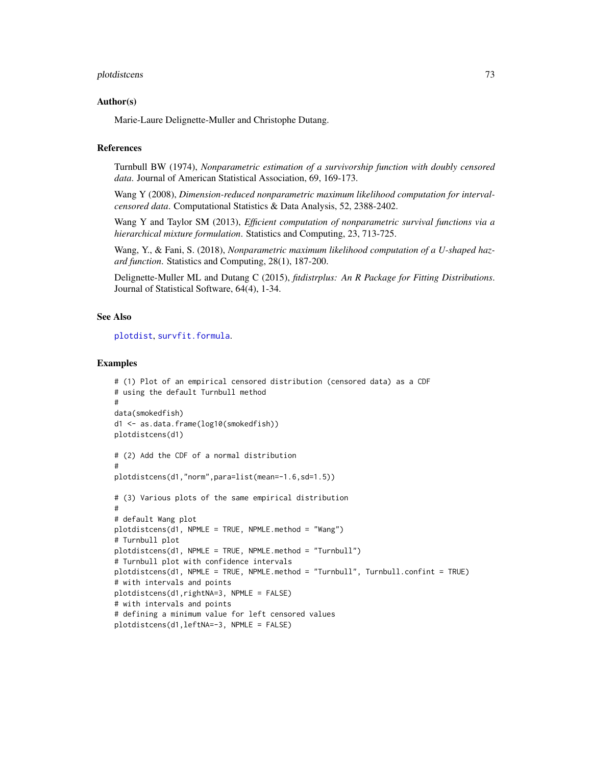#### <span id="page-72-0"></span>plotdistcens 73

## Author(s)

Marie-Laure Delignette-Muller and Christophe Dutang.

# References

Turnbull BW (1974), *Nonparametric estimation of a survivorship function with doubly censored data*. Journal of American Statistical Association, 69, 169-173.

Wang Y (2008), *Dimension-reduced nonparametric maximum likelihood computation for intervalcensored data*. Computational Statistics & Data Analysis, 52, 2388-2402.

Wang Y and Taylor SM (2013), *Efficient computation of nonparametric survival functions via a hierarchical mixture formulation*. Statistics and Computing, 23, 713-725.

Wang, Y., & Fani, S. (2018), *Nonparametric maximum likelihood computation of a U-shaped hazard function*. Statistics and Computing, 28(1), 187-200.

Delignette-Muller ML and Dutang C (2015), *fitdistrplus: An R Package for Fitting Distributions*. Journal of Statistical Software, 64(4), 1-34.

# See Also

[plotdist](#page-68-0), [survfit.formula](#page-0-0).

```
# (1) Plot of an empirical censored distribution (censored data) as a CDF
# using the default Turnbull method
#
data(smokedfish)
d1 <- as.data.frame(log10(smokedfish))
plotdistcens(d1)
# (2) Add the CDF of a normal distribution
#
plotdistcens(d1,"norm",para=list(mean=-1.6,sd=1.5))
# (3) Various plots of the same empirical distribution
#
# default Wang plot
plotdistcens(d1, NPMLE = TRUE, NPMLE.method = "Wang")
# Turnbull plot
plotdistcens(d1, NPMLE = TRUE, NPMLE.method = "Turnbull")
# Turnbull plot with confidence intervals
plotdistcens(d1, NPMLE = TRUE, NPMLE.method = "Turnbull", Turnbull.confint = TRUE)
# with intervals and points
plotdistcens(d1,rightNA=3, NPMLE = FALSE)
# with intervals and points
# defining a minimum value for left censored values
plotdistcens(d1,leftNA=-3, NPMLE = FALSE)
```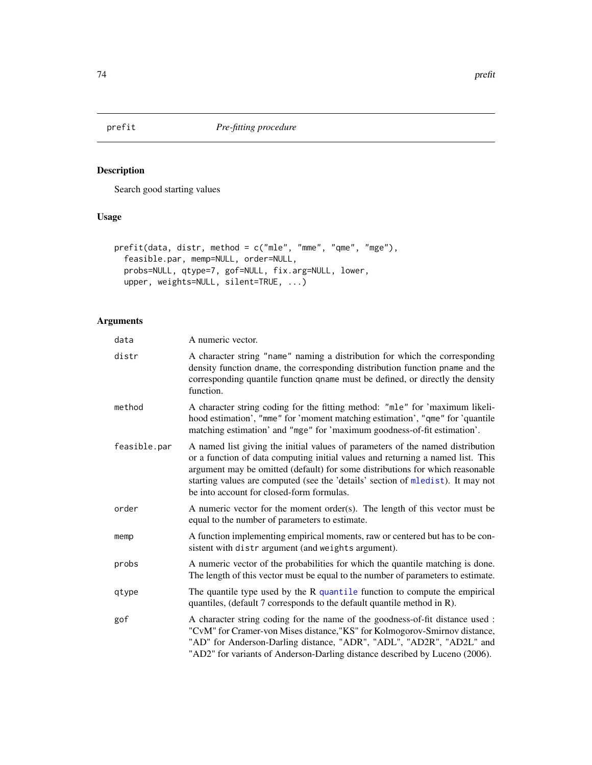<span id="page-73-0"></span>

# Description

Search good starting values

# Usage

```
prefit(data, distr, method = c("mle", "mme", "qme", "mge"),
  feasible.par, memp=NULL, order=NULL,
 probs=NULL, qtype=7, gof=NULL, fix.arg=NULL, lower,
 upper, weights=NULL, silent=TRUE, ...)
```
# Arguments

| data         | A numeric vector.                                                                                                                                                                                                                                                                                                                                                                  |
|--------------|------------------------------------------------------------------------------------------------------------------------------------------------------------------------------------------------------------------------------------------------------------------------------------------------------------------------------------------------------------------------------------|
| distr        | A character string "name" naming a distribution for which the corresponding<br>density function dname, the corresponding distribution function pname and the<br>corresponding quantile function qname must be defined, or directly the density<br>function.                                                                                                                        |
| method       | A character string coding for the fitting method: "mle" for 'maximum likeli-<br>hood estimation', "mme" for 'moment matching estimation', "qme" for 'quantile<br>matching estimation' and "mge" for 'maximum goodness-of-fit estimation'.                                                                                                                                          |
| feasible.par | A named list giving the initial values of parameters of the named distribution<br>or a function of data computing initial values and returning a named list. This<br>argument may be omitted (default) for some distributions for which reasonable<br>starting values are computed (see the 'details' section of mledist). It may not<br>be into account for closed-form formulas. |
| order        | A numeric vector for the moment order(s). The length of this vector must be<br>equal to the number of parameters to estimate.                                                                                                                                                                                                                                                      |
| memp         | A function implementing empirical moments, raw or centered but has to be con-<br>sistent with distrargument (and weights argument).                                                                                                                                                                                                                                                |
| probs        | A numeric vector of the probabilities for which the quantile matching is done.<br>The length of this vector must be equal to the number of parameters to estimate.                                                                                                                                                                                                                 |
| qtype        | The quantile type used by the R quantile function to compute the empirical<br>quantiles, (default 7 corresponds to the default quantile method in R).                                                                                                                                                                                                                              |
| gof          | A character string coding for the name of the goodness-of-fit distance used :<br>"CvM" for Cramer-von Mises distance, "KS" for Kolmogorov-Smirnov distance,<br>"AD" for Anderson-Darling distance, "ADR", "ADL", "AD2R", "AD2L" and<br>"AD2" for variants of Anderson-Darling distance described by Luceno (2006).                                                                 |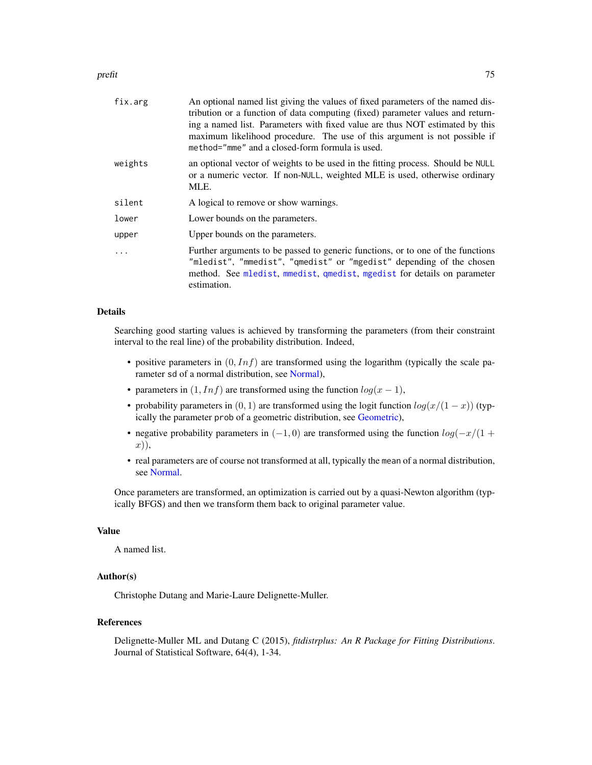#### <span id="page-74-0"></span>prefit that the contract of the contract of the contract of the contract of the contract of the contract of the contract of the contract of the contract of the contract of the contract of the contract of the contract of th

| fix.arg | An optional named list giving the values of fixed parameters of the named dis-<br>tribution or a function of data computing (fixed) parameter values and return-<br>ing a named list. Parameters with fixed value are thus NOT estimated by this<br>maximum likelihood procedure. The use of this argument is not possible if<br>method="mme" and a closed-form formula is used. |
|---------|----------------------------------------------------------------------------------------------------------------------------------------------------------------------------------------------------------------------------------------------------------------------------------------------------------------------------------------------------------------------------------|
| weights | an optional vector of weights to be used in the fitting process. Should be NULL<br>or a numeric vector. If non-NULL, weighted MLE is used, otherwise ordinary<br>MLE.                                                                                                                                                                                                            |
| silent  | A logical to remove or show warnings.                                                                                                                                                                                                                                                                                                                                            |
| lower   | Lower bounds on the parameters.                                                                                                                                                                                                                                                                                                                                                  |
| upper   | Upper bounds on the parameters.                                                                                                                                                                                                                                                                                                                                                  |
|         | Further arguments to be passed to generic functions, or to one of the functions<br>"mledist", "mmedist", "qmedist" or "mgedist" depending of the chosen<br>method. See mledist, mmedist, qmedist, mgedist for details on parameter<br>estimation.                                                                                                                                |

# Details

Searching good starting values is achieved by transforming the parameters (from their constraint interval to the real line) of the probability distribution. Indeed,

- positive parameters in  $(0, Inf)$  are transformed using the logarithm (typically the scale parameter sd of a normal distribution, see [Normal\)](#page-0-0),
- parameters in  $(1, Inf)$  are transformed using the function  $log(x 1)$ ,
- probability parameters in  $(0, 1)$  are transformed using the logit function  $log(x/(1-x))$  (typically the parameter prob of a geometric distribution, see [Geometric\)](#page-0-0),
- negative probability parameters in  $(-1, 0)$  are transformed using the function  $log(-x/(1 +$ x)),
- real parameters are of course not transformed at all, typically the mean of a normal distribution, see [Normal.](#page-0-0)

Once parameters are transformed, an optimization is carried out by a quasi-Newton algorithm (typically BFGS) and then we transform them back to original parameter value.

# Value

A named list.

# Author(s)

Christophe Dutang and Marie-Laure Delignette-Muller.

# References

Delignette-Muller ML and Dutang C (2015), *fitdistrplus: An R Package for Fitting Distributions*. Journal of Statistical Software, 64(4), 1-34.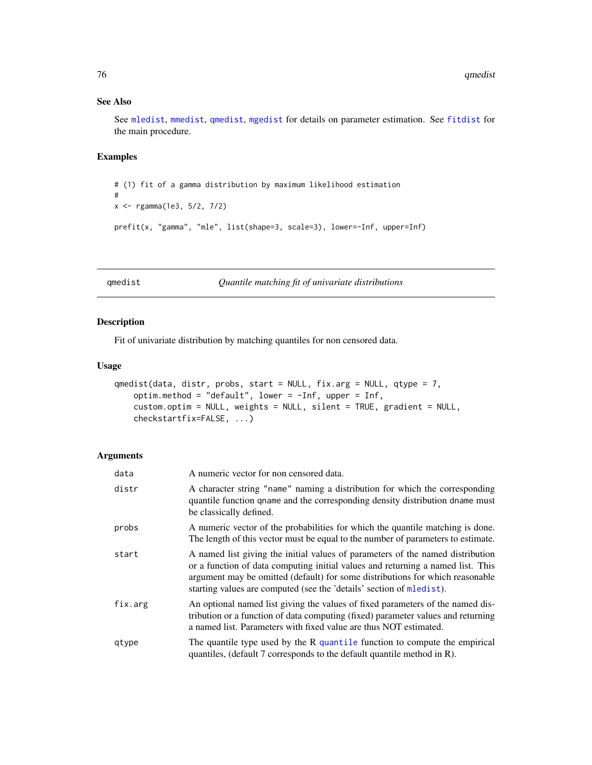# <span id="page-75-1"></span>See Also

See [mledist](#page-59-0), [mmedist](#page-64-0), [qmedist](#page-75-0), [mgedist](#page-56-0) for details on parameter estimation. See [fitdist](#page-21-0) for the main procedure.

# Examples

```
# (1) fit of a gamma distribution by maximum likelihood estimation
#
x <- rgamma(1e3, 5/2, 7/2)
prefit(x, "gamma", "mle", list(shape=3, scale=3), lower=-Inf, upper=Inf)
```
<span id="page-75-0"></span>qmedist *Quantile matching fit of univariate distributions*

## Description

Fit of univariate distribution by matching quantiles for non censored data.

# Usage

```
qmedist(data, distr, probs, start = NULL, fix.arg = NULL, qtype = 7,
   optim.method = "default", lower = -Inf, upper = Inf,
   custom.optim = NULL, weights = NULL, silent = TRUE, gradient = NULL,
   checkstartfix=FALSE, ...)
```
#### Arguments

| data    | A numeric vector for non censored data.                                                                                                                                                                                                                                                                                    |
|---------|----------------------------------------------------------------------------------------------------------------------------------------------------------------------------------------------------------------------------------------------------------------------------------------------------------------------------|
| distr   | A character string "name" naming a distribution for which the corresponding<br>quantile function qname and the corresponding density distribution dname must<br>be classically defined.                                                                                                                                    |
| probs   | A numeric vector of the probabilities for which the quantile matching is done.<br>The length of this vector must be equal to the number of parameters to estimate.                                                                                                                                                         |
| start   | A named list giving the initial values of parameters of the named distribution<br>or a function of data computing initial values and returning a named list. This<br>argument may be omitted (default) for some distributions for which reasonable<br>starting values are computed (see the 'details' section of mledist). |
| fix.arg | An optional named list giving the values of fixed parameters of the named dis-<br>tribution or a function of data computing (fixed) parameter values and returning<br>a named list. Parameters with fixed value are thus NOT estimated.                                                                                    |
| qtype   | The quantile type used by the $R$ quantile function to compute the empirical<br>quantiles, (default 7 corresponds to the default quantile method in R).                                                                                                                                                                    |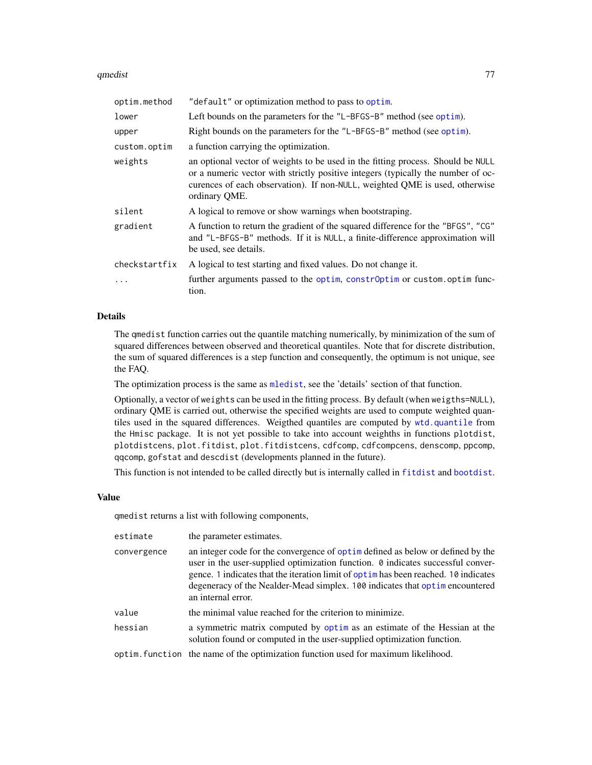#### <span id="page-76-0"></span>qmedist 77

| optim.method  | "default" or optimization method to pass to optim.                                                                                                                                                                                                                  |
|---------------|---------------------------------------------------------------------------------------------------------------------------------------------------------------------------------------------------------------------------------------------------------------------|
| lower         | Left bounds on the parameters for the "L-BFGS-B" method (see optim).                                                                                                                                                                                                |
| upper         | Right bounds on the parameters for the "L-BFGS-B" method (see optim).                                                                                                                                                                                               |
| custom.optim  | a function carrying the optimization.                                                                                                                                                                                                                               |
| weights       | an optional vector of weights to be used in the fitting process. Should be NULL<br>or a numeric vector with strictly positive integers (typically the number of oc-<br>curences of each observation). If non-NULL, weighted QME is used, otherwise<br>ordinary QME. |
| silent        | A logical to remove or show warnings when bootstraping.                                                                                                                                                                                                             |
| gradient      | A function to return the gradient of the squared difference for the "BFGS", "CG"<br>and "L-BFGS-B" methods. If it is NULL, a finite-difference approximation will<br>be used, see details.                                                                          |
| checkstartfix | A logical to test starting and fixed values. Do not change it.                                                                                                                                                                                                      |
| .             | further arguments passed to the optim, constr0ptim or custom.optim func-<br>tion.                                                                                                                                                                                   |

## Details

The qmedist function carries out the quantile matching numerically, by minimization of the sum of squared differences between observed and theoretical quantiles. Note that for discrete distribution, the sum of squared differences is a step function and consequently, the optimum is not unique, see the FAQ.

The optimization process is the same as [mledist](#page-59-0), see the 'details' section of that function.

Optionally, a vector of weights can be used in the fitting process. By default (when weigths=NULL), ordinary QME is carried out, otherwise the specified weights are used to compute weighted quantiles used in the squared differences. Weigthed quantiles are computed by [wtd.quantile](#page-0-0) from the Hmisc package. It is not yet possible to take into account weighths in functions plotdist, plotdistcens, plot.fitdist, plot.fitdistcens, cdfcomp, cdfcompcens, denscomp, ppcomp, qqcomp, gofstat and descdist (developments planned in the future).

This function is not intended to be called directly but is internally called in [fitdist](#page-21-0) and [bootdist](#page-3-0).

## Value

qmedist returns a list with following components,

| estimate    | the parameter estimates.                                                                                                                                                                                                                                                                                                                                     |
|-------------|--------------------------------------------------------------------------------------------------------------------------------------------------------------------------------------------------------------------------------------------------------------------------------------------------------------------------------------------------------------|
| convergence | an integer code for the convergence of optimulate as below or defined by the<br>user in the user-supplied optimization function. 0 indicates successful conver-<br>gence. 1 indicates that the iteration limit of optimular been reached. 10 indicates<br>degeneracy of the Nealder-Mead simplex. 100 indicates that optime neountered<br>an internal error. |
| value       | the minimal value reached for the criterion to minimize.                                                                                                                                                                                                                                                                                                     |
| hessian     | a symmetric matrix computed by optim as an estimate of the Hessian at the<br>solution found or computed in the user-supplied optimization function.                                                                                                                                                                                                          |
|             | optim. function the name of the optimization function used for maximum likelihood.                                                                                                                                                                                                                                                                           |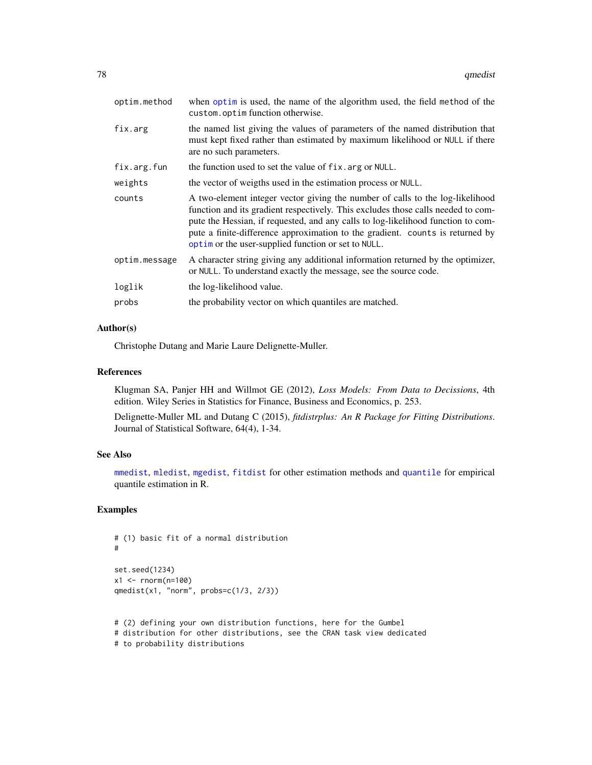<span id="page-77-0"></span>

| optim.method  | when optim is used, the name of the algorithm used, the field method of the<br>custom.optimfunction otherwise.                                                                                                                                                                                                                                                                                |
|---------------|-----------------------------------------------------------------------------------------------------------------------------------------------------------------------------------------------------------------------------------------------------------------------------------------------------------------------------------------------------------------------------------------------|
| fix.arg       | the named list giving the values of parameters of the named distribution that<br>must kept fixed rather than estimated by maximum likelihood or NULL if there<br>are no such parameters.                                                                                                                                                                                                      |
| fix.arg.fun   | the function used to set the value of fix. arg or NULL.                                                                                                                                                                                                                                                                                                                                       |
| weights       | the vector of weigths used in the estimation process or NULL.                                                                                                                                                                                                                                                                                                                                 |
| counts        | A two-element integer vector giving the number of calls to the log-likelihood<br>function and its gradient respectively. This excludes those calls needed to com-<br>pute the Hessian, if requested, and any calls to log-likelihood function to com-<br>pute a finite-difference approximation to the gradient. counts is returned by<br>optim or the user-supplied function or set to NULL. |
| optim.message | A character string giving any additional information returned by the optimizer,<br>or NULL. To understand exactly the message, see the source code.                                                                                                                                                                                                                                           |
| loglik        | the log-likelihood value.                                                                                                                                                                                                                                                                                                                                                                     |
| probs         | the probability vector on which quantiles are matched.                                                                                                                                                                                                                                                                                                                                        |

## Author(s)

Christophe Dutang and Marie Laure Delignette-Muller.

# References

Klugman SA, Panjer HH and Willmot GE (2012), *Loss Models: From Data to Decissions*, 4th edition. Wiley Series in Statistics for Finance, Business and Economics, p. 253.

Delignette-Muller ML and Dutang C (2015), *fitdistrplus: An R Package for Fitting Distributions*. Journal of Statistical Software, 64(4), 1-34.

# See Also

[mmedist](#page-64-0), [mledist](#page-59-0), [mgedist](#page-56-0), [fitdist](#page-21-0) for other estimation methods and [quantile](#page-0-0) for empirical quantile estimation in R.

```
# (1) basic fit of a normal distribution
#
set.seed(1234)
x1 <- rnorm(n=100)
qmedist(x1, "norm", probs=c(1/3, 2/3))
```

```
# (2) defining your own distribution functions, here for the Gumbel
# distribution for other distributions, see the CRAN task view dedicated
# to probability distributions
```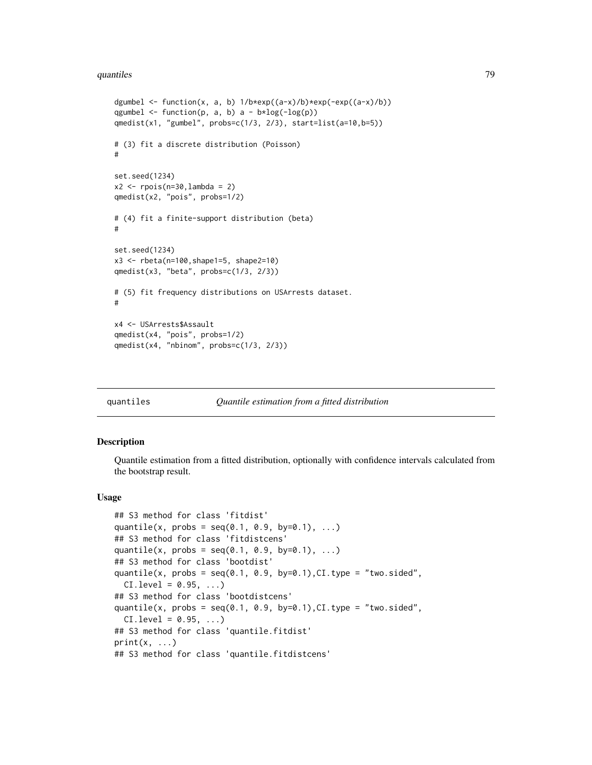#### <span id="page-78-0"></span>quantiles **79**

```
dgumbel <- function(x, a, b) 1/b*exp((a-x)/b)*exp(-exp((a-x)/b))qgumbel \leq function(p, a, b) a - b * log(-log(p))qmedist(x1, "gumbel", probs=c(1/3, 2/3), start=list(a=10,b=5))
# (3) fit a discrete distribution (Poisson)
#
set.seed(1234)
x2 \le rpois(n=30, lambda = 2)
qmedist(x2, "pois", probs=1/2)
# (4) fit a finite-support distribution (beta)
#
set.seed(1234)
x3 <- rbeta(n=100,shape1=5, shape2=10)
qmedist(x3, "beta", probs=c(1/3, 2/3))
# (5) fit frequency distributions on USArrests dataset.
#
x4 <- USArrests$Assault
qmedist(x4, "pois", probs=1/2)
qmedist(x4, "nbinom", probs=c(1/3, 2/3))
```
#### quantiles *Quantile estimation from a fitted distribution*

## Description

Quantile estimation from a fitted distribution, optionally with confidence intervals calculated from the bootstrap result.

## Usage

```
## S3 method for class 'fitdist'
quantile(x, probs = seq(0.1, 0.9, by=0.1), ...)
## S3 method for class 'fitdistcens'
quantile(x, probs = seq(0.1, 0.9, by=0.1), ...)
## S3 method for class 'bootdist'
quantile(x, probs = seq(0.1, 0.9, by=0.1), CI.type = "two.sided",
  CI. level = 0.95, ...## S3 method for class 'bootdistcens'
quantile(x, probs = seq(0.1, 0.9, by=0.1), CI.type = "two.sided",
  CI. level = 0.95, ...## S3 method for class 'quantile.fitdist'
print(x, \ldots)## S3 method for class 'quantile.fitdistcens'
```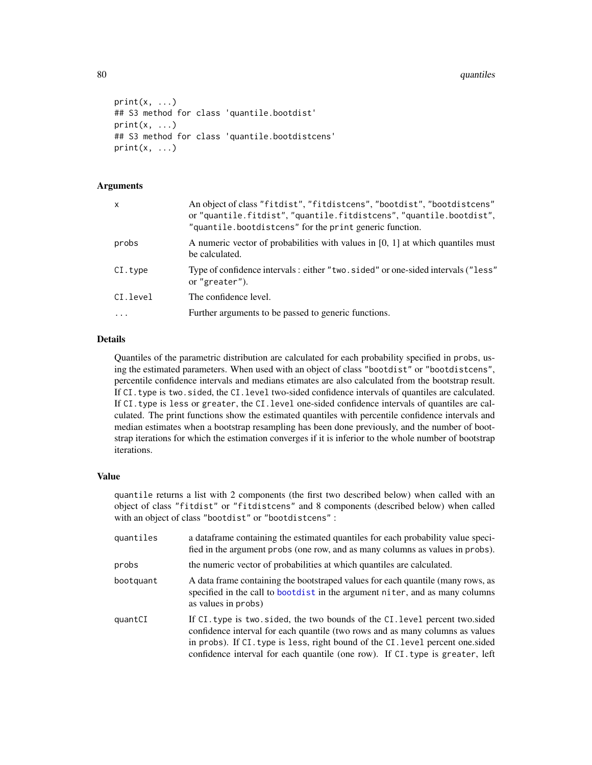```
print(x, \ldots)## S3 method for class 'quantile.bootdist'
print(x, \ldots)## S3 method for class 'quantile.bootdistcens'
print(x, \ldots)
```
## Arguments

| $\mathsf{x}$ | An object of class "fitdist", "fitdistcens", "bootdist", "bootdistcens"<br>or "quantile.fitdist", "quantile.fitdistcens", "quantile.bootdist",<br>"quantile.bootdistcens" for the print generic function. |
|--------------|-----------------------------------------------------------------------------------------------------------------------------------------------------------------------------------------------------------|
| probs        | A numeric vector of probabilities with values in $[0, 1]$ at which quantiles must<br>be calculated.                                                                                                       |
| CI.type      | Type of confidence intervals: either "two. sided" or one-sided intervals ("less"<br>or "greater").                                                                                                        |
| CI.level     | The confidence level.                                                                                                                                                                                     |
| $\ddots$     | Further arguments to be passed to generic functions.                                                                                                                                                      |

# Details

Quantiles of the parametric distribution are calculated for each probability specified in probs, using the estimated parameters. When used with an object of class "bootdist" or "bootdistcens", percentile confidence intervals and medians etimates are also calculated from the bootstrap result. If CI.type is two.sided, the CI.level two-sided confidence intervals of quantiles are calculated. If CI.type is less or greater, the CI.level one-sided confidence intervals of quantiles are calculated. The print functions show the estimated quantiles with percentile confidence intervals and median estimates when a bootstrap resampling has been done previously, and the number of bootstrap iterations for which the estimation converges if it is inferior to the whole number of bootstrap iterations.

## Value

quantile returns a list with 2 components (the first two described below) when called with an object of class "fitdist" or "fitdistcens" and 8 components (described below) when called with an object of class "bootdist" or "bootdistcens" :

| quantiles | a dataframe containing the estimated quantiles for each probability value speci-<br>fied in the argument probs (one row, and as many columns as values in probs).                                                                                                                                                                |
|-----------|----------------------------------------------------------------------------------------------------------------------------------------------------------------------------------------------------------------------------------------------------------------------------------------------------------------------------------|
| probs     | the numeric vector of probabilities at which quantiles are calculated.                                                                                                                                                                                                                                                           |
| bootquant | A data frame containing the bootstraped values for each quantile (many rows, as<br>specified in the call to bootdist in the argument niter, and as many columns<br>as values in probs)                                                                                                                                           |
| quantCI   | If CI, type is two, sided, the two bounds of the CI, level percent two, sided<br>confidence interval for each quantile (two rows and as many columns as values<br>in probs). If CI. type is less, right bound of the CI. level percent one sided<br>confidence interval for each quantile (one row). If CI type is greater, left |

<span id="page-79-0"></span>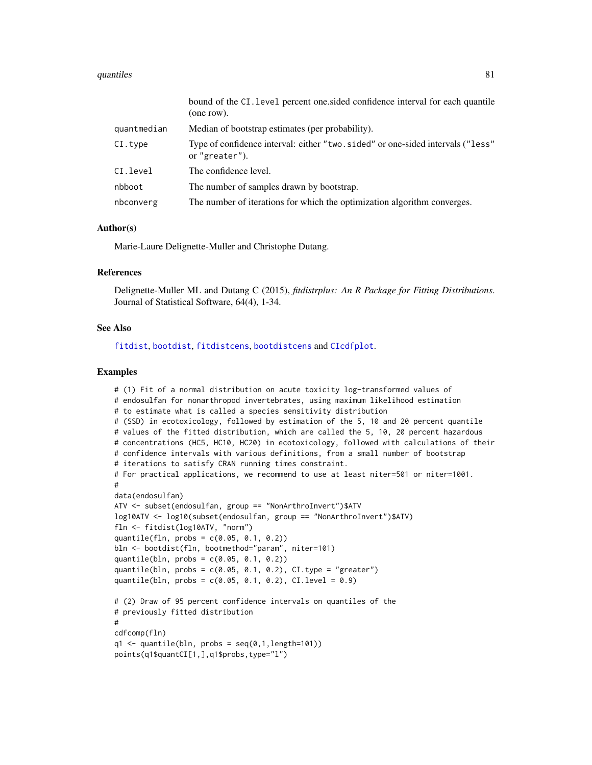#### <span id="page-80-0"></span>quantiles 81

|             | bound of the CI. level percent one sided confidence interval for each quantile<br>(one row).      |
|-------------|---------------------------------------------------------------------------------------------------|
| quantmedian | Median of bootstrap estimates (per probability).                                                  |
| CI.type     | Type of confidence interval: either "two. sided" or one-sided intervals ("less"<br>or "greater"). |
| CI.level    | The confidence level.                                                                             |
| nbboot      | The number of samples drawn by bootstrap.                                                         |
| nbconverg   | The number of iterations for which the optimization algorithm converges.                          |

## Author(s)

Marie-Laure Delignette-Muller and Christophe Dutang.

#### References

Delignette-Muller ML and Dutang C (2015), *fitdistrplus: An R Package for Fitting Distributions*. Journal of Statistical Software, 64(4), 1-34.

## See Also

[fitdist](#page-21-0), [bootdist](#page-3-0), [fitdistcens](#page-31-0), [bootdistcens](#page-6-0) and [CIcdfplot](#page-9-0).

```
# (1) Fit of a normal distribution on acute toxicity log-transformed values of
# endosulfan for nonarthropod invertebrates, using maximum likelihood estimation
# to estimate what is called a species sensitivity distribution
# (SSD) in ecotoxicology, followed by estimation of the 5, 10 and 20 percent quantile
# values of the fitted distribution, which are called the 5, 10, 20 percent hazardous
# concentrations (HC5, HC10, HC20) in ecotoxicology, followed with calculations of their
# confidence intervals with various definitions, from a small number of bootstrap
# iterations to satisfy CRAN running times constraint.
# For practical applications, we recommend to use at least niter=501 or niter=1001.
#
data(endosulfan)
ATV <- subset(endosulfan, group == "NonArthroInvert")$ATV
log10ATV <- log10(subset(endosulfan, group == "NonArthroInvert")$ATV)
fln <- fitdist(log10ATV, "norm")
quantile(fln, probs = c(0.05, 0.1, 0.2))
bln <- bootdist(fln, bootmethod="param", niter=101)
quantile(bln, probs = c(0.05, 0.1, 0.2))
quantile(bln, probs = c(0.05, 0.1, 0.2), CI.type = "greater")
quantile(bln, probs = c(0.05, 0.1, 0.2), CI.level = 0.9)
# (2) Draw of 95 percent confidence intervals on quantiles of the
# previously fitted distribution
#
cdfcomp(fln)
q1 \leftarrow quantile(bln, probs = seq(0,1, length=101))points(q1$quantCI[1,],q1$probs,type="l")
```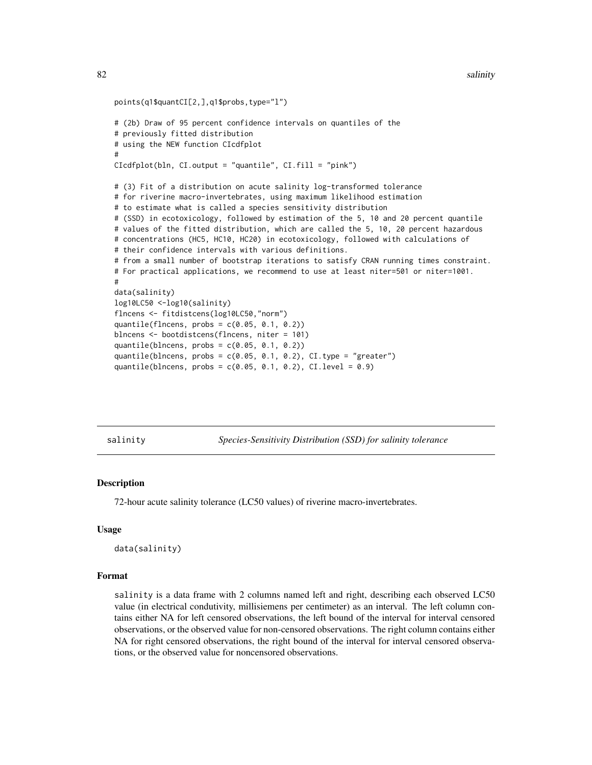```
points(q1$quantCI[2,],q1$probs,type="l")
# (2b) Draw of 95 percent confidence intervals on quantiles of the
# previously fitted distribution
# using the NEW function CIcdfplot
#
CIcdfplot(bln, CI.output = "quantile", CI.fill = "pink")
# (3) Fit of a distribution on acute salinity log-transformed tolerance
# for riverine macro-invertebrates, using maximum likelihood estimation
# to estimate what is called a species sensitivity distribution
# (SSD) in ecotoxicology, followed by estimation of the 5, 10 and 20 percent quantile
# values of the fitted distribution, which are called the 5, 10, 20 percent hazardous
# concentrations (HC5, HC10, HC20) in ecotoxicology, followed with calculations of
# their confidence intervals with various definitions.
# from a small number of bootstrap iterations to satisfy CRAN running times constraint.
# For practical applications, we recommend to use at least niter=501 or niter=1001.
#
data(salinity)
log10LC50 <-log10(salinity)
flncens <- fitdistcens(log10LC50,"norm")
quantile(flncens, probs = c(0.05, 0.1, 0.2))
blncens <- bootdistcens(flncens, niter = 101)
quantile(blncens, probs = c(0.05, 0.1, 0.2))
quantile(blncens, probs = c(0.05, 0.1, 0.2), CI.type = "greater")
quantile(blncens, probs = c(0.05, 0.1, 0.2), CI.level = 0.9)
```
salinity *Species-Sensitivity Distribution (SSD) for salinity tolerance*

## **Description**

72-hour acute salinity tolerance (LC50 values) of riverine macro-invertebrates.

#### Usage

```
data(salinity)
```
#### Format

salinity is a data frame with 2 columns named left and right, describing each observed LC50 value (in electrical condutivity, millisiemens per centimeter) as an interval. The left column contains either NA for left censored observations, the left bound of the interval for interval censored observations, or the observed value for non-censored observations. The right column contains either NA for right censored observations, the right bound of the interval for interval censored observations, or the observed value for noncensored observations.

<span id="page-81-0"></span>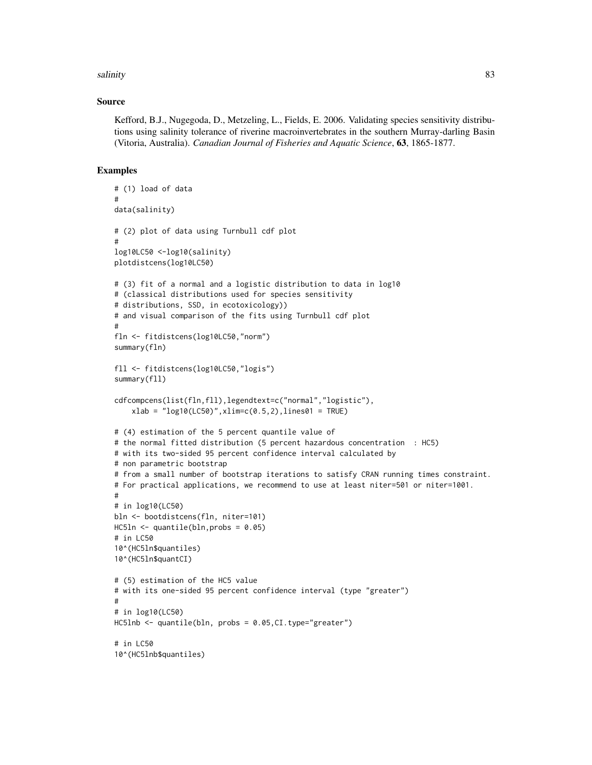## salinity 83

## Source

Kefford, B.J., Nugegoda, D., Metzeling, L., Fields, E. 2006. Validating species sensitivity distributions using salinity tolerance of riverine macroinvertebrates in the southern Murray-darling Basin (Vitoria, Australia). *Canadian Journal of Fisheries and Aquatic Science*, 63, 1865-1877.

```
# (1) load of data
#
data(salinity)
# (2) plot of data using Turnbull cdf plot
#
log10LC50 <-log10(salinity)
plotdistcens(log10LC50)
# (3) fit of a normal and a logistic distribution to data in log10
# (classical distributions used for species sensitivity
# distributions, SSD, in ecotoxicology))
# and visual comparison of the fits using Turnbull cdf plot
#
fln <- fitdistcens(log10LC50,"norm")
summary(fln)
fll <- fitdistcens(log10LC50,"logis")
summary(fll)
cdfcompcens(list(fln,fll),legendtext=c("normal","logistic"),
    xlab = "log10(LC50)", xlim=c(0.5, 2), lines01 = TRUE)# (4) estimation of the 5 percent quantile value of
# the normal fitted distribution (5 percent hazardous concentration : HC5)
# with its two-sided 95 percent confidence interval calculated by
# non parametric bootstrap
# from a small number of bootstrap iterations to satisfy CRAN running times constraint.
# For practical applications, we recommend to use at least niter=501 or niter=1001.
#
# in log10(LC50)
bln <- bootdistcens(fln, niter=101)
HC5ln \leftarrow quantile(bln, probs = 0.05)
# in LC50
10^(HC5ln$quantiles)
10^(HC5ln$quantCI)
# (5) estimation of the HC5 value
# with its one-sided 95 percent confidence interval (type "greater")
#
# in log10(LC50)
HC5lnb <- quantile(bln, probs = 0.05,CI.type="greater")
# in LC50
10^(HC5lnb$quantiles)
```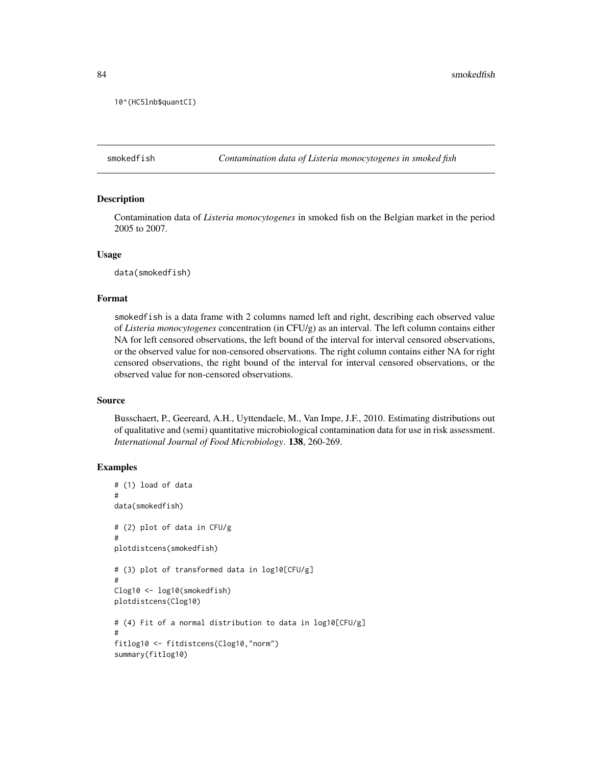```
10^(HC5lnb$quantCI)
```
smokedfish *Contamination data of Listeria monocytogenes in smoked fish*

## **Description**

Contamination data of *Listeria monocytogenes* in smoked fish on the Belgian market in the period 2005 to 2007.

### Usage

data(smokedfish)

## Format

smokedfish is a data frame with 2 columns named left and right, describing each observed value of *Listeria monocytogenes* concentration (in CFU/g) as an interval. The left column contains either NA for left censored observations, the left bound of the interval for interval censored observations, or the observed value for non-censored observations. The right column contains either NA for right censored observations, the right bound of the interval for interval censored observations, or the observed value for non-censored observations.

## Source

Busschaert, P., Geereard, A.H., Uyttendaele, M., Van Impe, J.F., 2010. Estimating distributions out of qualitative and (semi) quantitative microbiological contamination data for use in risk assessment. *International Journal of Food Microbiology*. 138, 260-269.

```
# (1) load of data
#
data(smokedfish)
# (2) plot of data in CFU/g
#
plotdistcens(smokedfish)
# (3) plot of transformed data in log10[CFU/g]
#
Clog10 <- log10(smokedfish)
plotdistcens(Clog10)
# (4) Fit of a normal distribution to data in log10[CFU/g]
#
fitlog10 <- fitdistcens(Clog10,"norm")
summary(fitlog10)
```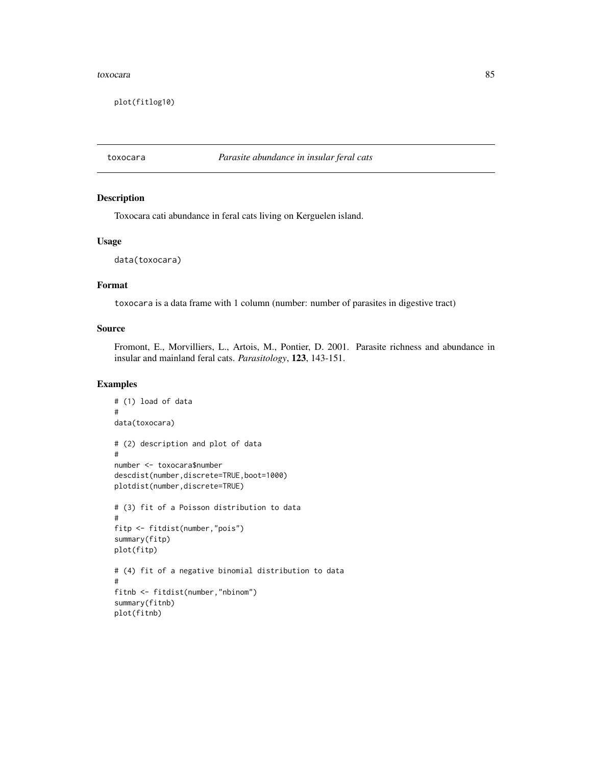#### <span id="page-84-0"></span>toxocara and a state of the state of the state of the state of the state of the state of the state of the state of the state of the state of the state of the state of the state of the state of the state of the state of the

plot(fitlog10)

toxocara *Parasite abundance in insular feral cats*

# Description

Toxocara cati abundance in feral cats living on Kerguelen island.

## Usage

data(toxocara)

## Format

toxocara is a data frame with 1 column (number: number of parasites in digestive tract)

## Source

Fromont, E., Morvilliers, L., Artois, M., Pontier, D. 2001. Parasite richness and abundance in insular and mainland feral cats. *Parasitology*, 123, 143-151.

```
# (1) load of data
#
data(toxocara)
# (2) description and plot of data
#
number <- toxocara$number
descdist(number,discrete=TRUE,boot=1000)
plotdist(number,discrete=TRUE)
# (3) fit of a Poisson distribution to data
#
fitp <- fitdist(number,"pois")
summary(fitp)
plot(fitp)
# (4) fit of a negative binomial distribution to data
#
fitnb <- fitdist(number,"nbinom")
summary(fitnb)
plot(fitnb)
```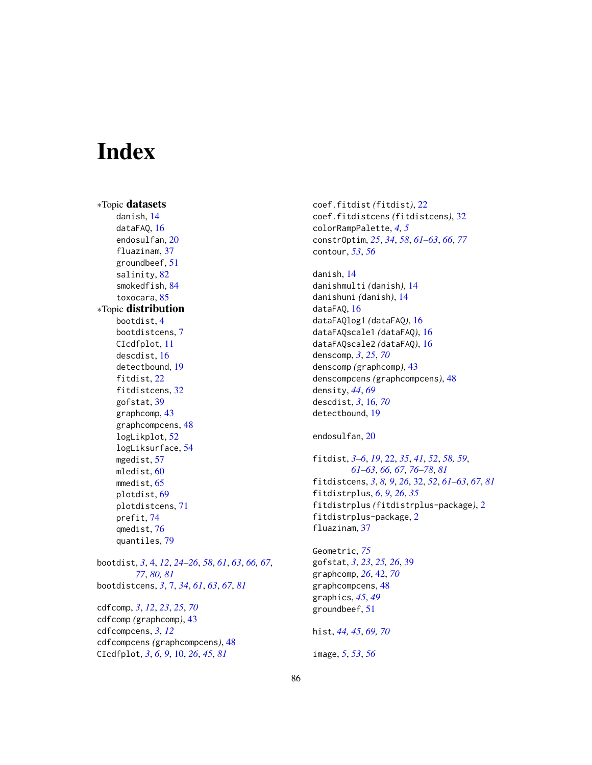# **Index**

∗Topic datasets danish, [14](#page-13-0) dataFAQ, [16](#page-15-0) endosulfan, [20](#page-19-0) fluazinam, [37](#page-36-0) groundbeef, [51](#page-50-0) salinity, [82](#page-81-0) smokedfish, [84](#page-83-0) toxocara, [85](#page-84-0) ∗Topic distribution bootdist, [4](#page-3-1) bootdistcens, [7](#page-6-1) CIcdfplot, [11](#page-10-0) descdist, [16](#page-15-0) detectbound, [19](#page-18-0) fitdist, [22](#page-21-1) fitdistcens, [32](#page-31-1) gofstat, [39](#page-38-0) graphcomp, [43](#page-42-0) graphcompcens, [48](#page-47-0) logLikplot, [52](#page-51-0) logLiksurface, [54](#page-53-0) mgedist, [57](#page-56-1) mledist, [60](#page-59-1) mmedist, [65](#page-64-1) plotdist, [69](#page-68-1) plotdistcens, [71](#page-70-0) prefit, [74](#page-73-0) qmedist, [76](#page-75-1) quantiles, [79](#page-78-0)

bootdist, *[3](#page-2-0)*, [4,](#page-3-1) *[12](#page-11-0)*, *[24](#page-23-0)[–26](#page-25-0)*, *[58](#page-57-0)*, *[61](#page-60-0)*, *[63](#page-62-0)*, *[66,](#page-65-0) [67](#page-66-0)*, *[77](#page-76-0)*, *[80,](#page-79-0) [81](#page-80-0)* bootdistcens, *[3](#page-2-0)*, [7,](#page-6-1) *[34](#page-33-0)*, *[61](#page-60-0)*, *[63](#page-62-0)*, *[67](#page-66-0)*, *[81](#page-80-0)*

cdfcomp, *[3](#page-2-0)*, *[12](#page-11-0)*, *[23](#page-22-0)*, *[25](#page-24-0)*, *[70](#page-69-0)* cdfcomp *(*graphcomp*)*, [43](#page-42-0) cdfcompcens, *[3](#page-2-0)*, *[12](#page-11-0)* cdfcompcens *(*graphcompcens*)*, [48](#page-47-0) CIcdfplot, *[3](#page-2-0)*, *[6](#page-5-0)*, *[9](#page-8-0)*, [10,](#page-9-1) *[26](#page-25-0)*, *[45](#page-44-0)*, *[81](#page-80-0)*

coef.fitdist *(*fitdist*)*, [22](#page-21-1) coef.fitdistcens *(*fitdistcens*)*, [32](#page-31-1) colorRampPalette, *[4,](#page-3-1) [5](#page-4-0)* constrOptim, *[25](#page-24-0)*, *[34](#page-33-0)*, *[58](#page-57-0)*, *[61](#page-60-0)[–63](#page-62-0)*, *[66](#page-65-0)*, *[77](#page-76-0)* contour, *[53](#page-52-0)*, *[56](#page-55-0)*

danish, [14](#page-13-0) danishmulti *(*danish*)*, [14](#page-13-0) danishuni *(*danish*)*, [14](#page-13-0) dataFAQ, [16](#page-15-0) dataFAQlog1 *(*dataFAQ*)*, [16](#page-15-0) dataFAQscale1 *(*dataFAQ*)*, [16](#page-15-0) dataFAQscale2 *(*dataFAQ*)*, [16](#page-15-0) denscomp, *[3](#page-2-0)*, *[25](#page-24-0)*, *[70](#page-69-0)* denscomp *(*graphcomp*)*, [43](#page-42-0) denscompcens *(*graphcompcens*)*, [48](#page-47-0) density, *[44](#page-43-0)*, *[69](#page-68-1)* descdist, *[3](#page-2-0)*, [16,](#page-15-0) *[70](#page-69-0)* detectbound, [19](#page-18-0)

endosulfan, [20](#page-19-0)

fitdist, *[3](#page-2-0)[–6](#page-5-0)*, *[19](#page-18-0)*, [22,](#page-21-1) *[35](#page-34-0)*, *[41](#page-40-0)*, *[52](#page-51-0)*, *[58,](#page-57-0) [59](#page-58-0)*, *[61](#page-60-0)[–63](#page-62-0)*, *[66,](#page-65-0) [67](#page-66-0)*, *[76](#page-75-1)[–78](#page-77-0)*, *[81](#page-80-0)* fitdistcens, *[3](#page-2-0)*, *[8,](#page-7-0) [9](#page-8-0)*, *[26](#page-25-0)*, [32,](#page-31-1) *[52](#page-51-0)*, *[61](#page-60-0)[–63](#page-62-0)*, *[67](#page-66-0)*, *[81](#page-80-0)* fitdistrplus, *[6](#page-5-0)*, *[9](#page-8-0)*, *[26](#page-25-0)*, *[35](#page-34-0)* fitdistrplus *(*fitdistrplus-package*)*, [2](#page-1-0) fitdistrplus-package, [2](#page-1-0) fluazinam, [37](#page-36-0)

Geometric, *[75](#page-74-0)* gofstat, *[3](#page-2-0)*, *[23](#page-22-0)*, *[25,](#page-24-0) [26](#page-25-0)*, [39](#page-38-0) graphcomp, *[26](#page-25-0)*, [42,](#page-41-0) *[70](#page-69-0)* graphcompcens, [48](#page-47-0) graphics, *[45](#page-44-0)*, *[49](#page-48-0)* groundbeef, [51](#page-50-0) hist, *[44,](#page-43-0) [45](#page-44-0)*, *[69,](#page-68-1) [70](#page-69-0)* image, *[5](#page-4-0)*, *[53](#page-52-0)*, *[56](#page-55-0)*